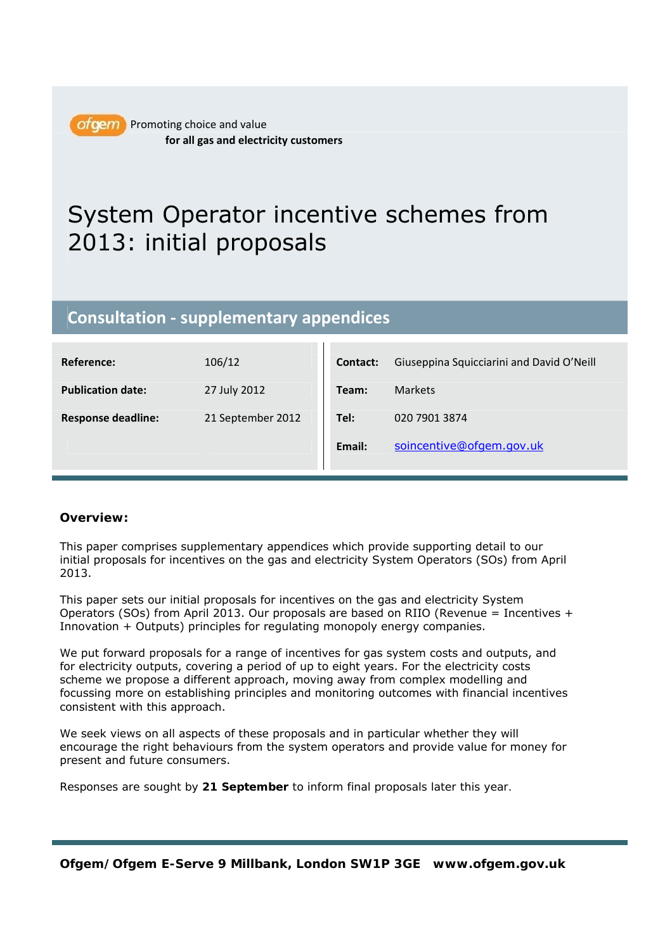

ofgem Promoting choice and value **for all gas and electricity customers**

# System Operator incentive schemes from 2013: initial proposals

# **Consultation ‐ supplementary appendices**

| Reference:                | 106/12            | <b>Contact:</b> | Giuseppina Squicciarini and David O'Neill |
|---------------------------|-------------------|-----------------|-------------------------------------------|
| <b>Publication date:</b>  | 27 July 2012      | Team:           | <b>Markets</b>                            |
| <b>Response deadline:</b> | 21 September 2012 | Tel:            | 020 7901 3874                             |
|                           |                   | Email:          | soincentive@ofgem.gov.uk                  |
|                           |                   |                 |                                           |

# **Overview:**

This paper comprises supplementary appendices which provide supporting detail to our initial proposals for incentives on the gas and electricity System Operators (SOs) from April 2013.

This paper sets our initial proposals for incentives on the gas and electricity System Operators (SOs) from April 2013. Our proposals are based on RIIO (Revenue = Incentives + Innovation + Outputs) principles for regulating monopoly energy companies.

We put forward proposals for a range of incentives for gas system costs and outputs, and for electricity outputs, covering a period of up to eight years. For the electricity costs scheme we propose a different approach, moving away from complex modelling and focussing more on establishing principles and monitoring outcomes with financial incentives consistent with this approach.

We seek views on all aspects of these proposals and in particular whether they will encourage the right behaviours from the system operators and provide value for money for present and future consumers.

*Responses are sought by 21 September to inform final proposals later this year.*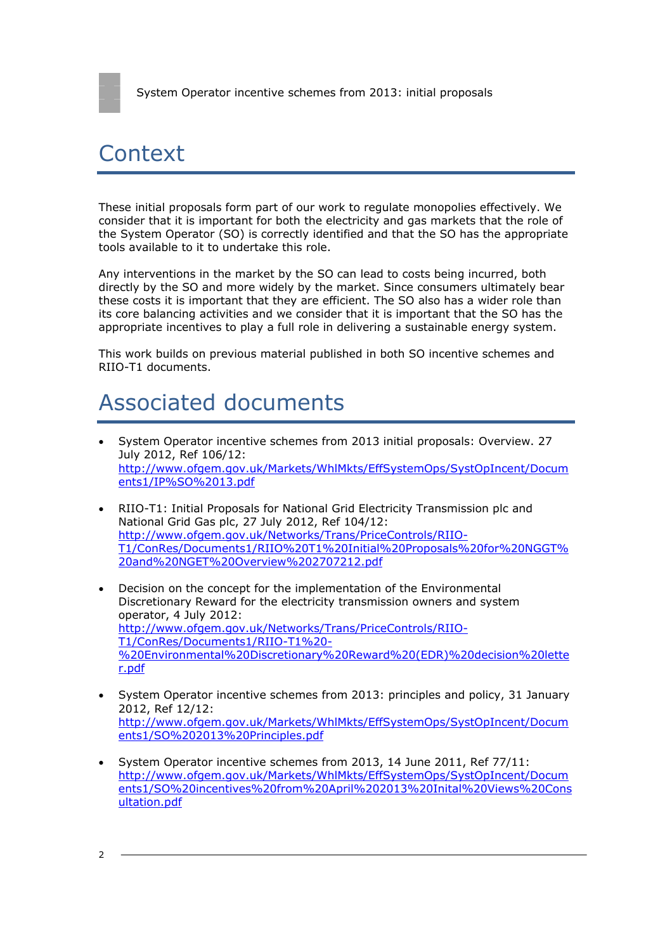# Context

These initial proposals form part of our work to regulate monopolies effectively. We consider that it is important for both the electricity and gas markets that the role of the System Operator (SO) is correctly identified and that the SO has the appropriate tools available to it to undertake this role.

Any interventions in the market by the SO can lead to costs being incurred, both directly by the SO and more widely by the market. Since consumers ultimately bear these costs it is important that they are efficient. The SO also has a wider role than its core balancing activities and we consider that it is important that the SO has the appropriate incentives to play a full role in delivering a sustainable energy system.

This work builds on previous material published in both SO incentive schemes and RIIO-T1 documents.

# Associated documents

- System Operator incentive schemes from 2013 initial proposals: Overview. 27 July 2012, Ref 106/12: http://www.ofgem.gov.uk/Markets/WhlMkts/EffSystemOps/SystOpIncent/Docum ents1/IP%SO%2013.pdf
- RIIO-T1: Initial Proposals for National Grid Electricity Transmission plc and National Grid Gas plc, 27 July 2012, Ref 104/12: http://www.ofgem.gov.uk/Networks/Trans/PriceControls/RIIO-T1/ConRes/Documents1/RIIO%20T1%20Initial%20Proposals%20for%20NGGT% 20and%20NGET%20Overview%202707212.pdf
- Decision on the concept for the implementation of the Environmental Discretionary Reward for the electricity transmission owners and system operator, 4 July 2012: http://www.ofgem.gov.uk/Networks/Trans/PriceControls/RIIO-T1/ConRes/Documents1/RIIO-T1%20- %20Environmental%20Discretionary%20Reward%20(EDR)%20decision%20lette r.pdf
- System Operator incentive schemes from 2013: principles and policy, 31 January 2012, Ref 12/12: http://www.ofgem.gov.uk/Markets/WhlMkts/EffSystemOps/SystOpIncent/Docum ents1/SO%202013%20Principles.pdf
- System Operator incentive schemes from 2013, 14 June 2011, Ref 77/11: http://www.ofgem.gov.uk/Markets/WhlMkts/EffSystemOps/SystOpIncent/Docum ents1/SO%20incentives%20from%20April%202013%20Inital%20Views%20Cons ultation.pdf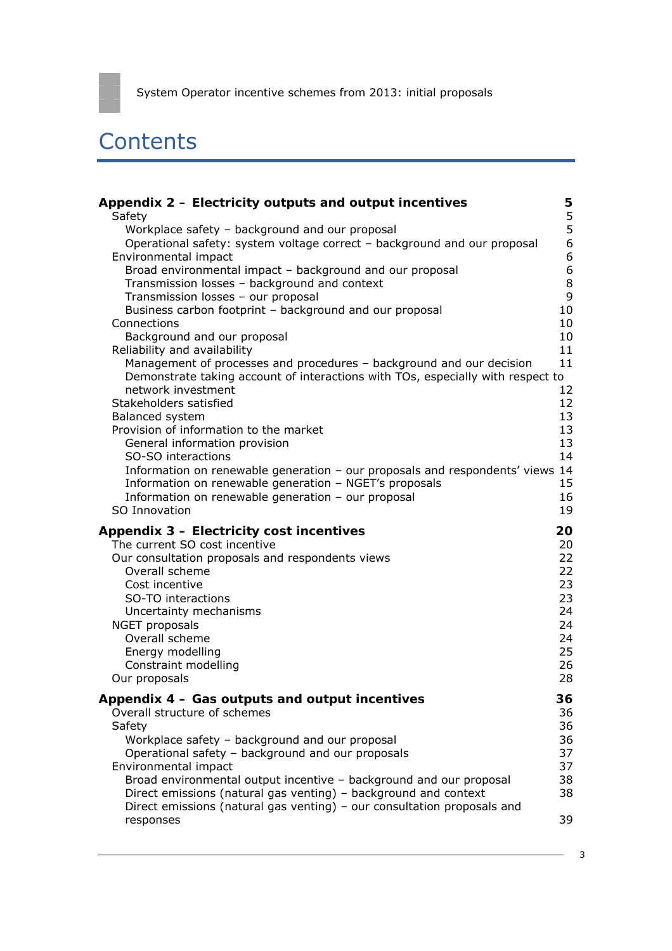# **Contents**

| Appendix 2 – Electricity outputs and output incentives                                                                                                                                                                        | 5                                |
|-------------------------------------------------------------------------------------------------------------------------------------------------------------------------------------------------------------------------------|----------------------------------|
| Safety                                                                                                                                                                                                                        | $\frac{5}{5}$                    |
| Workplace safety - background and our proposal<br>Operational safety: system voltage correct - background and our proposal<br>Environmental impact                                                                            | $\overline{6}$<br>$\overline{6}$ |
| Broad environmental impact - background and our proposal                                                                                                                                                                      | $\overline{6}$                   |
| Transmission losses - background and context                                                                                                                                                                                  | $\,8\,$                          |
| Transmission losses - our proposal                                                                                                                                                                                            | 9                                |
| Business carbon footprint - background and our proposal                                                                                                                                                                       | 10                               |
| Connections                                                                                                                                                                                                                   | 10                               |
| Background and our proposal                                                                                                                                                                                                   | 10                               |
| Reliability and availability                                                                                                                                                                                                  | 11                               |
| Management of processes and procedures - background and our decision<br>Demonstrate taking account of interactions with TOs, especially with respect to<br>network investment                                                 | 11<br>12                         |
| Stakeholders satisfied                                                                                                                                                                                                        | 12                               |
| Balanced system                                                                                                                                                                                                               | 13                               |
| Provision of information to the market                                                                                                                                                                                        | 13                               |
| General information provision                                                                                                                                                                                                 | 13                               |
| SO-SO interactions                                                                                                                                                                                                            | 14                               |
| Information on renewable generation - our proposals and respondents' views 14<br>Information on renewable generation - NGET's proposals<br>Information on renewable generation - our proposal                                 | 15<br>16                         |
| SO Innovation                                                                                                                                                                                                                 | 19                               |
| Appendix 3 - Electricity cost incentives                                                                                                                                                                                      | 20                               |
| The current SO cost incentive                                                                                                                                                                                                 | 20                               |
| Our consultation proposals and respondents views                                                                                                                                                                              | 22                               |
| Overall scheme                                                                                                                                                                                                                | 22                               |
| Cost incentive                                                                                                                                                                                                                | 23                               |
| SO-TO interactions                                                                                                                                                                                                            | 23                               |
| Uncertainty mechanisms                                                                                                                                                                                                        | 24                               |
| NGET proposals                                                                                                                                                                                                                | 24                               |
| Overall scheme                                                                                                                                                                                                                | 24                               |
| Energy modelling                                                                                                                                                                                                              | 25                               |
| Constraint modelling                                                                                                                                                                                                          | 26                               |
| Our proposals                                                                                                                                                                                                                 | 28                               |
| Appendix 4 - Gas outputs and output incentives                                                                                                                                                                                | 36                               |
| Overall structure of schemes                                                                                                                                                                                                  | 36                               |
| Safety                                                                                                                                                                                                                        | 36                               |
| Workplace safety - background and our proposal                                                                                                                                                                                | 36                               |
| Operational safety - background and our proposals                                                                                                                                                                             | 37                               |
| Environmental impact                                                                                                                                                                                                          | 37                               |
| Broad environmental output incentive - background and our proposal<br>Direct emissions (natural gas venting) - background and context<br>Direct emissions (natural gas venting) - our consultation proposals and<br>responses | 38<br>38<br>39                   |
|                                                                                                                                                                                                                               |                                  |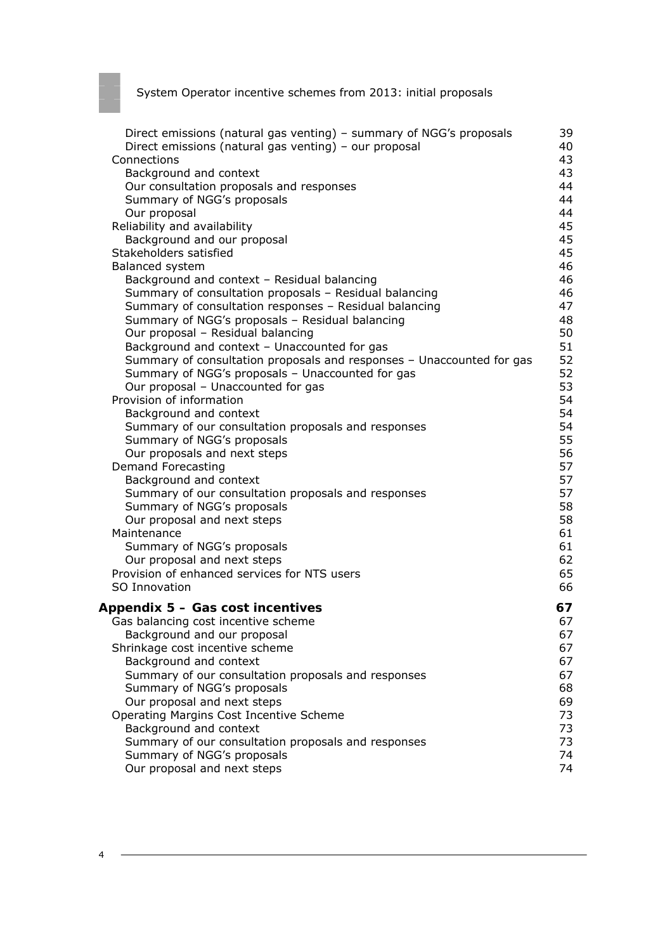| Direct emissions (natural gas venting) - summary of NGG's proposals   | 39 |
|-----------------------------------------------------------------------|----|
| Direct emissions (natural gas venting) - our proposal                 | 40 |
| Connections                                                           | 43 |
| Background and context                                                | 43 |
| Our consultation proposals and responses                              | 44 |
| Summary of NGG's proposals                                            | 44 |
| Our proposal                                                          | 44 |
| Reliability and availability                                          | 45 |
| Background and our proposal                                           | 45 |
| Stakeholders satisfied                                                | 45 |
| Balanced system                                                       | 46 |
| Background and context - Residual balancing                           | 46 |
| Summary of consultation proposals - Residual balancing                | 46 |
| Summary of consultation responses - Residual balancing                | 47 |
| Summary of NGG's proposals - Residual balancing                       | 48 |
| Our proposal - Residual balancing                                     | 50 |
| Background and context - Unaccounted for gas                          | 51 |
| Summary of consultation proposals and responses - Unaccounted for gas | 52 |
| Summary of NGG's proposals - Unaccounted for gas                      | 52 |
| Our proposal - Unaccounted for gas                                    | 53 |
| Provision of information                                              | 54 |
| Background and context                                                | 54 |
| Summary of our consultation proposals and responses                   | 54 |
| Summary of NGG's proposals                                            | 55 |
| Our proposals and next steps                                          | 56 |
| <b>Demand Forecasting</b>                                             | 57 |
| Background and context                                                | 57 |
| Summary of our consultation proposals and responses                   | 57 |
| Summary of NGG's proposals                                            | 58 |
| Our proposal and next steps                                           | 58 |
| Maintenance                                                           | 61 |
| Summary of NGG's proposals                                            | 61 |
| Our proposal and next steps                                           | 62 |
| Provision of enhanced services for NTS users                          | 65 |
| SO Innovation                                                         | 66 |
| Appendix 5 - Gas cost incentives                                      | 67 |
| Gas balancing cost incentive scheme                                   | 67 |
| Background and our proposal                                           | 67 |
| Shrinkage cost incentive scheme                                       | 67 |
| Background and context                                                | 67 |
| Summary of our consultation proposals and responses                   | 67 |
| Summary of NGG's proposals                                            | 68 |
| Our proposal and next steps                                           | 69 |
| Operating Margins Cost Incentive Scheme                               | 73 |
| Background and context                                                | 73 |
| Summary of our consultation proposals and responses                   | 73 |
| Summary of NGG's proposals                                            | 74 |
| Our proposal and next steps                                           | 74 |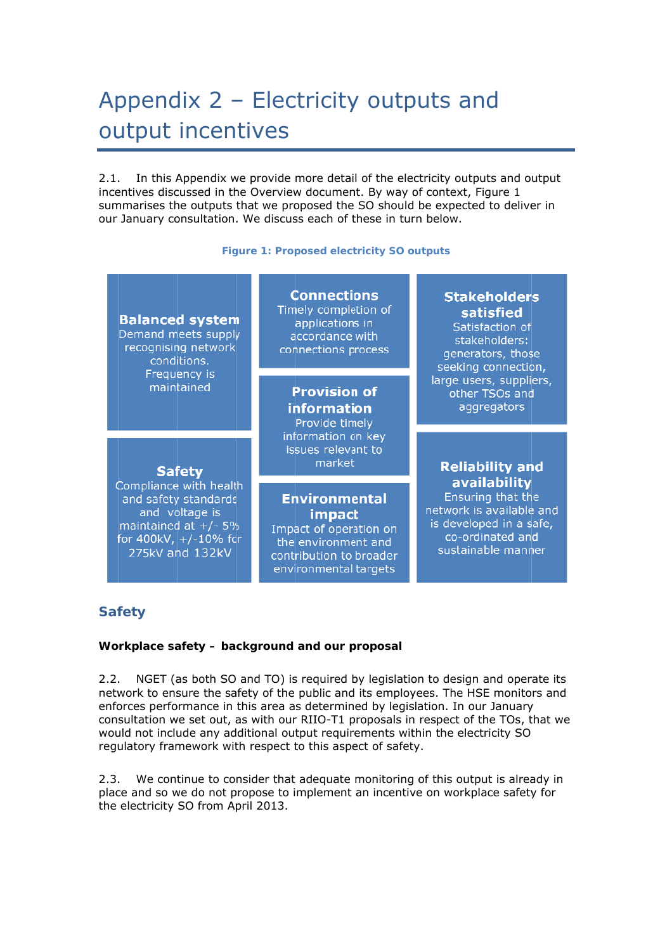# Appendix 2 - Electricity outputs and output incentives

 $2.1.$ incentives discussed in the Overview document. By way of context, Figure 1 summarises the outputs that we proposed the SO should be expected to deliver in our January consultation. We discuss each of these in turn below. . In this Appendix we provide more detail of the electricity outputs and output

#### **Figure 1: Proposed electricity SO outputs**

#### **Balanced system** Demand meets supply recognising network conditions. Frequency is maintained

#### **Safety**

Compliance with health and safety standards and voltage is maintained at  $+/-5%$ <br>for 400kV,  $+/-10%$  for 275kV and 132kV

**Connections** Timely completion of applications in accordance with connections process

**Provision of information** Provide timely information on key issues relevant to market

### **Environmental impact**

Impact of operation on the environment and contribution to broader environmental targets

#### **Stakeholders** satisfied Satisfaction of

stakeholders: generators, those seeking connection, large users, suppliers, other TSOs and aggregators

### **Reliability and** availability

Ensuring that the network is available and is developed in a safe, co-ordinated and sustainable manner

# **Safety**

#### Workplace safety – background and our proposal

 $2.2.$ network to ensure the safety of the public and its employees. The HSE monitors and enforces performance in this area as determined by legislation. In our January enforces performance in this area as determined by legislation. In our January<br>consultation we set out, as with our RIIO-T1 proposals in respect of the TOs, that we would not include any additional output requirements within the electricity SO regulatory framework with respect to this aspect of safety. . NGET (as both SO and TO) is required by legislation to design and operate its

 $2.3.$ place and so we do not propose to implement an incentive on workplace safety for the electricity SO from Ap pril 2013. . We continue to consider that adequate monitoring of this output is already in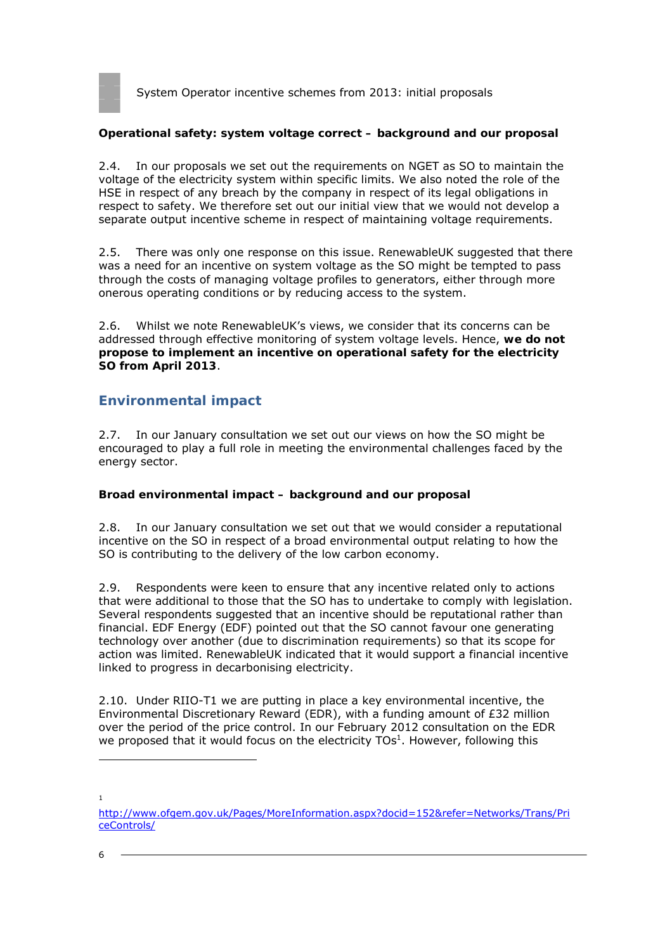

#### **Operational safety: system voltage correct – background and our proposal**

2.4. In our proposals we set out the requirements on NGET as SO to maintain the voltage of the electricity system within specific limits. We also noted the role of the HSE in respect of any breach by the company in respect of its legal obligations in respect to safety. We therefore set out our initial view that we would not develop a separate output incentive scheme in respect of maintaining voltage requirements.

2.5. There was only one response on this issue. RenewableUK suggested that there was a need for an incentive on system voltage as the SO might be tempted to pass through the costs of managing voltage profiles to generators, either through more onerous operating conditions or by reducing access to the system.

2.6. Whilst we note RenewableUK's views, we consider that its concerns can be addressed through effective monitoring of system voltage levels. Hence, **we do not propose to implement an incentive on operational safety for the electricity SO from April 2013**.

### **Environmental impact**

2.7. In our January consultation we set out our views on how the SO might be encouraged to play a full role in meeting the environmental challenges faced by the energy sector.

#### **Broad environmental impact – background and our proposal**

2.8. In our January consultation we set out that we would consider a reputational incentive on the SO in respect of a broad environmental output relating to how the SO is contributing to the delivery of the low carbon economy.

2.9. Respondents were keen to ensure that any incentive related only to actions that were additional to those that the SO has to undertake to comply with legislation. Several respondents suggested that an incentive should be reputational rather than financial. EDF Energy (EDF) pointed out that the SO cannot favour one generating technology over another (due to discrimination requirements) so that its scope for action was limited. RenewableUK indicated that it would support a financial incentive linked to progress in decarbonising electricity.

2.10. Under RIIO-T1 we are putting in place a key environmental incentive, the Environmental Discretionary Reward (EDR), with a funding amount of £32 million over the period of the price control. In our February 2012 consultation on the EDR we proposed that it would focus on the electricity  $\text{TOs}^1$ . However, following this

<sup>1</sup>

http://www.ofgem.gov.uk/Pages/MoreInformation.aspx?docid=152&refer=Networks/Trans/Pri ceControls/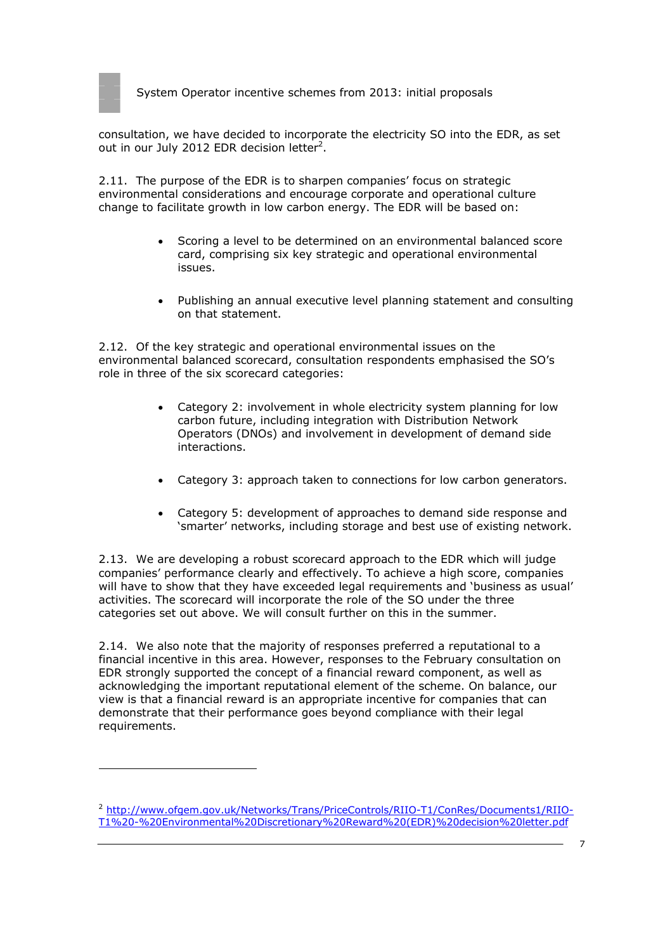

consultation, we have decided to incorporate the electricity SO into the EDR, as set out in our July 2012 EDR decision letter<sup>2</sup>.

2.11. The purpose of the EDR is to sharpen companies' focus on strategic environmental considerations and encourage corporate and operational culture change to facilitate growth in low carbon energy. The EDR will be based on:

- Scoring a level to be determined on an environmental balanced score card, comprising six key strategic and operational environmental issues.
- Publishing an annual executive level planning statement and consulting on that statement.

2.12. Of the key strategic and operational environmental issues on the environmental balanced scorecard, consultation respondents emphasised the SO's role in three of the six scorecard categories:

- Category 2: involvement in whole electricity system planning for low carbon future, including integration with Distribution Network Operators (DNOs) and involvement in development of demand side interactions.
- Category 3: approach taken to connections for low carbon generators.
- Category 5: development of approaches to demand side response and 'smarter' networks, including storage and best use of existing network.

2.13. We are developing a robust scorecard approach to the EDR which will judge companies' performance clearly and effectively. To achieve a high score, companies will have to show that they have exceeded legal requirements and 'business as usual' activities. The scorecard will incorporate the role of the SO under the three categories set out above. We will consult further on this in the summer.

2.14. We also note that the majority of responses preferred a reputational to a financial incentive in this area. However, responses to the February consultation on EDR strongly supported the concept of a financial reward component, as well as acknowledging the important reputational element of the scheme. On balance, our view is that a financial reward is an appropriate incentive for companies that can demonstrate that their performance goes beyond compliance with their legal requirements.

<sup>2</sup> http://www.ofgem.gov.uk/Networks/Trans/PriceControls/RIIO-T1/ConRes/Documents1/RIIO-T1%20-%20Environmental%20Discretionary%20Reward%20(EDR)%20decision%20letter.pdf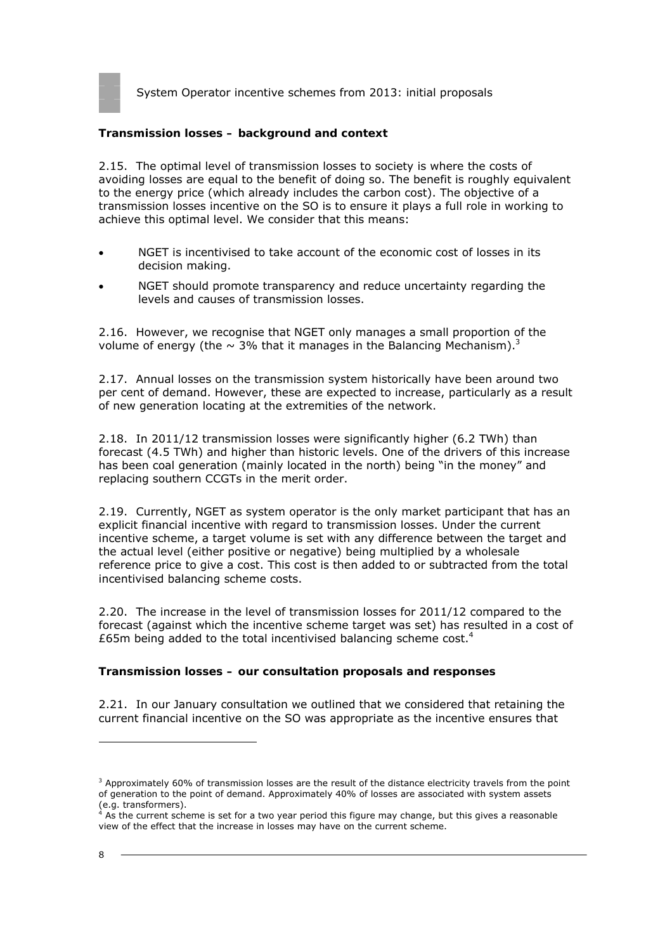

#### **Transmission losses – background and context**

2.15. The optimal level of transmission losses to society is where the costs of avoiding losses are equal to the benefit of doing so. The benefit is roughly equivalent to the energy price (which already includes the carbon cost). The objective of a transmission losses incentive on the SO is to ensure it plays a full role in working to achieve this optimal level. We consider that this means:

- NGET is incentivised to take account of the economic cost of losses in its decision making.
- NGET should promote transparency and reduce uncertainty regarding the levels and causes of transmission losses.

2.16. However, we recognise that NGET only manages a small proportion of the volume of energy (the  $\sim$  3% that it manages in the Balancing Mechanism).<sup>3</sup>

2.17. Annual losses on the transmission system historically have been around two per cent of demand. However, these are expected to increase, particularly as a result of new generation locating at the extremities of the network.

2.18. In 2011/12 transmission losses were significantly higher (6.2 TWh) than forecast (4.5 TWh) and higher than historic levels. One of the drivers of this increase has been coal generation (mainly located in the north) being "in the money" and replacing southern CCGTs in the merit order.

2.19. Currently, NGET as system operator is the only market participant that has an explicit financial incentive with regard to transmission losses. Under the current incentive scheme, a target volume is set with any difference between the target and the actual level (either positive or negative) being multiplied by a wholesale reference price to give a cost. This cost is then added to or subtracted from the total incentivised balancing scheme costs.

2.20. The increase in the level of transmission losses for 2011/12 compared to the forecast (against which the incentive scheme target was set) has resulted in a cost of £65m being added to the total incentivised balancing scheme cost.<sup>4</sup>

#### **Transmission losses – our consultation proposals and responses**

2.21. In our January consultation we outlined that we considered that retaining the current financial incentive on the SO was appropriate as the incentive ensures that

<sup>&</sup>lt;sup>3</sup> Approximately 60% of transmission losses are the result of the distance electricity travels from the point of generation to the point of demand. Approximately 40% of losses are associated with system assets (e.g. transformers). 4 As the current scheme is set for a two year period this figure may change, but this gives a reasonable

view of the effect that the increase in losses may have on the current scheme.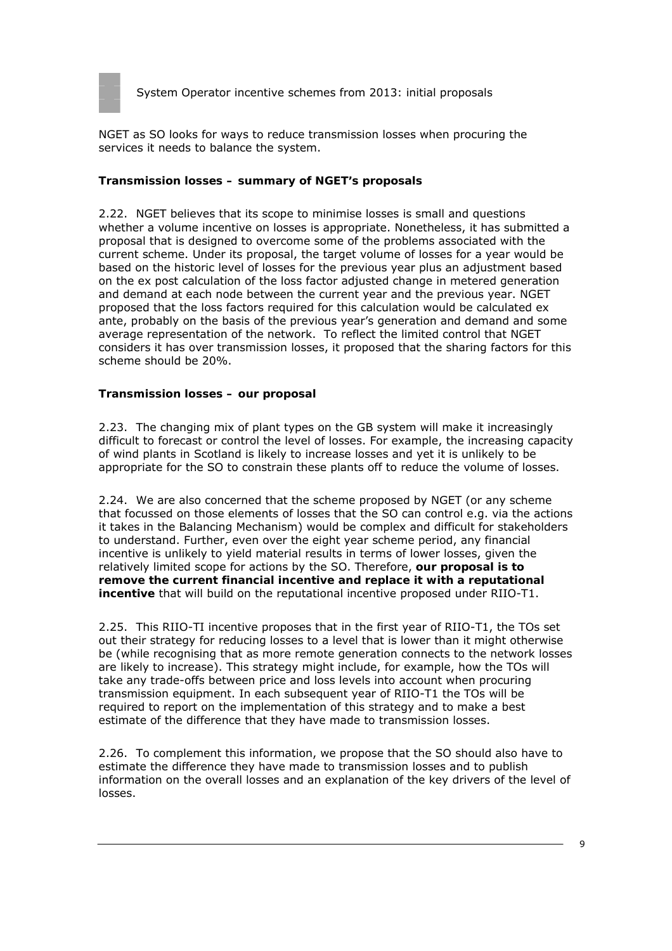

NGET as SO looks for ways to reduce transmission losses when procuring the services it needs to balance the system.

#### **Transmission losses – summary of NGET's proposals**

2.22. NGET believes that its scope to minimise losses is small and questions whether a volume incentive on losses is appropriate. Nonetheless, it has submitted a proposal that is designed to overcome some of the problems associated with the current scheme. Under its proposal, the target volume of losses for a year would be based on the historic level of losses for the previous year plus an adjustment based on the ex post calculation of the loss factor adjusted change in metered generation and demand at each node between the current year and the previous year. NGET proposed that the loss factors required for this calculation would be calculated ex ante, probably on the basis of the previous year's generation and demand and some average representation of the network. To reflect the limited control that NGET considers it has over transmission losses, it proposed that the sharing factors for this scheme should be 20%.

#### **Transmission losses – our proposal**

2.23. The changing mix of plant types on the GB system will make it increasingly difficult to forecast or control the level of losses. For example, the increasing capacity of wind plants in Scotland is likely to increase losses and yet it is unlikely to be appropriate for the SO to constrain these plants off to reduce the volume of losses.

2.24. We are also concerned that the scheme proposed by NGET (or any scheme that focussed on those elements of losses that the SO can control e.g. via the actions it takes in the Balancing Mechanism) would be complex and difficult for stakeholders to understand. Further, even over the eight year scheme period, any financial incentive is unlikely to yield material results in terms of lower losses, given the relatively limited scope for actions by the SO. Therefore, **our proposal is to remove the current financial incentive and replace it with a reputational incentive** that will build on the reputational incentive proposed under RIIO-T1.

2.25. This RIIO-TI incentive proposes that in the first year of RIIO-T1, the TOs set out their strategy for reducing losses to a level that is lower than it might otherwise be (while recognising that as more remote generation connects to the network losses are likely to increase). This strategy might include, for example, how the TOs will take any trade-offs between price and loss levels into account when procuring transmission equipment. In each subsequent year of RIIO-T1 the TOs will be required to report on the implementation of this strategy and to make a best estimate of the difference that they have made to transmission losses.

2.26. To complement this information, we propose that the SO should also have to estimate the difference they have made to transmission losses and to publish information on the overall losses and an explanation of the key drivers of the level of losses.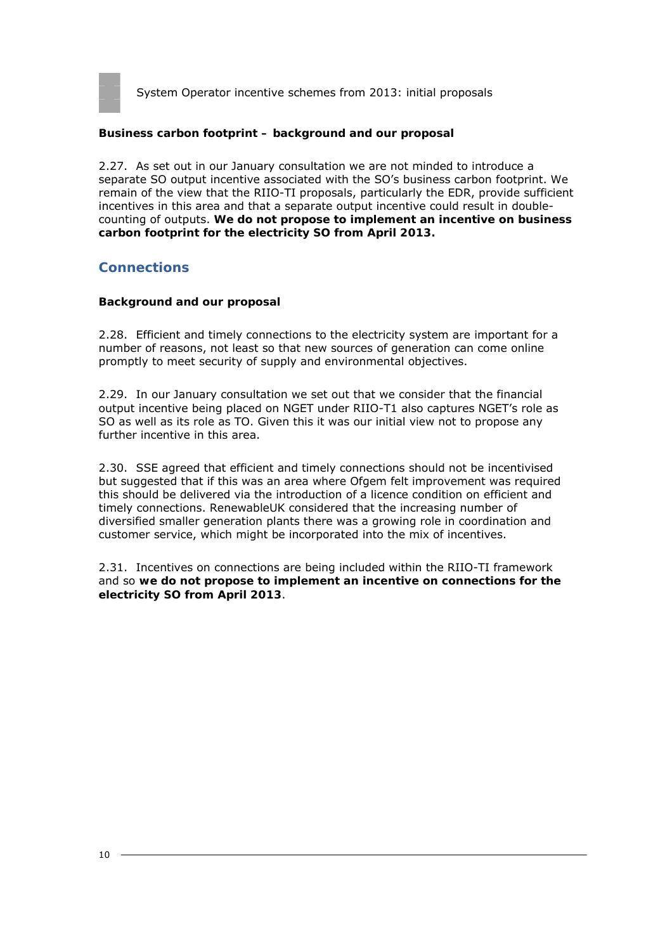

#### **Business carbon footprint – background and our proposal**

2.27. As set out in our January consultation we are not minded to introduce a separate SO output incentive associated with the SO's business carbon footprint. We remain of the view that the RIIO-TI proposals, particularly the EDR, provide sufficient incentives in this area and that a separate output incentive could result in doublecounting of outputs. **We do not propose to implement an incentive on business carbon footprint for the electricity SO from April 2013.**

#### **Connections**

#### **Background and our proposal**

2.28. Efficient and timely connections to the electricity system are important for a number of reasons, not least so that new sources of generation can come online promptly to meet security of supply and environmental objectives.

2.29. In our January consultation we set out that we consider that the financial output incentive being placed on NGET under RIIO-T1 also captures NGET's role as SO as well as its role as TO. Given this it was our initial view not to propose any further incentive in this area.

2.30. SSE agreed that efficient and timely connections should not be incentivised but suggested that if this was an area where Ofgem felt improvement was required this should be delivered via the introduction of a licence condition on efficient and timely connections. RenewableUK considered that the increasing number of diversified smaller generation plants there was a growing role in coordination and customer service, which might be incorporated into the mix of incentives.

2.31. Incentives on connections are being included within the RIIO-TI framework and so **we do not propose to implement an incentive on connections for the electricity SO from April 2013**.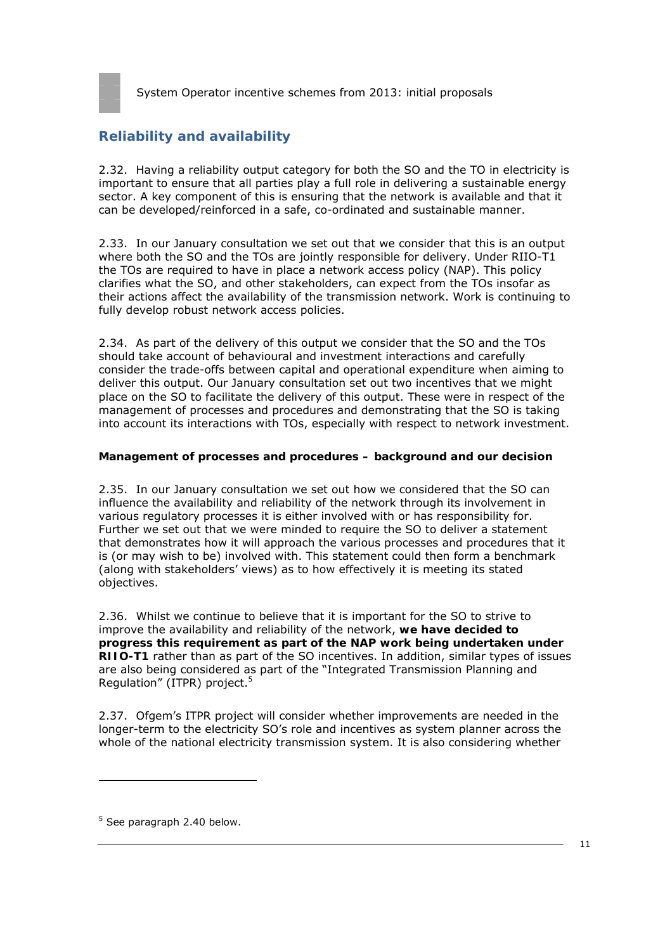

# **Reliability and availability**

2.32. Having a reliability output category for both the SO and the TO in electricity is important to ensure that all parties play a full role in delivering a sustainable energy sector. A key component of this is ensuring that the network is available and that it can be developed/reinforced in a safe, co-ordinated and sustainable manner.

2.33. In our January consultation we set out that we consider that this is an output where both the SO and the TOs are jointly responsible for delivery. Under RIIO-T1 the TOs are required to have in place a network access policy (NAP). This policy clarifies what the SO, and other stakeholders, can expect from the TOs insofar as their actions affect the availability of the transmission network. Work is continuing to fully develop robust network access policies.

2.34. As part of the delivery of this output we consider that the SO and the TOs should take account of behavioural and investment interactions and carefully consider the trade-offs between capital and operational expenditure when aiming to deliver this output. Our January consultation set out two incentives that we might place on the SO to facilitate the delivery of this output. These were in respect of the management of processes and procedures and demonstrating that the SO is taking into account its interactions with TOs, especially with respect to network investment.

#### **Management of processes and procedures – background and our decision**

2.35. In our January consultation we set out how we considered that the SO can influence the availability and reliability of the network through its involvement in various regulatory processes it is either involved with or has responsibility for. Further we set out that we were minded to require the SO to deliver a statement that demonstrates how it will approach the various processes and procedures that it is (or may wish to be) involved with. This statement could then form a benchmark (along with stakeholders' views) as to how effectively it is meeting its stated objectives.

2.36. Whilst we continue to believe that it is important for the SO to strive to improve the availability and reliability of the network, **we have decided to progress this requirement as part of the NAP work being undertaken under RIIO-T1** rather than as part of the SO incentives. In addition, similar types of issues are also being considered as part of the "Integrated Transmission Planning and Regulation" (ITPR) project.5

2.37. Ofgem's ITPR project will consider whether improvements are needed in the longer-term to the electricity SO's role and incentives as system planner across the whole of the national electricity transmission system. It is also considering whether

 $5$  See paragraph 2.40 below.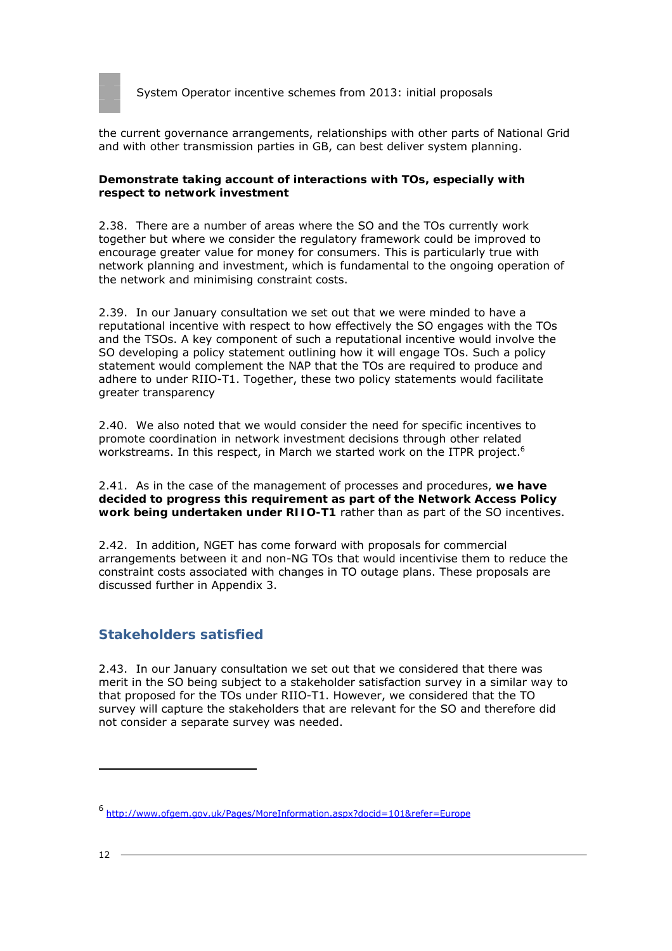

the current governance arrangements, relationships with other parts of National Grid and with other transmission parties in GB, can best deliver system planning.

#### **Demonstrate taking account of interactions with TOs, especially with respect to network investment**

2.38. There are a number of areas where the SO and the TOs currently work together but where we consider the regulatory framework could be improved to encourage greater value for money for consumers. This is particularly true with network planning and investment, which is fundamental to the ongoing operation of the network and minimising constraint costs.

2.39. In our January consultation we set out that we were minded to have a reputational incentive with respect to how effectively the SO engages with the TOs and the TSOs. A key component of such a reputational incentive would involve the SO developing a policy statement outlining how it will engage TOs. Such a policy statement would complement the NAP that the TOs are required to produce and adhere to under RIIO-T1. Together, these two policy statements would facilitate greater transparency

2.40. We also noted that we would consider the need for specific incentives to promote coordination in network investment decisions through other related workstreams. In this respect, in March we started work on the ITPR project.<sup>6</sup>

2.41. As in the case of the management of processes and procedures, **we have decided to progress this requirement as part of the Network Access Policy work being undertaken under RIIO-T1** rather than as part of the SO incentives.

2.42. In addition, NGET has come forward with proposals for commercial arrangements between it and non-NG TOs that would incentivise them to reduce the constraint costs associated with changes in TO outage plans. These proposals are discussed further in Appendix 3.

# **Stakeholders satisfied**

2.43. In our January consultation we set out that we considered that there was merit in the SO being subject to a stakeholder satisfaction survey in a similar way to that proposed for the TOs under RIIO-T1. However, we considered that the TO survey will capture the stakeholders that are relevant for the SO and therefore did not consider a separate survey was needed.

<sup>6</sup> http://www.ofgem.gov.uk/Pages/MoreInformation.aspx?docid=101&refer=Europe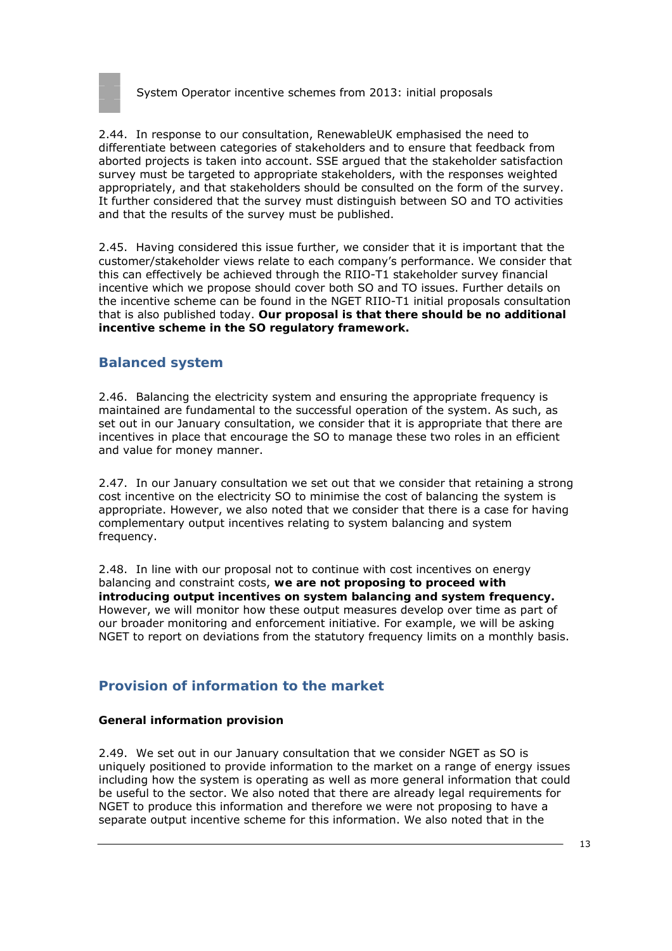

2.44. In response to our consultation, RenewableUK emphasised the need to differentiate between categories of stakeholders and to ensure that feedback from aborted projects is taken into account. SSE argued that the stakeholder satisfaction survey must be targeted to appropriate stakeholders, with the responses weighted appropriately, and that stakeholders should be consulted on the form of the survey. It further considered that the survey must distinguish between SO and TO activities and that the results of the survey must be published.

2.45. Having considered this issue further, we consider that it is important that the customer/stakeholder views relate to each company's performance. We consider that this can effectively be achieved through the RIIO-T1 stakeholder survey financial incentive which we propose should cover both SO and TO issues. Further details on the incentive scheme can be found in the NGET RIIO-T1 initial proposals consultation that is also published today. **Our proposal is that there should be no additional incentive scheme in the SO regulatory framework.**

# **Balanced system**

2.46. Balancing the electricity system and ensuring the appropriate frequency is maintained are fundamental to the successful operation of the system. As such, as set out in our January consultation, we consider that it is appropriate that there are incentives in place that encourage the SO to manage these two roles in an efficient and value for money manner.

2.47. In our January consultation we set out that we consider that retaining a strong cost incentive on the electricity SO to minimise the cost of balancing the system is appropriate. However, we also noted that we consider that there is a case for having complementary output incentives relating to system balancing and system frequency.

2.48. In line with our proposal not to continue with cost incentives on energy balancing and constraint costs, **we are not proposing to proceed with introducing output incentives on system balancing and system frequency.**  However, we will monitor how these output measures develop over time as part of our broader monitoring and enforcement initiative. For example, we will be asking NGET to report on deviations from the statutory frequency limits on a monthly basis.

# **Provision of information to the market**

#### **General information provision**

2.49. We set out in our January consultation that we consider NGET as SO is uniquely positioned to provide information to the market on a range of energy issues including how the system is operating as well as more general information that could be useful to the sector. We also noted that there are already legal requirements for NGET to produce this information and therefore we were not proposing to have a separate output incentive scheme for this information. We also noted that in the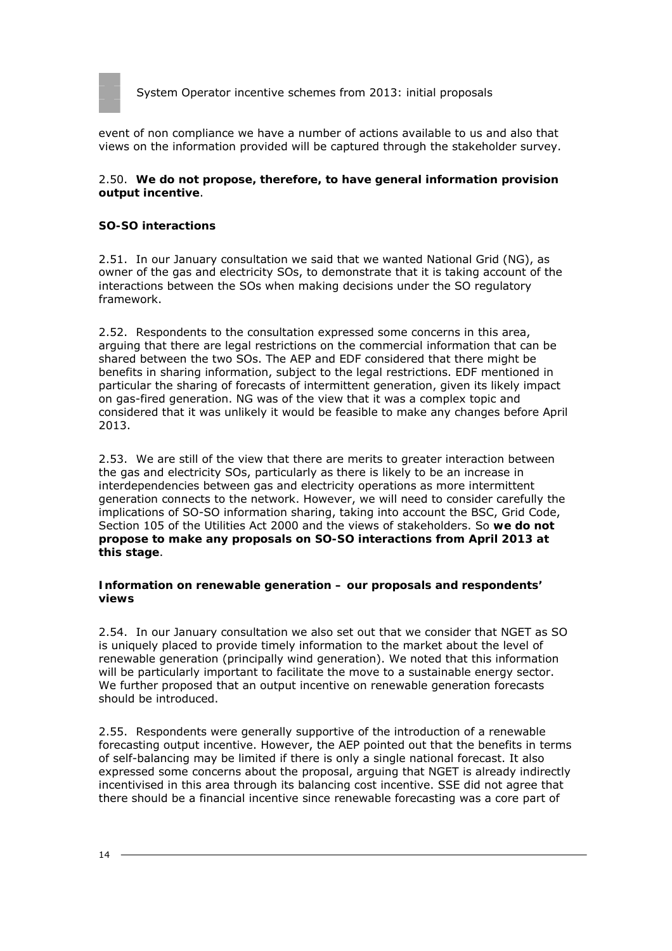

event of non compliance we have a number of actions available to us and also that views on the information provided will be captured through the stakeholder survey.

#### 2.50. **We do not propose, therefore, to have general information provision output incentive**.

#### **SO-SO interactions**

2.51. In our January consultation we said that we wanted National Grid (NG), as owner of the gas and electricity SOs, to demonstrate that it is taking account of the interactions between the SOs when making decisions under the SO regulatory framework.

2.52. Respondents to the consultation expressed some concerns in this area, arguing that there are legal restrictions on the commercial information that can be shared between the two SOs. The AEP and EDF considered that there might be benefits in sharing information, subject to the legal restrictions. EDF mentioned in particular the sharing of forecasts of intermittent generation, given its likely impact on gas-fired generation. NG was of the view that it was a complex topic and considered that it was unlikely it would be feasible to make any changes before April 2013.

2.53. We are still of the view that there are merits to greater interaction between the gas and electricity SOs, particularly as there is likely to be an increase in interdependencies between gas and electricity operations as more intermittent generation connects to the network. However, we will need to consider carefully the implications of SO-SO information sharing, taking into account the BSC, Grid Code, Section 105 of the Utilities Act 2000 and the views of stakeholders. So **we do not propose to make any proposals on SO-SO interactions from April 2013 at this stage**.

#### **Information on renewable generation – our proposals and respondents' views**

2.54. In our January consultation we also set out that we consider that NGET as SO is uniquely placed to provide timely information to the market about the level of renewable generation (principally wind generation). We noted that this information will be particularly important to facilitate the move to a sustainable energy sector. We further proposed that an output incentive on renewable generation forecasts should be introduced.

2.55. Respondents were generally supportive of the introduction of a renewable forecasting output incentive. However, the AEP pointed out that the benefits in terms of self-balancing may be limited if there is only a single national forecast. It also expressed some concerns about the proposal, arguing that NGET is already indirectly incentivised in this area through its balancing cost incentive. SSE did not agree that there should be a financial incentive since renewable forecasting was a core part of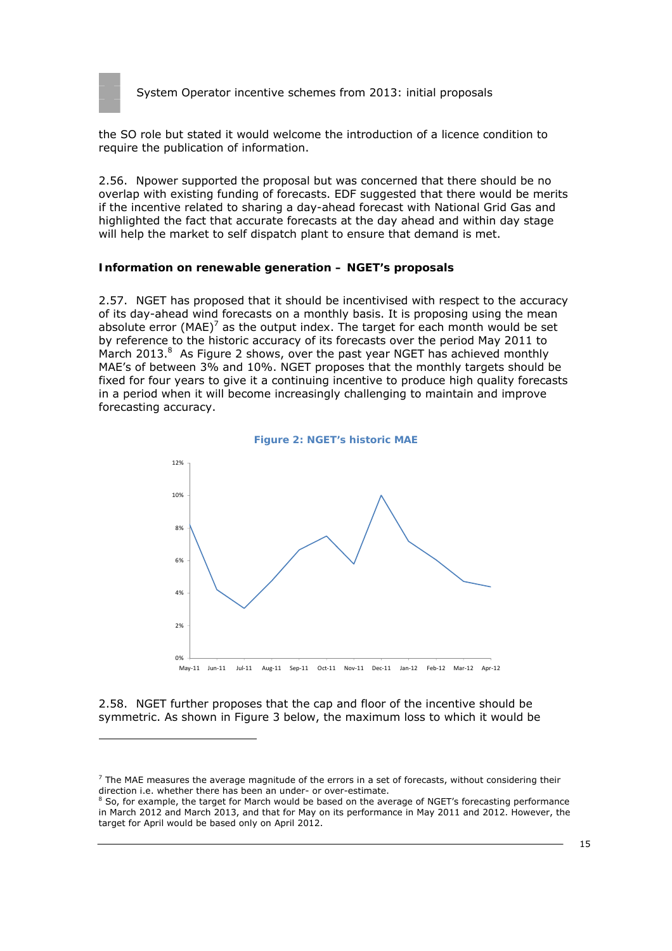

the SO role but stated it would welcome the introduction of a licence condition to require the publication of information.

2.56. Npower supported the proposal but was concerned that there should be no overlap with existing funding of forecasts. EDF suggested that there would be merits if the incentive related to sharing a day-ahead forecast with National Grid Gas and highlighted the fact that accurate forecasts at the day ahead and within day stage will help the market to self dispatch plant to ensure that demand is met.

#### **Information on renewable generation – NGET's proposals**

2.57. NGET has proposed that it should be incentivised with respect to the accuracy of its day-ahead wind forecasts on a monthly basis. It is proposing using the mean absolute error (MAE)<sup>7</sup> as the output index. The target for each month would be set by reference to the historic accuracy of its forecasts over the period May 2011 to March 2013.<sup>8</sup> As Figure 2 shows, over the past year NGET has achieved monthly MAE's of between 3% and 10%. NGET proposes that the monthly targets should be fixed for four years to give it a continuing incentive to produce high quality forecasts in a period when it will become increasingly challenging to maintain and improve forecasting accuracy.



2.58. NGET further proposes that the cap and floor of the incentive should be symmetric. As shown in Figure 3 below, the maximum loss to which it would be

 $<sup>7</sup>$  The MAE measures the average magnitude of the errors in a set of forecasts, without considering their</sup> direction i.e. whether there has been an under- or over-estimate.

<sup>&</sup>lt;sup>8</sup> So, for example, the target for March would be based on the average of NGET's forecasting performance in March 2012 and March 2013, and that for May on its performance in May 2011 and 2012. However, the target for April would be based only on April 2012.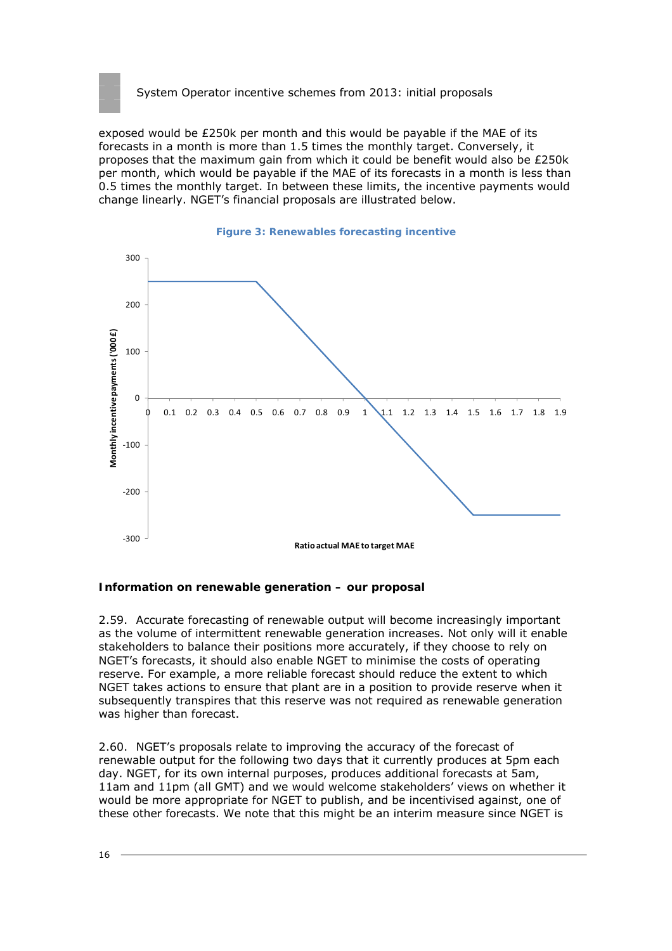

exposed would be £250k per month and this would be payable if the MAE of its forecasts in a month is more than 1.5 times the monthly target. Conversely, it proposes that the maximum gain from which it could be benefit would also be £250k per month, which would be payable if the MAE of its forecasts in a month is less than 0.5 times the monthly target. In between these limits, the incentive payments would change linearly. NGET's financial proposals are illustrated below.



#### **Information on renewable generation – our proposal**

2.59. Accurate forecasting of renewable output will become increasingly important as the volume of intermittent renewable generation increases. Not only will it enable stakeholders to balance their positions more accurately, if they choose to rely on NGET's forecasts, it should also enable NGET to minimise the costs of operating reserve. For example, a more reliable forecast should reduce the extent to which NGET takes actions to ensure that plant are in a position to provide reserve when it subsequently transpires that this reserve was not required as renewable generation was higher than forecast.

2.60. NGET's proposals relate to improving the accuracy of the forecast of renewable output for the following two days that it currently produces at 5pm each day. NGET, for its own internal purposes, produces additional forecasts at 5am, 11am and 11pm (all GMT) and we would welcome stakeholders' views on whether it would be more appropriate for NGET to publish, and be incentivised against, one of these other forecasts. We note that this might be an interim measure since NGET is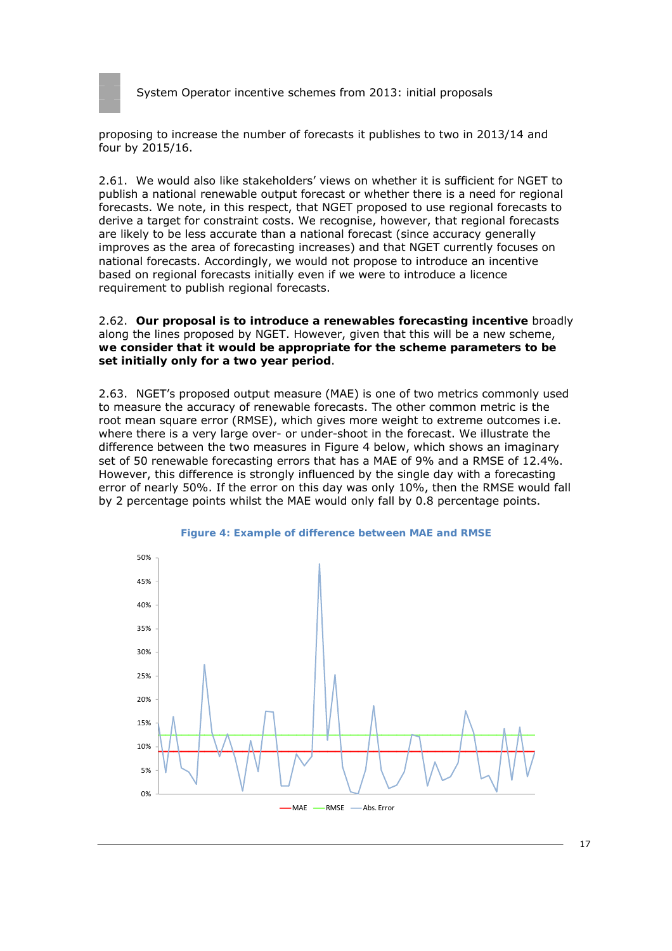

proposing to increase the number of forecasts it publishes to two in 2013/14 and four by 2015/16.

2.61. We would also like stakeholders' views on whether it is sufficient for NGET to publish a national renewable output forecast or whether there is a need for regional forecasts. We note, in this respect, that NGET proposed to use regional forecasts to derive a target for constraint costs. We recognise, however, that regional forecasts are likely to be less accurate than a national forecast (since accuracy generally improves as the area of forecasting increases) and that NGET currently focuses on national forecasts. Accordingly, we would not propose to introduce an incentive based on regional forecasts initially even if we were to introduce a licence requirement to publish regional forecasts.

2.62. **Our proposal is to introduce a renewables forecasting incentive** broadly along the lines proposed by NGET. However, given that this will be a new scheme, **we consider that it would be appropriate for the scheme parameters to be set initially only for a two year period**.

2.63. NGET's proposed output measure (MAE) is one of two metrics commonly used to measure the accuracy of renewable forecasts. The other common metric is the root mean square error (RMSE), which gives more weight to extreme outcomes i.e. where there is a very large over- or under-shoot in the forecast. We illustrate the difference between the two measures in Figure 4 below, which shows an imaginary set of 50 renewable forecasting errors that has a MAE of 9% and a RMSE of 12.4%. However, this difference is strongly influenced by the single day with a forecasting error of nearly 50%. If the error on this day was only 10%, then the RMSE would fall by 2 percentage points whilst the MAE would only fall by 0.8 percentage points.



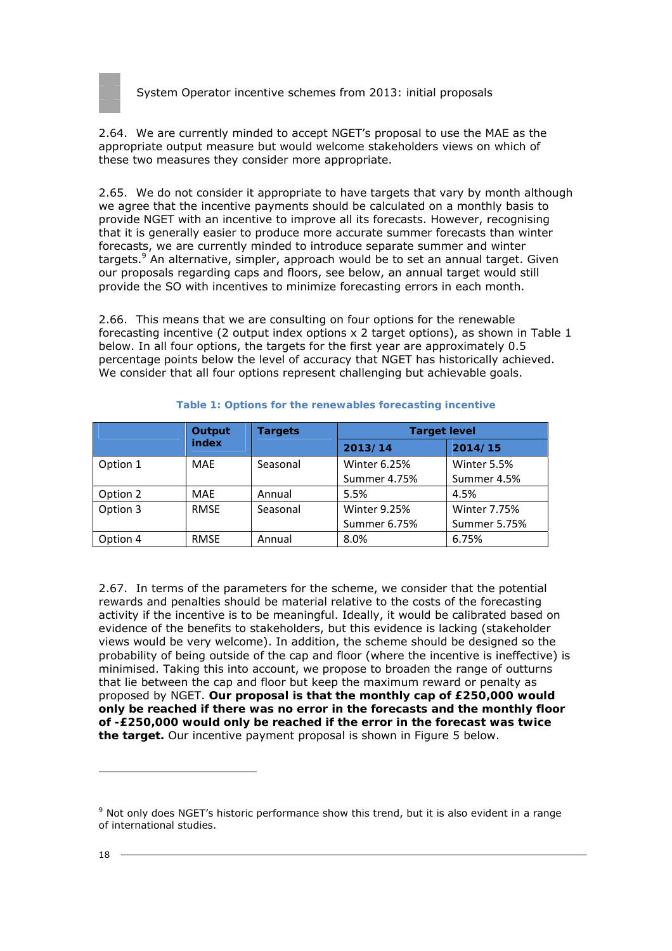

2.64. We are currently minded to accept NGET's proposal to use the MAE as the appropriate output measure but would welcome stakeholders views on which of these two measures they consider more appropriate.

2.65. We do not consider it appropriate to have targets that vary by month although we agree that the incentive payments should be calculated on a monthly basis to provide NGET with an incentive to improve all its forecasts. However, recognising that it is generally easier to produce more accurate summer forecasts than winter forecasts, we are currently minded to introduce separate summer and winter targets.<sup>9</sup> An alternative, simpler, approach would be to set an annual target. Given our proposals regarding caps and floors, see below, an annual target would still provide the SO with incentives to minimize forecasting errors in each month.

2.66. This means that we are consulting on four options for the renewable forecasting incentive (2 output index options x 2 target options), as shown in Table 1 below. In all four options, the targets for the first year are approximately 0.5 percentage points below the level of accuracy that NGET has historically achieved. We consider that all four options represent challenging but achievable goals.

|          | Output<br>index | <b>Targets</b> | <b>Target level</b> |                     |  |
|----------|-----------------|----------------|---------------------|---------------------|--|
|          |                 |                | 2013/14             | 2014/15             |  |
| Option 1 | MAE             | Seasonal       | <b>Winter 6.25%</b> | Winter 5.5%         |  |
|          |                 |                | Summer 4.75%        | Summer 4.5%         |  |
| Option 2 | MAE             | Annual         | 5.5%                | 4.5%                |  |
| Option 3 | <b>RMSE</b>     | Seasonal       | <b>Winter 9.25%</b> | <b>Winter 7.75%</b> |  |
|          |                 |                | Summer 6.75%        | <b>Summer 5.75%</b> |  |
| Option 4 | <b>RMSE</b>     | Annual         | 8.0%                | 6.75%               |  |

#### **Table 1: Options for the renewables forecasting incentive**

2.67. In terms of the parameters for the scheme, we consider that the potential rewards and penalties should be material relative to the costs of the forecasting activity if the incentive is to be meaningful. Ideally, it would be calibrated based on evidence of the benefits to stakeholders, but this evidence is lacking (stakeholder views would be very welcome). In addition, the scheme should be designed so the probability of being outside of the cap and floor (where the incentive is ineffective) is minimised. Taking this into account, we propose to broaden the range of outturns that lie between the cap and floor but keep the maximum reward or penalty as proposed by NGET. **Our proposal is that the monthly cap of £250,000 would only be reached if there was no error in the forecasts and the monthly floor of -£250,000 would only be reached if the error in the forecast was twice the target.** Our incentive payment proposal is shown in Figure 5 below.

<sup>&</sup>lt;sup>9</sup> Not only does NGET's historic performance show this trend, but it is also evident in a range of international studies.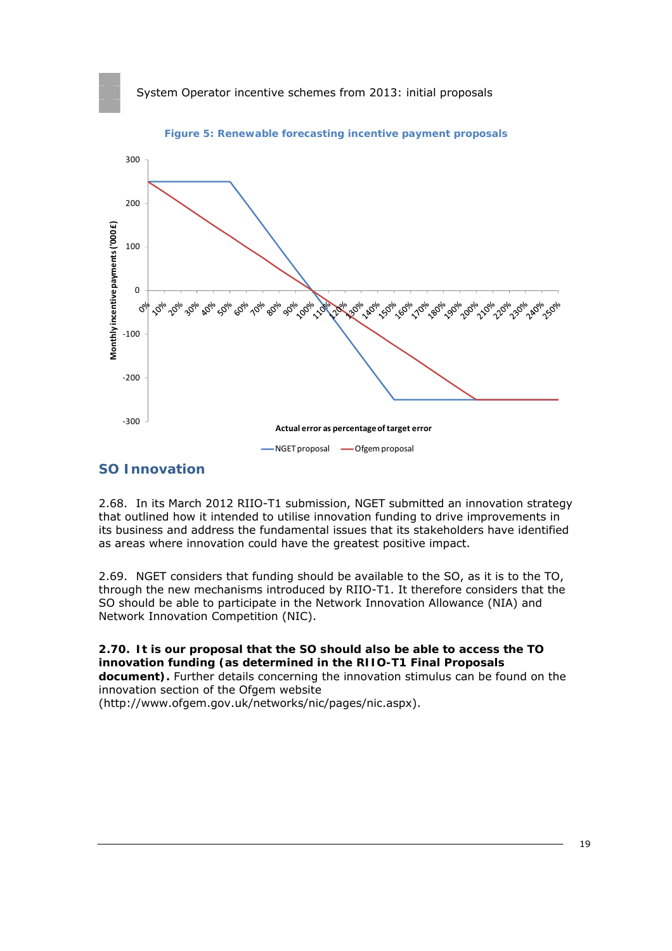

**Figure 5: Renewable forecasting incentive payment proposals** 

#### **SO Innovation**

2.68. In its March 2012 RIIO-T1 submission, NGET submitted an innovation strategy that outlined how it intended to utilise innovation funding to drive improvements in its business and address the fundamental issues that its stakeholders have identified as areas where innovation could have the greatest positive impact.

2.69. NGET considers that funding should be available to the SO, as it is to the TO, through the new mechanisms introduced by RIIO-T1. It therefore considers that the SO should be able to participate in the Network Innovation Allowance (NIA) and Network Innovation Competition (NIC).

**2.70. It is our proposal that the SO should also be able to access the TO innovation funding (as determined in the RIIO-T1 Final Proposals document).** Further details concerning the innovation stimulus can be found on the innovation section of the Ofgem website (http://www.ofgem.gov.uk/networks/nic/pages/nic.aspx).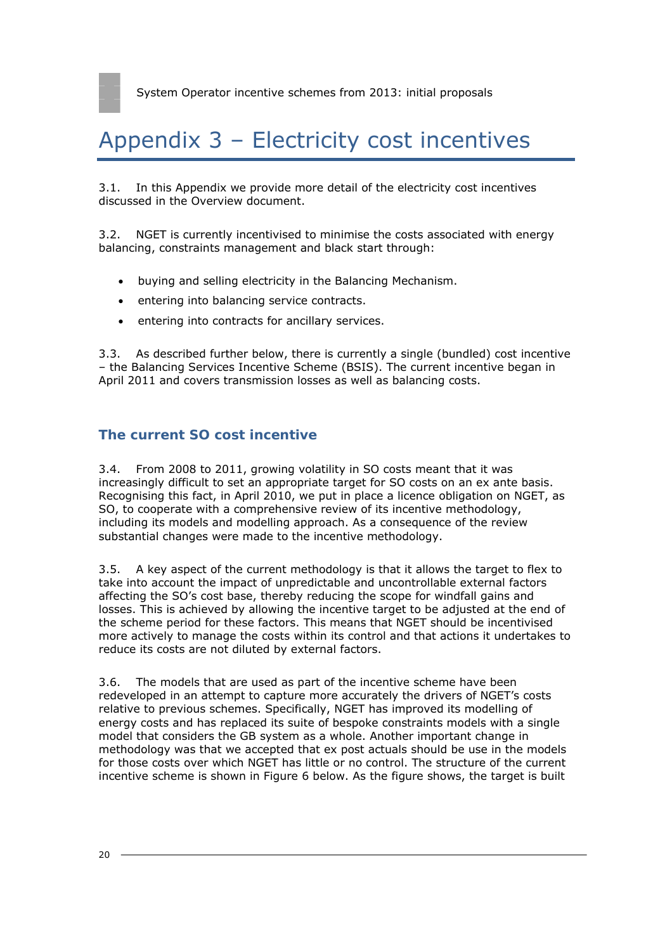# Appendix 3 – Electricity cost incentives

3.1. In this Appendix we provide more detail of the electricity cost incentives discussed in the Overview document.

3.2. NGET is currently incentivised to minimise the costs associated with energy balancing, constraints management and black start through:

- buying and selling electricity in the Balancing Mechanism.
- entering into balancing service contracts.
- entering into contracts for ancillary services.

3.3. As described further below, there is currently a single (bundled) cost incentive – the Balancing Services Incentive Scheme (BSIS). The current incentive began in April 2011 and covers transmission losses as well as balancing costs.

### **The current SO cost incentive**

3.4. From 2008 to 2011, growing volatility in SO costs meant that it was increasingly difficult to set an appropriate target for SO costs on an ex ante basis. Recognising this fact, in April 2010, we put in place a licence obligation on NGET, as SO, to cooperate with a comprehensive review of its incentive methodology, including its models and modelling approach. As a consequence of the review substantial changes were made to the incentive methodology.

3.5. A key aspect of the current methodology is that it allows the target to flex to take into account the impact of unpredictable and uncontrollable external factors affecting the SO's cost base, thereby reducing the scope for windfall gains and losses. This is achieved by allowing the incentive target to be adjusted at the end of the scheme period for these factors. This means that NGET should be incentivised more actively to manage the costs within its control and that actions it undertakes to reduce its costs are not diluted by external factors.

3.6. The models that are used as part of the incentive scheme have been redeveloped in an attempt to capture more accurately the drivers of NGET's costs relative to previous schemes. Specifically, NGET has improved its modelling of energy costs and has replaced its suite of bespoke constraints models with a single model that considers the GB system as a whole. Another important change in methodology was that we accepted that ex post actuals should be use in the models for those costs over which NGET has little or no control. The structure of the current incentive scheme is shown in Figure 6 below. As the figure shows, the target is built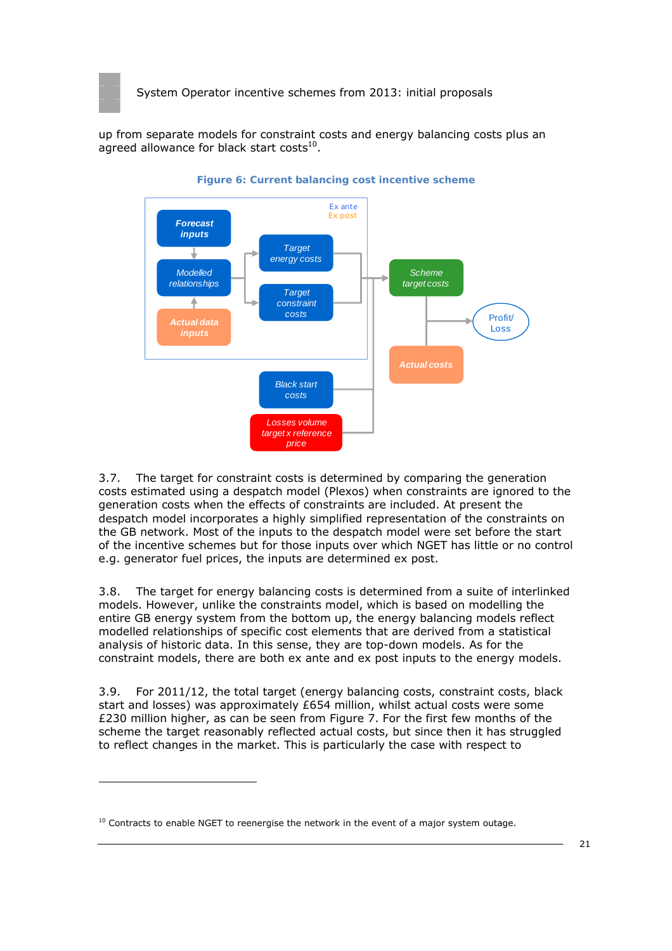

up from separate models for constraint costs and energy balancing costs plus an agreed allowance for black start costs $^{10}$ .



**Figure 6: Current balancing cost incentive scheme** 

3.7. The target for constraint costs is determined by comparing the generation costs estimated using a despatch model (Plexos) when constraints are ignored to the generation costs when the effects of constraints are included. At present the despatch model incorporates a highly simplified representation of the constraints on the GB network. Most of the inputs to the despatch model were set before the start of the incentive schemes but for those inputs over which NGET has little or no control e.g. generator fuel prices, the inputs are determined ex post.

3.8. The target for energy balancing costs is determined from a suite of interlinked models. However, unlike the constraints model, which is based on modelling the entire GB energy system from the bottom up, the energy balancing models reflect modelled relationships of specific cost elements that are derived from a statistical analysis of historic data. In this sense, they are top-down models. As for the constraint models, there are both ex ante and ex post inputs to the energy models.

3.9. For 2011/12, the total target (energy balancing costs, constraint costs, black start and losses) was approximately £654 million, whilst actual costs were some £230 million higher, as can be seen from Figure 7. For the first few months of the scheme the target reasonably reflected actual costs, but since then it has struggled to reflect changes in the market. This is particularly the case with respect to

 $10$  Contracts to enable NGET to reenergise the network in the event of a major system outage.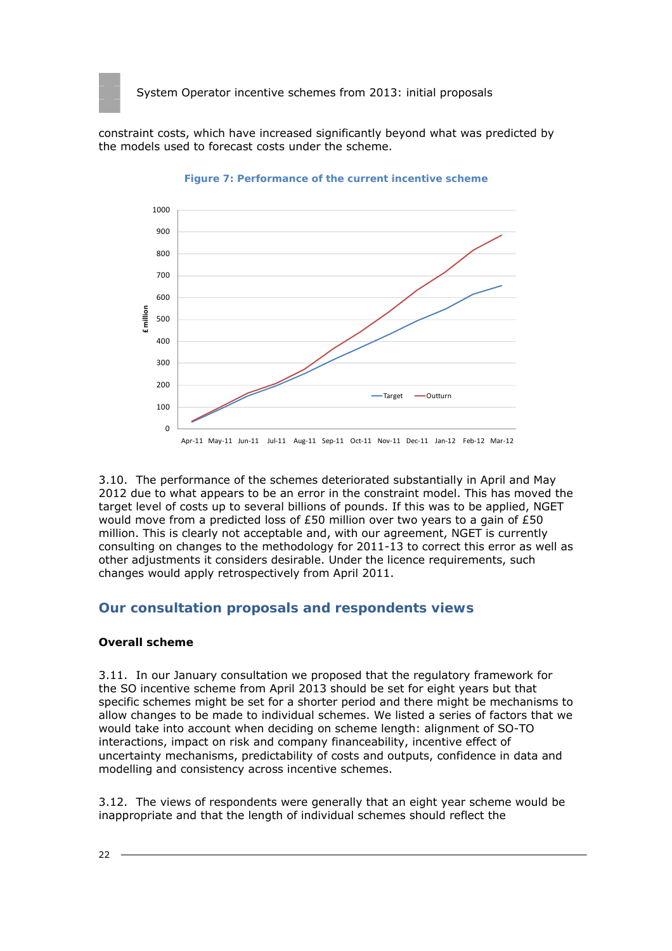

constraint costs, which have increased significantly beyond what was predicted by the models used to forecast costs under the scheme.



**Figure 7: Performance of the current incentive scheme** 

3.10. The performance of the schemes deteriorated substantially in April and May 2012 due to what appears to be an error in the constraint model. This has moved the target level of costs up to several billions of pounds. If this was to be applied, NGET would move from a predicted loss of £50 million over two years to a gain of £50 million. This is clearly not acceptable and, with our agreement, NGET is currently consulting on changes to the methodology for 2011-13 to correct this error as well as other adjustments it considers desirable. Under the licence requirements, such changes would apply retrospectively from April 2011.

# **Our consultation proposals and respondents views**

#### **Overall scheme**

3.11. In our January consultation we proposed that the regulatory framework for the SO incentive scheme from April 2013 should be set for eight years but that specific schemes might be set for a shorter period and there might be mechanisms to allow changes to be made to individual schemes. We listed a series of factors that we would take into account when deciding on scheme length: alignment of SO-TO interactions, impact on risk and company financeability, incentive effect of uncertainty mechanisms, predictability of costs and outputs, confidence in data and modelling and consistency across incentive schemes.

3.12. The views of respondents were generally that an eight year scheme would be inappropriate and that the length of individual schemes should reflect the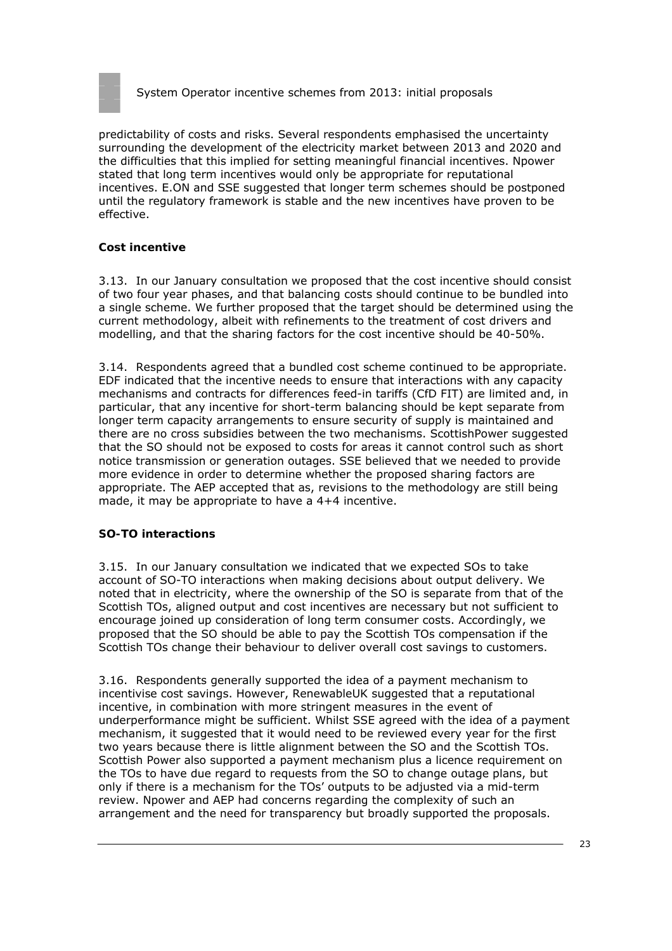

predictability of costs and risks. Several respondents emphasised the uncertainty surrounding the development of the electricity market between 2013 and 2020 and the difficulties that this implied for setting meaningful financial incentives. Npower stated that long term incentives would only be appropriate for reputational incentives. E.ON and SSE suggested that longer term schemes should be postponed until the regulatory framework is stable and the new incentives have proven to be effective.

#### **Cost incentive**

3.13. In our January consultation we proposed that the cost incentive should consist of two four year phases, and that balancing costs should continue to be bundled into a single scheme. We further proposed that the target should be determined using the current methodology, albeit with refinements to the treatment of cost drivers and modelling, and that the sharing factors for the cost incentive should be 40-50%.

3.14. Respondents agreed that a bundled cost scheme continued to be appropriate. EDF indicated that the incentive needs to ensure that interactions with any capacity mechanisms and contracts for differences feed-in tariffs (CfD FIT) are limited and, in particular, that any incentive for short-term balancing should be kept separate from longer term capacity arrangements to ensure security of supply is maintained and there are no cross subsidies between the two mechanisms. ScottishPower suggested that the SO should not be exposed to costs for areas it cannot control such as short notice transmission or generation outages. SSE believed that we needed to provide more evidence in order to determine whether the proposed sharing factors are appropriate. The AEP accepted that as, revisions to the methodology are still being made, it may be appropriate to have a 4+4 incentive.

#### **SO-TO interactions**

3.15. In our January consultation we indicated that we expected SOs to take account of SO-TO interactions when making decisions about output delivery. We noted that in electricity, where the ownership of the SO is separate from that of the Scottish TOs, aligned output and cost incentives are necessary but not sufficient to encourage joined up consideration of long term consumer costs. Accordingly, we proposed that the SO should be able to pay the Scottish TOs compensation if the Scottish TOs change their behaviour to deliver overall cost savings to customers.

3.16. Respondents generally supported the idea of a payment mechanism to incentivise cost savings. However, RenewableUK suggested that a reputational incentive, in combination with more stringent measures in the event of underperformance might be sufficient. Whilst SSE agreed with the idea of a payment mechanism, it suggested that it would need to be reviewed every year for the first two years because there is little alignment between the SO and the Scottish TOs. Scottish Power also supported a payment mechanism plus a licence requirement on the TOs to have due regard to requests from the SO to change outage plans, but only if there is a mechanism for the TOs' outputs to be adjusted via a mid-term review. Npower and AEP had concerns regarding the complexity of such an arrangement and the need for transparency but broadly supported the proposals.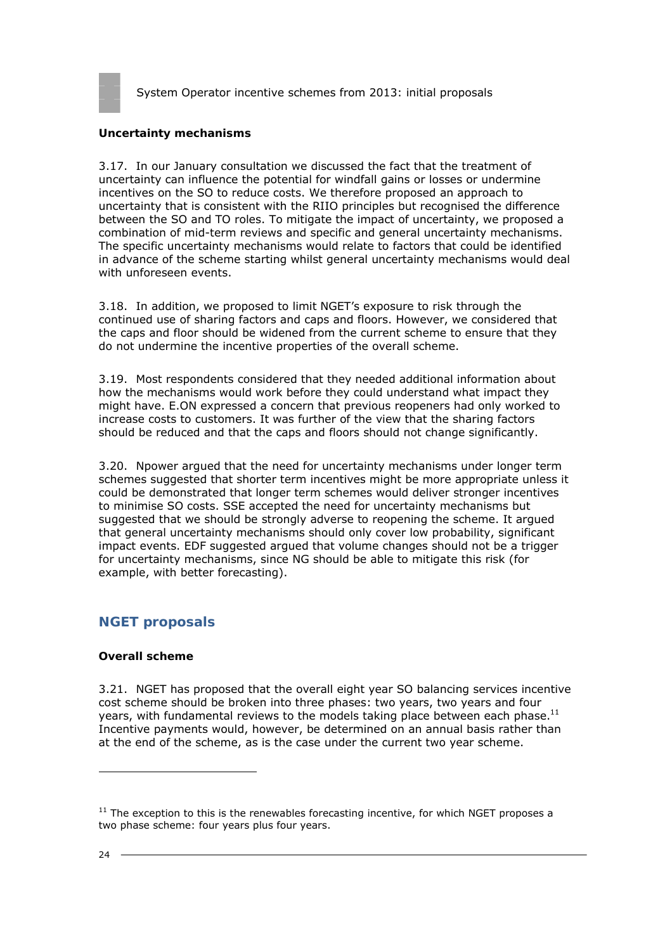

#### **Uncertainty mechanisms**

3.17. In our January consultation we discussed the fact that the treatment of uncertainty can influence the potential for windfall gains or losses or undermine incentives on the SO to reduce costs. We therefore proposed an approach to uncertainty that is consistent with the RIIO principles but recognised the difference between the SO and TO roles. To mitigate the impact of uncertainty, we proposed a combination of mid-term reviews and specific and general uncertainty mechanisms. The specific uncertainty mechanisms would relate to factors that could be identified in advance of the scheme starting whilst general uncertainty mechanisms would deal with unforeseen events.

3.18. In addition, we proposed to limit NGET's exposure to risk through the continued use of sharing factors and caps and floors. However, we considered that the caps and floor should be widened from the current scheme to ensure that they do not undermine the incentive properties of the overall scheme.

3.19. Most respondents considered that they needed additional information about how the mechanisms would work before they could understand what impact they might have. E.ON expressed a concern that previous reopeners had only worked to increase costs to customers. It was further of the view that the sharing factors should be reduced and that the caps and floors should not change significantly.

3.20. Npower argued that the need for uncertainty mechanisms under longer term schemes suggested that shorter term incentives might be more appropriate unless it could be demonstrated that longer term schemes would deliver stronger incentives to minimise SO costs. SSE accepted the need for uncertainty mechanisms but suggested that we should be strongly adverse to reopening the scheme. It argued that general uncertainty mechanisms should only cover low probability, significant impact events. EDF suggested argued that volume changes should not be a trigger for uncertainty mechanisms, since NG should be able to mitigate this risk (for example, with better forecasting).

# **NGET proposals**

#### **Overall scheme**

3.21. NGET has proposed that the overall eight year SO balancing services incentive cost scheme should be broken into three phases: two years, two years and four years, with fundamental reviews to the models taking place between each phase. $^{11}$ Incentive payments would, however, be determined on an annual basis rather than at the end of the scheme, as is the case under the current two year scheme.

 $11$  The exception to this is the renewables forecasting incentive, for which NGET proposes a two phase scheme: four years plus four years.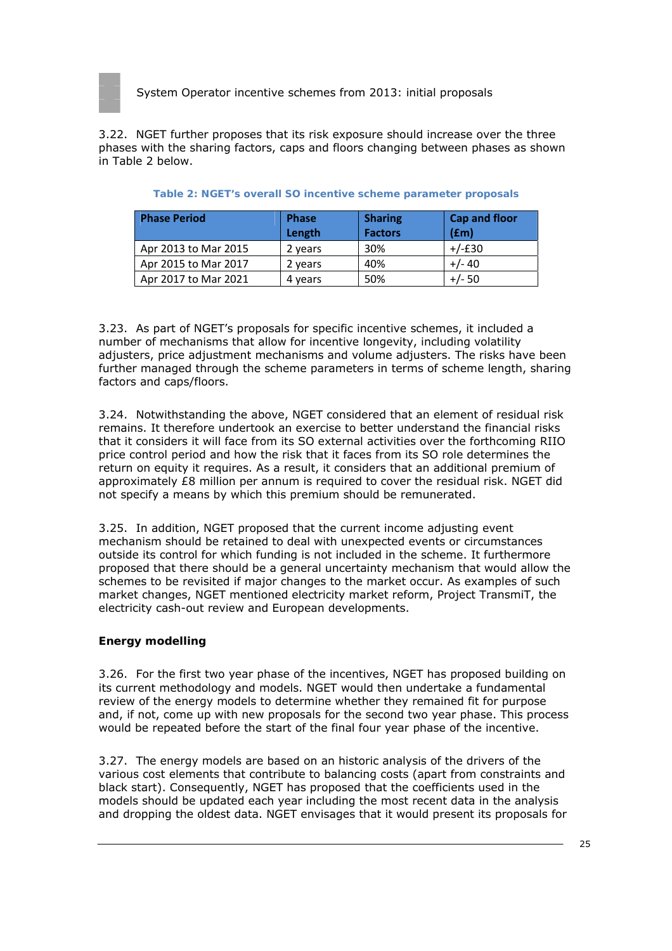

3.22. NGET further proposes that its risk exposure should increase over the three phases with the sharing factors, caps and floors changing between phases as shown in Table 2 below.

| <b>Phase Period</b>  | <b>Phase</b><br>Length | <b>Sharing</b><br><b>Factors</b> | <b>Cap and floor</b><br>(f <sub>em</sub> ) |
|----------------------|------------------------|----------------------------------|--------------------------------------------|
| Apr 2013 to Mar 2015 | 2 years                | 30%                              | $+/-E30$                                   |
| Apr 2015 to Mar 2017 | 2 years                | 40%                              | $+/- 40$                                   |
| Apr 2017 to Mar 2021 | 4 years                | 50%                              | +/- 50                                     |

|  | Table 2: NGET's overall SO incentive scheme parameter proposals |  |
|--|-----------------------------------------------------------------|--|

3.23. As part of NGET's proposals for specific incentive schemes, it included a number of mechanisms that allow for incentive longevity, including volatility adjusters, price adjustment mechanisms and volume adjusters. The risks have been further managed through the scheme parameters in terms of scheme length, sharing factors and caps/floors.

3.24. Notwithstanding the above, NGET considered that an element of residual risk remains. It therefore undertook an exercise to better understand the financial risks that it considers it will face from its SO external activities over the forthcoming RIIO price control period and how the risk that it faces from its SO role determines the return on equity it requires. As a result, it considers that an additional premium of approximately £8 million per annum is required to cover the residual risk. NGET did not specify a means by which this premium should be remunerated.

3.25. In addition, NGET proposed that the current income adjusting event mechanism should be retained to deal with unexpected events or circumstances outside its control for which funding is not included in the scheme. It furthermore proposed that there should be a general uncertainty mechanism that would allow the schemes to be revisited if major changes to the market occur. As examples of such market changes, NGET mentioned electricity market reform, Project TransmiT, the electricity cash-out review and European developments.

#### **Energy modelling**

3.26. For the first two year phase of the incentives, NGET has proposed building on its current methodology and models. NGET would then undertake a fundamental review of the energy models to determine whether they remained fit for purpose and, if not, come up with new proposals for the second two year phase. This process would be repeated before the start of the final four year phase of the incentive.

3.27. The energy models are based on an historic analysis of the drivers of the various cost elements that contribute to balancing costs (apart from constraints and black start). Consequently, NGET has proposed that the coefficients used in the models should be updated each year including the most recent data in the analysis and dropping the oldest data. NGET envisages that it would present its proposals for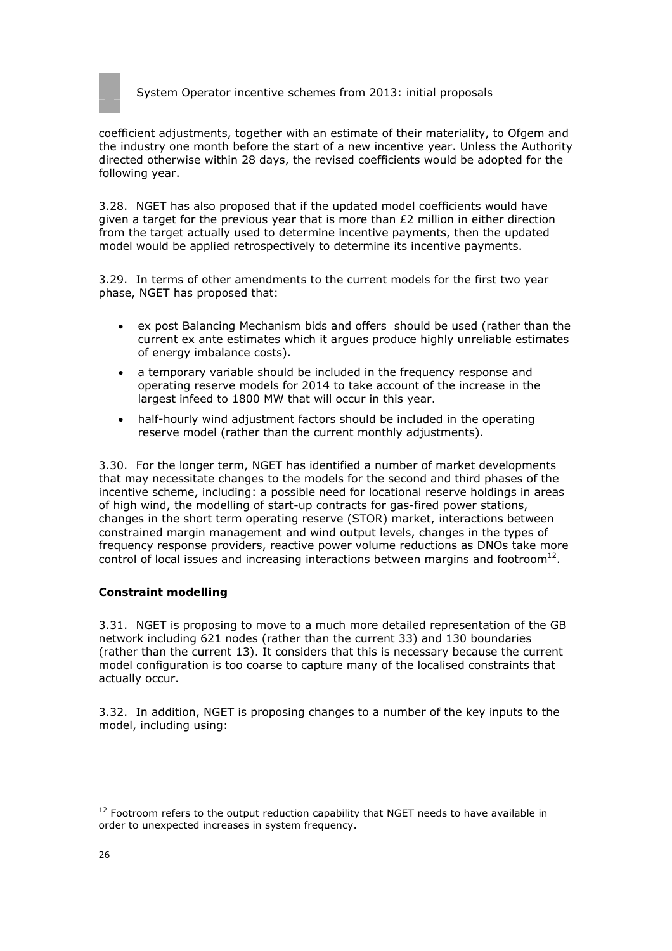

coefficient adjustments, together with an estimate of their materiality, to Ofgem and the industry one month before the start of a new incentive year. Unless the Authority directed otherwise within 28 days, the revised coefficients would be adopted for the following year.

3.28. NGET has also proposed that if the updated model coefficients would have given a target for the previous year that is more than  $E2$  million in either direction from the target actually used to determine incentive payments, then the updated model would be applied retrospectively to determine its incentive payments.

3.29. In terms of other amendments to the current models for the first two year phase, NGET has proposed that:

- ex post Balancing Mechanism bids and offers should be used (rather than the current ex ante estimates which it argues produce highly unreliable estimates of energy imbalance costs).
- a temporary variable should be included in the frequency response and operating reserve models for 2014 to take account of the increase in the largest infeed to 1800 MW that will occur in this year.
- half-hourly wind adjustment factors should be included in the operating reserve model (rather than the current monthly adjustments).

3.30. For the longer term, NGET has identified a number of market developments that may necessitate changes to the models for the second and third phases of the incentive scheme, including: a possible need for locational reserve holdings in areas of high wind, the modelling of start-up contracts for gas-fired power stations, changes in the short term operating reserve (STOR) market, interactions between constrained margin management and wind output levels, changes in the types of frequency response providers, reactive power volume reductions as DNOs take more control of local issues and increasing interactions between margins and footroom $^{12}$ .

#### **Constraint modelling**

3.31. NGET is proposing to move to a much more detailed representation of the GB network including 621 nodes (rather than the current 33) and 130 boundaries (rather than the current 13). It considers that this is necessary because the current model configuration is too coarse to capture many of the localised constraints that actually occur.

3.32. In addition, NGET is proposing changes to a number of the key inputs to the model, including using:

 $12$  Footroom refers to the output reduction capability that NGET needs to have available in order to unexpected increases in system frequency.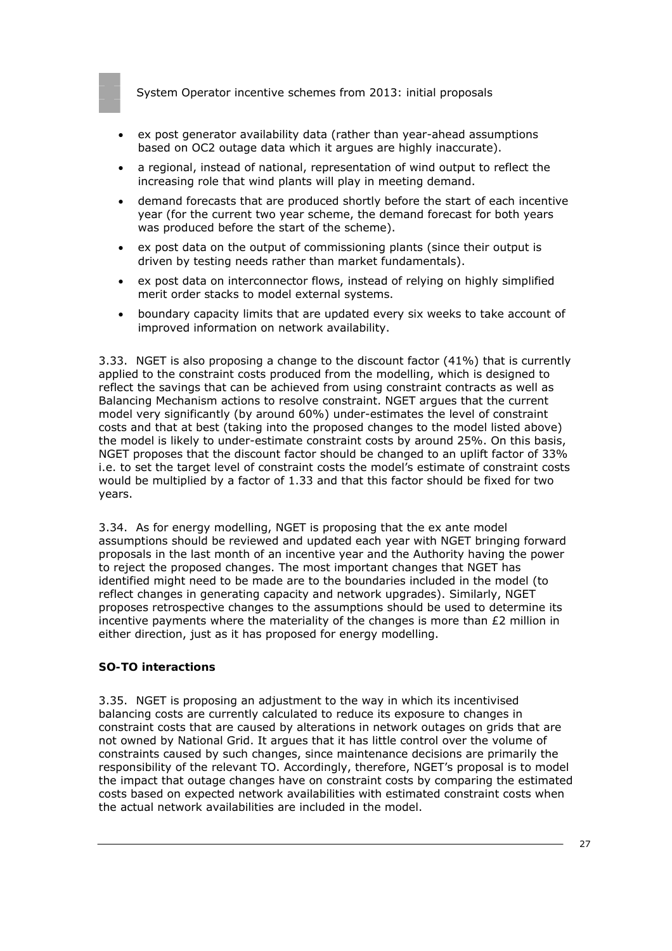- ex post generator availability data (rather than year-ahead assumptions based on OC2 outage data which it argues are highly inaccurate).
- a regional, instead of national, representation of wind output to reflect the increasing role that wind plants will play in meeting demand.
- demand forecasts that are produced shortly before the start of each incentive year (for the current two year scheme, the demand forecast for both years was produced before the start of the scheme).
- ex post data on the output of commissioning plants (since their output is driven by testing needs rather than market fundamentals).
- ex post data on interconnector flows, instead of relying on highly simplified merit order stacks to model external systems.
- boundary capacity limits that are updated every six weeks to take account of improved information on network availability.

3.33. NGET is also proposing a change to the discount factor (41%) that is currently applied to the constraint costs produced from the modelling, which is designed to reflect the savings that can be achieved from using constraint contracts as well as Balancing Mechanism actions to resolve constraint. NGET argues that the current model very significantly (by around 60%) under-estimates the level of constraint costs and that at best (taking into the proposed changes to the model listed above) the model is likely to under-estimate constraint costs by around 25%. On this basis, NGET proposes that the discount factor should be changed to an uplift factor of 33% i.e. to set the target level of constraint costs the model's estimate of constraint costs would be multiplied by a factor of 1.33 and that this factor should be fixed for two years.

3.34. As for energy modelling, NGET is proposing that the ex ante model assumptions should be reviewed and updated each year with NGET bringing forward proposals in the last month of an incentive year and the Authority having the power to reject the proposed changes. The most important changes that NGET has identified might need to be made are to the boundaries included in the model (to reflect changes in generating capacity and network upgrades). Similarly, NGET proposes retrospective changes to the assumptions should be used to determine its incentive payments where the materiality of the changes is more than  $E2$  million in either direction, just as it has proposed for energy modelling.

#### **SO-TO interactions**

3.35. NGET is proposing an adjustment to the way in which its incentivised balancing costs are currently calculated to reduce its exposure to changes in constraint costs that are caused by alterations in network outages on grids that are not owned by National Grid. It argues that it has little control over the volume of constraints caused by such changes, since maintenance decisions are primarily the responsibility of the relevant TO. Accordingly, therefore, NGET's proposal is to model the impact that outage changes have on constraint costs by comparing the estimated costs based on expected network availabilities with estimated constraint costs when the actual network availabilities are included in the model.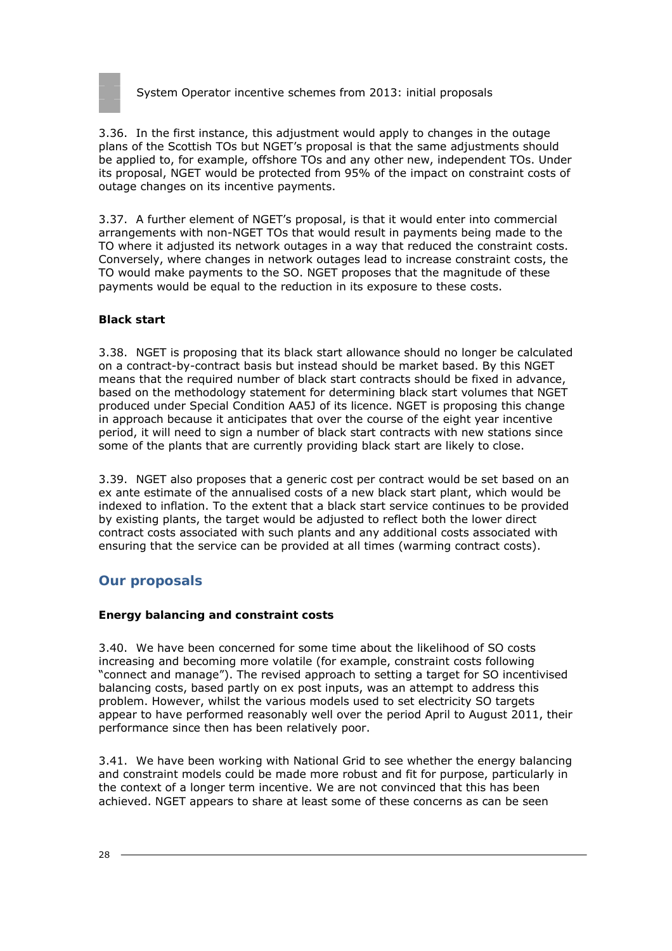

3.36. In the first instance, this adjustment would apply to changes in the outage plans of the Scottish TOs but NGET's proposal is that the same adjustments should be applied to, for example, offshore TOs and any other new, independent TOs. Under its proposal, NGET would be protected from 95% of the impact on constraint costs of outage changes on its incentive payments.

3.37. A further element of NGET's proposal, is that it would enter into commercial arrangements with non-NGET TOs that would result in payments being made to the TO where it adjusted its network outages in a way that reduced the constraint costs. Conversely, where changes in network outages lead to increase constraint costs, the TO would make payments to the SO. NGET proposes that the magnitude of these payments would be equal to the reduction in its exposure to these costs.

### **Black start**

3.38. NGET is proposing that its black start allowance should no longer be calculated on a contract-by-contract basis but instead should be market based. By this NGET means that the required number of black start contracts should be fixed in advance, based on the methodology statement for determining black start volumes that NGET produced under Special Condition AA5J of its licence. NGET is proposing this change in approach because it anticipates that over the course of the eight year incentive period, it will need to sign a number of black start contracts with new stations since some of the plants that are currently providing black start are likely to close.

3.39. NGET also proposes that a generic cost per contract would be set based on an ex ante estimate of the annualised costs of a new black start plant, which would be indexed to inflation. To the extent that a black start service continues to be provided by existing plants, the target would be adjusted to reflect both the lower direct contract costs associated with such plants and any additional costs associated with ensuring that the service can be provided at all times (warming contract costs).

# **Our proposals**

#### **Energy balancing and constraint costs**

3.40. We have been concerned for some time about the likelihood of SO costs increasing and becoming more volatile (for example, constraint costs following "connect and manage"). The revised approach to setting a target for SO incentivised balancing costs, based partly on ex post inputs, was an attempt to address this problem. However, whilst the various models used to set electricity SO targets appear to have performed reasonably well over the period April to August 2011, their performance since then has been relatively poor.

3.41. We have been working with National Grid to see whether the energy balancing and constraint models could be made more robust and fit for purpose, particularly in the context of a longer term incentive. We are not convinced that this has been achieved. NGET appears to share at least some of these concerns as can be seen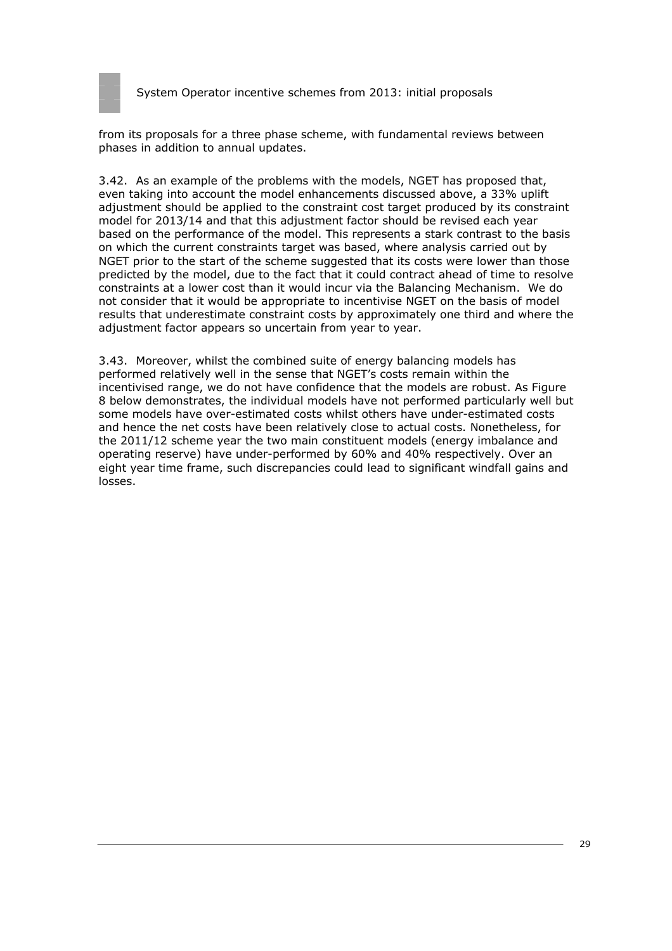

from its proposals for a three phase scheme, with fundamental reviews between phases in addition to annual updates.

3.42. As an example of the problems with the models, NGET has proposed that, even taking into account the model enhancements discussed above, a 33% uplift adjustment should be applied to the constraint cost target produced by its constraint model for 2013/14 and that this adjustment factor should be revised each year based on the performance of the model. This represents a stark contrast to the basis on which the current constraints target was based, where analysis carried out by NGET prior to the start of the scheme suggested that its costs were lower than those predicted by the model, due to the fact that it could contract ahead of time to resolve constraints at a lower cost than it would incur via the Balancing Mechanism. We do not consider that it would be appropriate to incentivise NGET on the basis of model results that underestimate constraint costs by approximately one third and where the adjustment factor appears so uncertain from year to year.

3.43. Moreover, whilst the combined suite of energy balancing models has performed relatively well in the sense that NGET's costs remain within the incentivised range, we do not have confidence that the models are robust. As Figure 8 below demonstrates, the individual models have not performed particularly well but some models have over-estimated costs whilst others have under-estimated costs and hence the net costs have been relatively close to actual costs. Nonetheless, for the 2011/12 scheme year the two main constituent models (energy imbalance and operating reserve) have under-performed by 60% and 40% respectively. Over an eight year time frame, such discrepancies could lead to significant windfall gains and losses.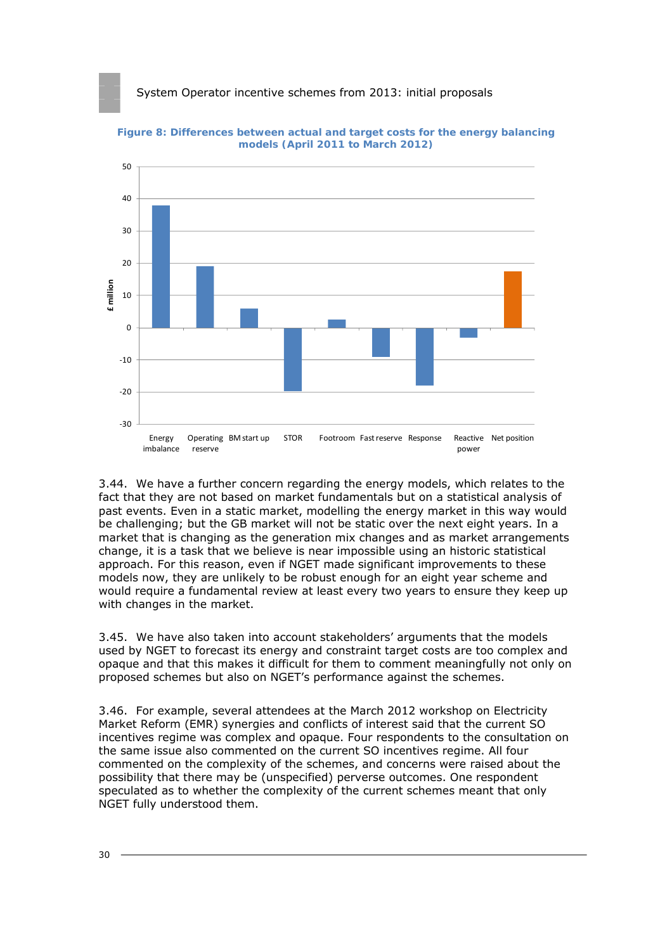

**Figure 8: Differences between actual and target costs for the energy balancing models (April 2011 to March 2012)** 

3.44. We have a further concern regarding the energy models, which relates to the fact that they are not based on market fundamentals but on a statistical analysis of past events. Even in a static market, modelling the energy market in this way would be challenging; but the GB market will not be static over the next eight years. In a market that is changing as the generation mix changes and as market arrangements change, it is a task that we believe is near impossible using an historic statistical approach. For this reason, even if NGET made significant improvements to these models now, they are unlikely to be robust enough for an eight year scheme and would require a fundamental review at least every two years to ensure they keep up with changes in the market.

3.45. We have also taken into account stakeholders' arguments that the models used by NGET to forecast its energy and constraint target costs are too complex and opaque and that this makes it difficult for them to comment meaningfully not only on proposed schemes but also on NGET's performance against the schemes.

3.46. For example, several attendees at the March 2012 workshop on Electricity Market Reform (EMR) synergies and conflicts of interest said that the current SO incentives regime was complex and opaque. Four respondents to the consultation on the same issue also commented on the current SO incentives regime. All four commented on the complexity of the schemes, and concerns were raised about the possibility that there may be (unspecified) perverse outcomes. One respondent speculated as to whether the complexity of the current schemes meant that only NGET fully understood them.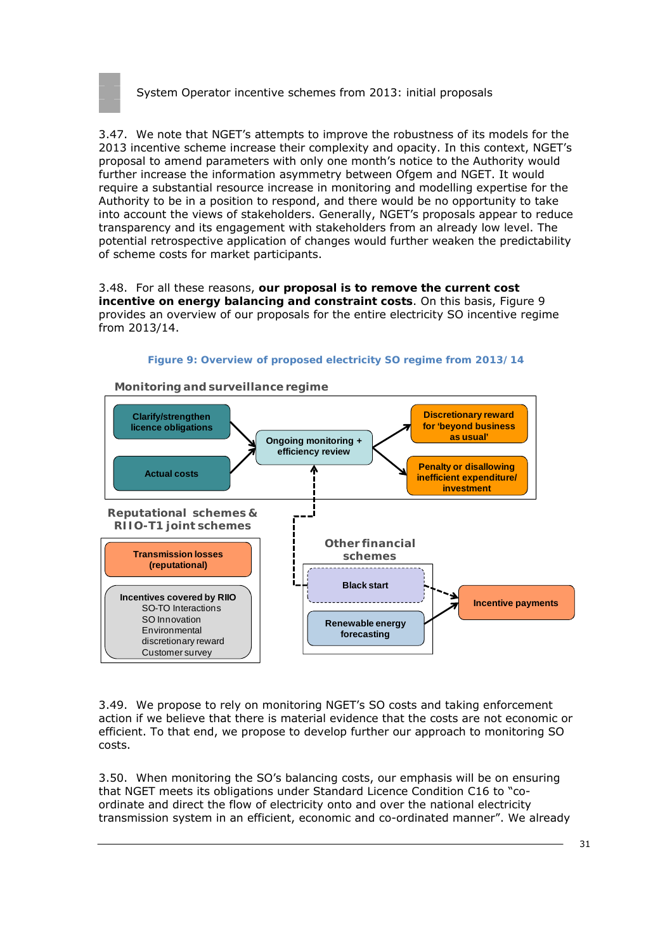

3.47. We note that NGET's attempts to improve the robustness of its models for the 2013 incentive scheme increase their complexity and opacity. In this context, NGET's proposal to amend parameters with only one month's notice to the Authority would further increase the information asymmetry between Ofgem and NGET. It would require a substantial resource increase in monitoring and modelling expertise for the Authority to be in a position to respond, and there would be no opportunity to take into account the views of stakeholders. Generally, NGET's proposals appear to reduce transparency and its engagement with stakeholders from an already low level. The potential retrospective application of changes would further weaken the predictability of scheme costs for market participants.

3.48. For all these reasons, **our proposal is to remove the current cost incentive on energy balancing and constraint costs**. On this basis, Figure 9 provides an overview of our proposals for the entire electricity SO incentive regime from 2013/14.



**Figure 9: Overview of proposed electricity SO regime from 2013/14** 

3.49. We propose to rely on monitoring NGET's SO costs and taking enforcement action if we believe that there is material evidence that the costs are not economic or efficient. To that end, we propose to develop further our approach to monitoring SO costs.

3.50. When monitoring the SO's balancing costs, our emphasis will be on ensuring that NGET meets its obligations under Standard Licence Condition C16 to "coordinate and direct the flow of electricity onto and over the national electricity transmission system in an efficient, economic and co-ordinated manner". We already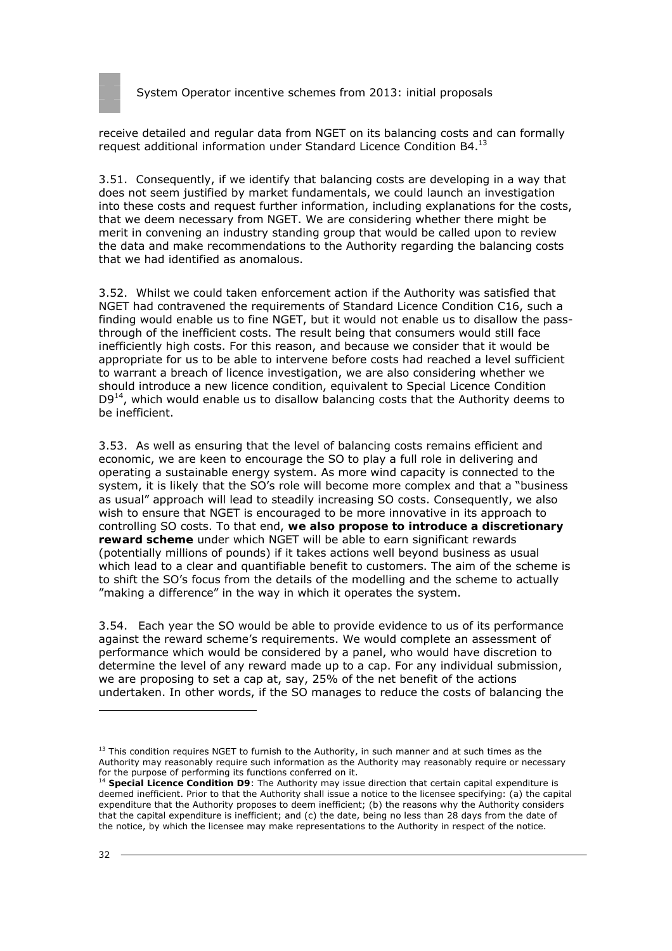

receive detailed and regular data from NGET on its balancing costs and can formally request additional information under Standard Licence Condition B4.13

3.51. Consequently, if we identify that balancing costs are developing in a way that does not seem justified by market fundamentals, we could launch an investigation into these costs and request further information, including explanations for the costs, that we deem necessary from NGET. We are considering whether there might be merit in convening an industry standing group that would be called upon to review the data and make recommendations to the Authority regarding the balancing costs that we had identified as anomalous.

3.52. Whilst we could taken enforcement action if the Authority was satisfied that NGET had contravened the requirements of Standard Licence Condition C16, such a finding would enable us to fine NGET, but it would not enable us to disallow the passthrough of the inefficient costs. The result being that consumers would still face inefficiently high costs. For this reason, and because we consider that it would be appropriate for us to be able to intervene before costs had reached a level sufficient to warrant a breach of licence investigation, we are also considering whether we should introduce a new licence condition, equivalent to Special Licence Condition  $D9<sup>14</sup>$ , which would enable us to disallow balancing costs that the Authority deems to be inefficient.

3.53. As well as ensuring that the level of balancing costs remains efficient and economic, we are keen to encourage the SO to play a full role in delivering and operating a sustainable energy system. As more wind capacity is connected to the system, it is likely that the SO's role will become more complex and that a "business as usual" approach will lead to steadily increasing SO costs. Consequently, we also wish to ensure that NGET is encouraged to be more innovative in its approach to controlling SO costs. To that end, **we also propose to introduce a discretionary reward scheme** under which NGET will be able to earn significant rewards (potentially millions of pounds) if it takes actions well beyond business as usual which lead to a clear and quantifiable benefit to customers. The aim of the scheme is to shift the SO's focus from the details of the modelling and the scheme to actually "making a difference" in the way in which it operates the system.

3.54. Each year the SO would be able to provide evidence to us of its performance against the reward scheme's requirements. We would complete an assessment of performance which would be considered by a panel, who would have discretion to determine the level of any reward made up to a cap. For any individual submission, we are proposing to set a cap at, say, 25% of the net benefit of the actions undertaken. In other words, if the SO manages to reduce the costs of balancing the

 $13$  This condition requires NGET to furnish to the Authority, in such manner and at such times as the Authority may reasonably require such information as the Authority may reasonably require or necessary for the purpose of performing its functions conferred on it.

<sup>&</sup>lt;sup>14</sup> Special Licence Condition D9: The Authority may issue direction that certain capital expenditure is deemed inefficient. Prior to that the Authority shall issue a notice to the licensee specifying: (a) the capital expenditure that the Authority proposes to deem inefficient; (b) the reasons why the Authority considers that the capital expenditure is inefficient; and (c) the date, being no less than 28 days from the date of the notice, by which the licensee may make representations to the Authority in respect of the notice.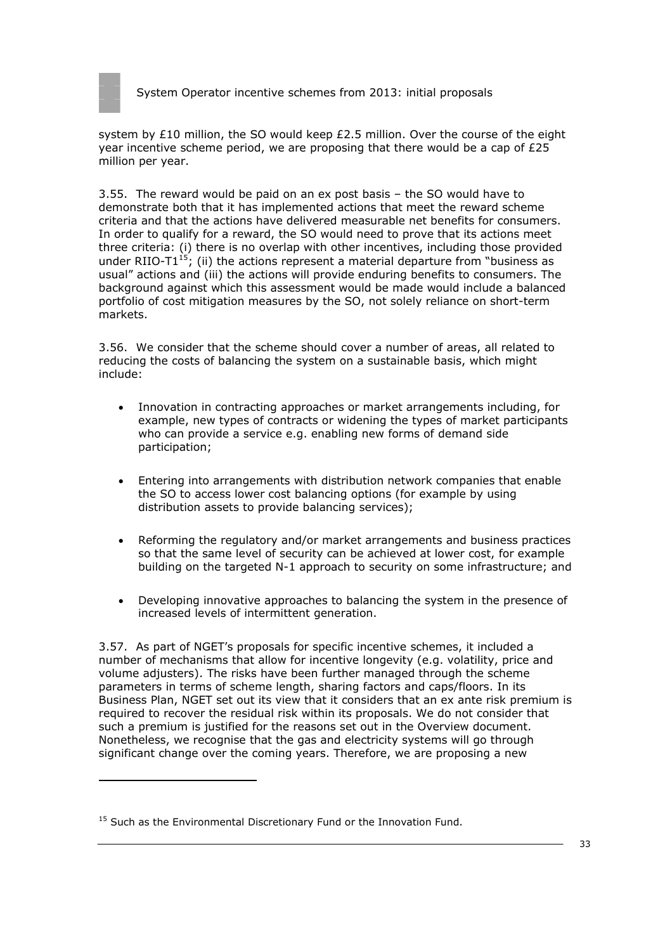

system by £10 million, the SO would keep £2.5 million. Over the course of the eight year incentive scheme period, we are proposing that there would be a cap of  $E25$ million per year.

3.55. The reward would be paid on an ex post basis – the SO would have to demonstrate both that it has implemented actions that meet the reward scheme criteria and that the actions have delivered measurable net benefits for consumers. In order to qualify for a reward, the SO would need to prove that its actions meet three criteria: (i) there is no overlap with other incentives, including those provided under RIIO-T1 $^{15}$ ; (ii) the actions represent a material departure from "business as usual" actions and (iii) the actions will provide enduring benefits to consumers. The background against which this assessment would be made would include a balanced portfolio of cost mitigation measures by the SO, not solely reliance on short-term markets.

3.56. We consider that the scheme should cover a number of areas, all related to reducing the costs of balancing the system on a sustainable basis, which might include:

- Innovation in contracting approaches or market arrangements including, for example, new types of contracts or widening the types of market participants who can provide a service e.g. enabling new forms of demand side participation;
- Entering into arrangements with distribution network companies that enable the SO to access lower cost balancing options (for example by using distribution assets to provide balancing services);
- Reforming the regulatory and/or market arrangements and business practices so that the same level of security can be achieved at lower cost, for example building on the targeted N-1 approach to security on some infrastructure; and
- Developing innovative approaches to balancing the system in the presence of increased levels of intermittent generation.

3.57. As part of NGET's proposals for specific incentive schemes, it included a number of mechanisms that allow for incentive longevity (e.g. volatility, price and volume adjusters). The risks have been further managed through the scheme parameters in terms of scheme length, sharing factors and caps/floors. In its Business Plan, NGET set out its view that it considers that an ex ante risk premium is required to recover the residual risk within its proposals. We do not consider that such a premium is justified for the reasons set out in the Overview document. Nonetheless, we recognise that the gas and electricity systems will go through significant change over the coming years. Therefore, we are proposing a new

<sup>&</sup>lt;sup>15</sup> Such as the Environmental Discretionary Fund or the Innovation Fund.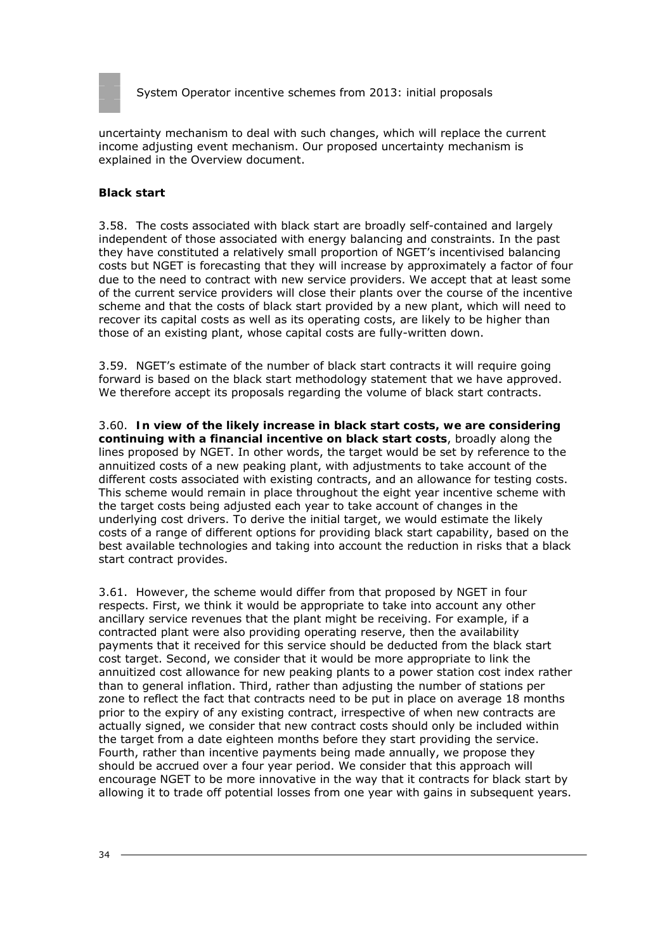

uncertainty mechanism to deal with such changes, which will replace the current income adjusting event mechanism. Our proposed uncertainty mechanism is explained in the Overview document.

#### **Black start**

3.58. The costs associated with black start are broadly self-contained and largely independent of those associated with energy balancing and constraints. In the past they have constituted a relatively small proportion of NGET's incentivised balancing costs but NGET is forecasting that they will increase by approximately a factor of four due to the need to contract with new service providers. We accept that at least some of the current service providers will close their plants over the course of the incentive scheme and that the costs of black start provided by a new plant, which will need to recover its capital costs as well as its operating costs, are likely to be higher than those of an existing plant, whose capital costs are fully-written down.

3.59. NGET's estimate of the number of black start contracts it will require going forward is based on the black start methodology statement that we have approved. We therefore accept its proposals regarding the volume of black start contracts.

3.60. **In view of the likely increase in black start costs, we are considering continuing with a financial incentive on black start costs**, broadly along the lines proposed by NGET. In other words, the target would be set by reference to the annuitized costs of a new peaking plant, with adjustments to take account of the different costs associated with existing contracts, and an allowance for testing costs. This scheme would remain in place throughout the eight year incentive scheme with the target costs being adjusted each year to take account of changes in the underlying cost drivers. To derive the initial target, we would estimate the likely costs of a range of different options for providing black start capability, based on the best available technologies and taking into account the reduction in risks that a black start contract provides.

3.61. However, the scheme would differ from that proposed by NGET in four respects. First, we think it would be appropriate to take into account any other ancillary service revenues that the plant might be receiving. For example, if a contracted plant were also providing operating reserve, then the availability payments that it received for this service should be deducted from the black start cost target. Second, we consider that it would be more appropriate to link the annuitized cost allowance for new peaking plants to a power station cost index rather than to general inflation. Third, rather than adjusting the number of stations per zone to reflect the fact that contracts need to be put in place on average 18 months prior to the expiry of any existing contract, irrespective of when new contracts are actually signed, we consider that new contract costs should only be included within the target from a date eighteen months before they start providing the service. Fourth, rather than incentive payments being made annually, we propose they should be accrued over a four year period. We consider that this approach will encourage NGET to be more innovative in the way that it contracts for black start by allowing it to trade off potential losses from one year with gains in subsequent years.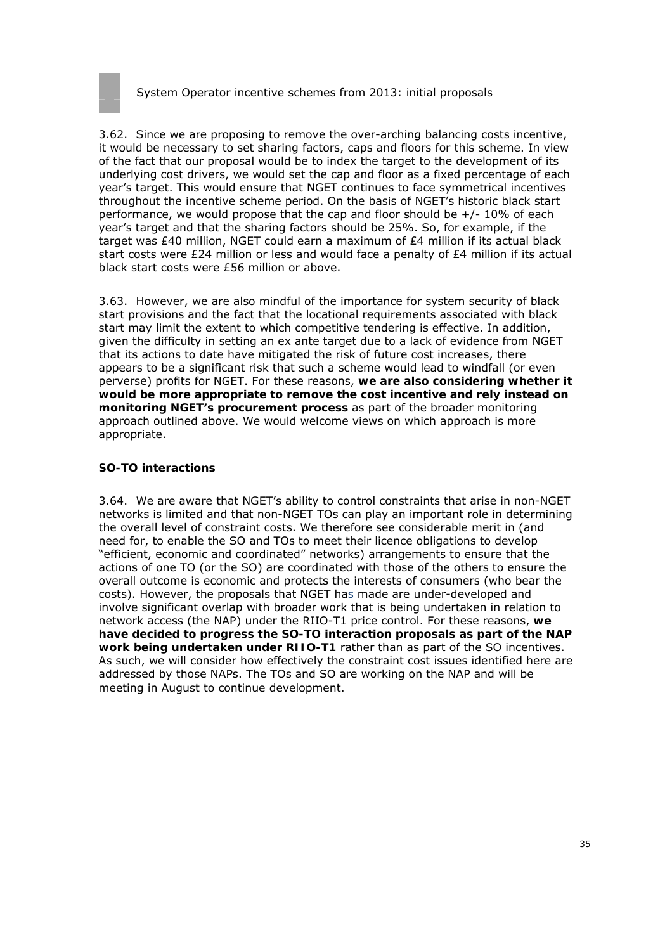

3.62. Since we are proposing to remove the over-arching balancing costs incentive, it would be necessary to set sharing factors, caps and floors for this scheme. In view of the fact that our proposal would be to index the target to the development of its underlying cost drivers, we would set the cap and floor as a fixed percentage of each year's target. This would ensure that NGET continues to face symmetrical incentives throughout the incentive scheme period. On the basis of NGET's historic black start performance, we would propose that the cap and floor should be +/- 10% of each year's target and that the sharing factors should be 25%. So, for example, if the target was £40 million, NGET could earn a maximum of £4 million if its actual black start costs were £24 million or less and would face a penalty of £4 million if its actual black start costs were £56 million or above.

3.63. However, we are also mindful of the importance for system security of black start provisions and the fact that the locational requirements associated with black start may limit the extent to which competitive tendering is effective. In addition, given the difficulty in setting an ex ante target due to a lack of evidence from NGET that its actions to date have mitigated the risk of future cost increases, there appears to be a significant risk that such a scheme would lead to windfall (or even perverse) profits for NGET. For these reasons, **we are also considering whether it would be more appropriate to remove the cost incentive and rely instead on monitoring NGET's procurement process** as part of the broader monitoring approach outlined above. We would welcome views on which approach is more appropriate.

#### **SO-TO interactions**

3.64. We are aware that NGET's ability to control constraints that arise in non-NGET networks is limited and that non-NGET TOs can play an important role in determining the overall level of constraint costs. We therefore see considerable merit in (and need for, to enable the SO and TOs to meet their licence obligations to develop "efficient, economic and coordinated" networks) arrangements to ensure that the actions of one TO (or the SO) are coordinated with those of the others to ensure the overall outcome is economic and protects the interests of consumers (who bear the costs). However, the proposals that NGET has made are under-developed and involve significant overlap with broader work that is being undertaken in relation to network access (the NAP) under the RIIO-T1 price control. For these reasons, **we have decided to progress the SO-TO interaction proposals as part of the NAP work being undertaken under RIIO-T1** rather than as part of the SO incentives. As such, we will consider how effectively the constraint cost issues identified here are addressed by those NAPs. The TOs and SO are working on the NAP and will be meeting in August to continue development.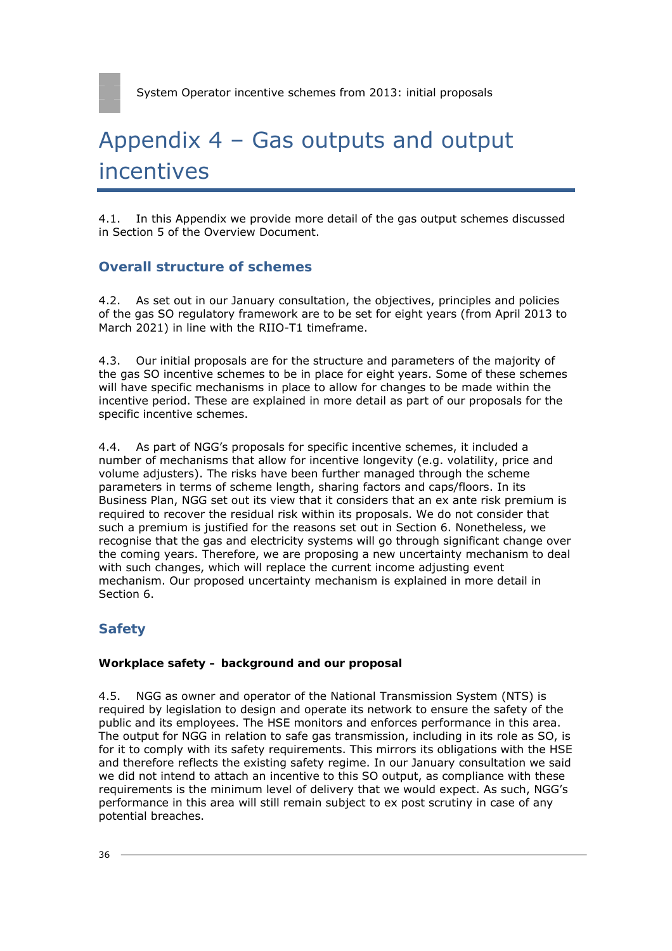# Appendix 4 – Gas outputs and output incentives

4.1. In this Appendix we provide more detail of the gas output schemes discussed in Section 5 of the Overview Document.

### **Overall structure of schemes**

4.2. As set out in our January consultation, the objectives, principles and policies of the gas SO regulatory framework are to be set for eight years (from April 2013 to March 2021) in line with the RIIO-T1 timeframe.

4.3. Our initial proposals are for the structure and parameters of the majority of the gas SO incentive schemes to be in place for eight years. Some of these schemes will have specific mechanisms in place to allow for changes to be made within the incentive period. These are explained in more detail as part of our proposals for the specific incentive schemes.

4.4. As part of NGG's proposals for specific incentive schemes, it included a number of mechanisms that allow for incentive longevity (e.g. volatility, price and volume adjusters). The risks have been further managed through the scheme parameters in terms of scheme length, sharing factors and caps/floors. In its Business Plan, NGG set out its view that it considers that an ex ante risk premium is required to recover the residual risk within its proposals. We do not consider that such a premium is justified for the reasons set out in Section 6. Nonetheless, we recognise that the gas and electricity systems will go through significant change over the coming years. Therefore, we are proposing a new uncertainty mechanism to deal with such changes, which will replace the current income adjusting event mechanism. Our proposed uncertainty mechanism is explained in more detail in Section 6.

# **Safety**

### **Workplace safety – background and our proposal**

4.5. NGG as owner and operator of the National Transmission System (NTS) is required by legislation to design and operate its network to ensure the safety of the public and its employees. The HSE monitors and enforces performance in this area. The output for NGG in relation to safe gas transmission, including in its role as SO, is for it to comply with its safety requirements. This mirrors its obligations with the HSE and therefore reflects the existing safety regime. In our January consultation we said we did not intend to attach an incentive to this SO output, as compliance with these requirements is the minimum level of delivery that we would expect. As such, NGG's performance in this area will still remain subject to ex post scrutiny in case of any potential breaches.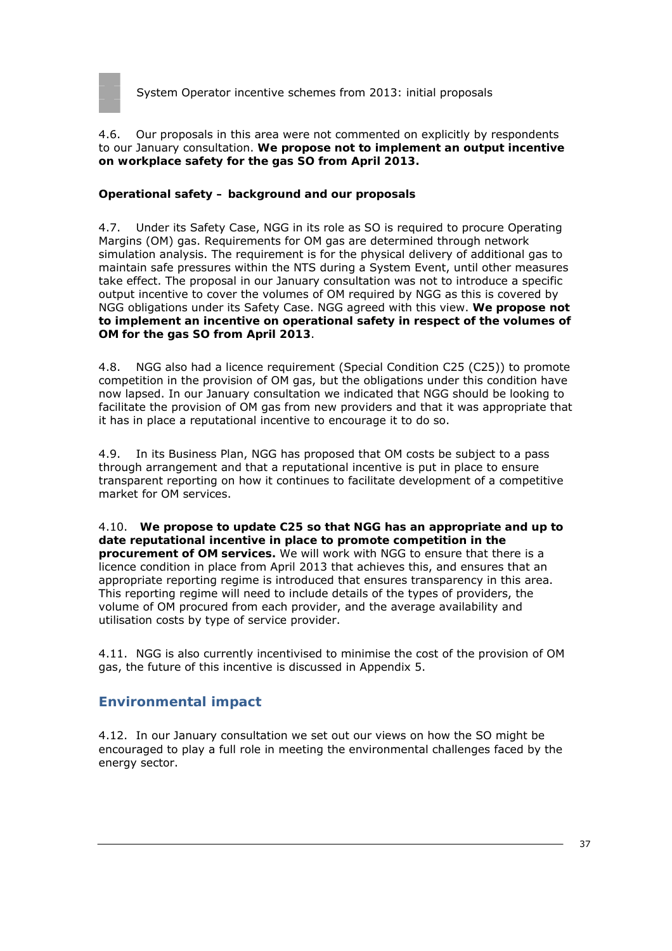

4.6. Our proposals in this area were not commented on explicitly by respondents to our January consultation. **We propose not to implement an output incentive on workplace safety for the gas SO from April 2013.**

### **Operational safety – background and our proposals**

4.7. Under its Safety Case, NGG in its role as SO is required to procure Operating Margins (OM) gas. Requirements for OM gas are determined through network simulation analysis. The requirement is for the physical delivery of additional gas to maintain safe pressures within the NTS during a System Event, until other measures take effect. The proposal in our January consultation was not to introduce a specific output incentive to cover the volumes of OM required by NGG as this is covered by NGG obligations under its Safety Case. NGG agreed with this view. **We propose not to implement an incentive on operational safety in respect of the volumes of OM for the gas SO from April 2013**.

4.8. NGG also had a licence requirement (Special Condition C25 (C25)) to promote competition in the provision of OM gas, but the obligations under this condition have now lapsed. In our January consultation we indicated that NGG should be looking to facilitate the provision of OM gas from new providers and that it was appropriate that it has in place a reputational incentive to encourage it to do so.

4.9. In its Business Plan, NGG has proposed that OM costs be subject to a pass through arrangement and that a reputational incentive is put in place to ensure transparent reporting on how it continues to facilitate development of a competitive market for OM services.

4.10. **We propose to update C25 so that NGG has an appropriate and up to date reputational incentive in place to promote competition in the procurement of OM services.** We will work with NGG to ensure that there is a licence condition in place from April 2013 that achieves this, and ensures that an appropriate reporting regime is introduced that ensures transparency in this area. This reporting regime will need to include details of the types of providers, the volume of OM procured from each provider, and the average availability and utilisation costs by type of service provider.

4.11. NGG is also currently incentivised to minimise the cost of the provision of OM gas, the future of this incentive is discussed in Appendix 5.

## **Environmental impact**

4.12. In our January consultation we set out our views on how the SO might be encouraged to play a full role in meeting the environmental challenges faced by the energy sector.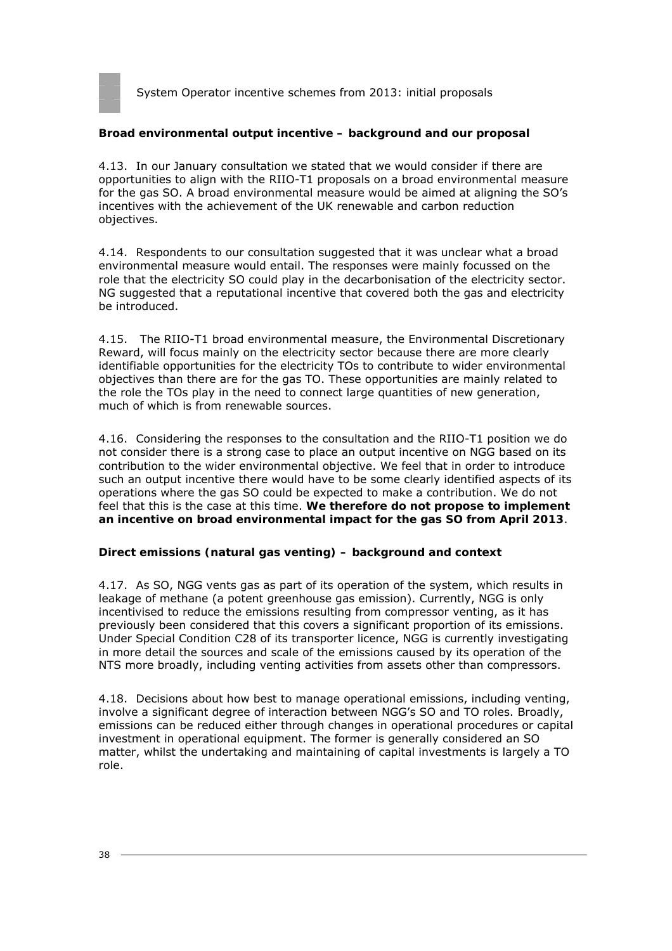

#### **Broad environmental output incentive – background and our proposal**

4.13. In our January consultation we stated that we would consider if there are opportunities to align with the RIIO-T1 proposals on a broad environmental measure for the gas SO. A broad environmental measure would be aimed at aligning the SO's incentives with the achievement of the UK renewable and carbon reduction objectives.

4.14. Respondents to our consultation suggested that it was unclear what a broad environmental measure would entail. The responses were mainly focussed on the role that the electricity SO could play in the decarbonisation of the electricity sector. NG suggested that a reputational incentive that covered both the gas and electricity be introduced.

4.15. The RIIO-T1 broad environmental measure, the Environmental Discretionary Reward, will focus mainly on the electricity sector because there are more clearly identifiable opportunities for the electricity TOs to contribute to wider environmental objectives than there are for the gas TO. These opportunities are mainly related to the role the TOs play in the need to connect large quantities of new generation, much of which is from renewable sources.

4.16. Considering the responses to the consultation and the RIIO-T1 position we do not consider there is a strong case to place an output incentive on NGG based on its contribution to the wider environmental objective. We feel that in order to introduce such an output incentive there would have to be some clearly identified aspects of its operations where the gas SO could be expected to make a contribution. We do not feel that this is the case at this time. **We therefore do not propose to implement an incentive on broad environmental impact for the gas SO from April 2013**.

#### **Direct emissions (natural gas venting) – background and context**

4.17. As SO, NGG vents gas as part of its operation of the system, which results in leakage of methane (a potent greenhouse gas emission). Currently, NGG is only incentivised to reduce the emissions resulting from compressor venting, as it has previously been considered that this covers a significant proportion of its emissions. Under Special Condition C28 of its transporter licence, NGG is currently investigating in more detail the sources and scale of the emissions caused by its operation of the NTS more broadly, including venting activities from assets other than compressors.

4.18. Decisions about how best to manage operational emissions, including venting, involve a significant degree of interaction between NGG's SO and TO roles. Broadly, emissions can be reduced either through changes in operational procedures or capital investment in operational equipment. The former is generally considered an SO matter, whilst the undertaking and maintaining of capital investments is largely a TO role.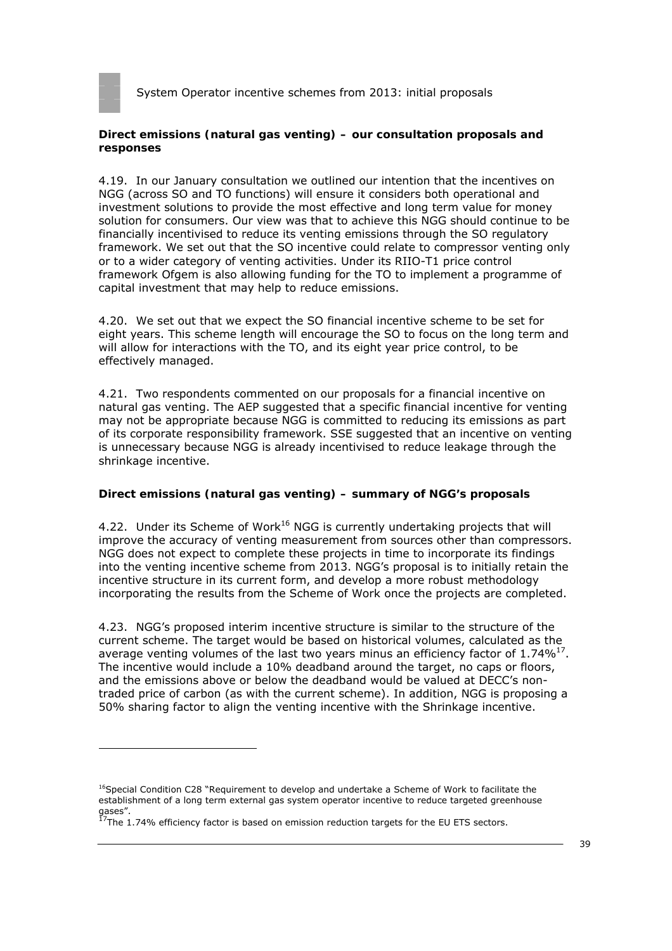

#### **Direct emissions (natural gas venting) – our consultation proposals and responses**

4.19. In our January consultation we outlined our intention that the incentives on NGG (across SO and TO functions) will ensure it considers both operational and investment solutions to provide the most effective and long term value for money solution for consumers. Our view was that to achieve this NGG should continue to be financially incentivised to reduce its venting emissions through the SO regulatory framework. We set out that the SO incentive could relate to compressor venting only or to a wider category of venting activities. Under its RIIO-T1 price control framework Ofgem is also allowing funding for the TO to implement a programme of capital investment that may help to reduce emissions.

4.20. We set out that we expect the SO financial incentive scheme to be set for eight years. This scheme length will encourage the SO to focus on the long term and will allow for interactions with the TO, and its eight year price control, to be effectively managed.

4.21. Two respondents commented on our proposals for a financial incentive on natural gas venting. The AEP suggested that a specific financial incentive for venting may not be appropriate because NGG is committed to reducing its emissions as part of its corporate responsibility framework. SSE suggested that an incentive on venting is unnecessary because NGG is already incentivised to reduce leakage through the shrinkage incentive.

#### **Direct emissions (natural gas venting) – summary of NGG's proposals**

4.22. Under its Scheme of Work $16$  NGG is currently undertaking projects that will improve the accuracy of venting measurement from sources other than compressors. NGG does not expect to complete these projects in time to incorporate its findings into the venting incentive scheme from 2013. NGG's proposal is to initially retain the incentive structure in its current form, and develop a more robust methodology incorporating the results from the Scheme of Work once the projects are completed.

4.23. NGG's proposed interim incentive structure is similar to the structure of the current scheme. The target would be based on historical volumes, calculated as the average venting volumes of the last two years minus an efficiency factor of  $1.74\%^{17}$ . The incentive would include a 10% deadband around the target, no caps or floors, and the emissions above or below the deadband would be valued at DECC's nontraded price of carbon (as with the current scheme). In addition, NGG is proposing a 50% sharing factor to align the venting incentive with the Shrinkage incentive.

<sup>&</sup>lt;sup>16</sup>Special Condition C28 "Requirement to develop and undertake a Scheme of Work to facilitate the establishment of a long term external gas system operator incentive to reduce targeted greenhouse gases".

 $^{17}$ The 1.74% efficiency factor is based on emission reduction targets for the EU ETS sectors.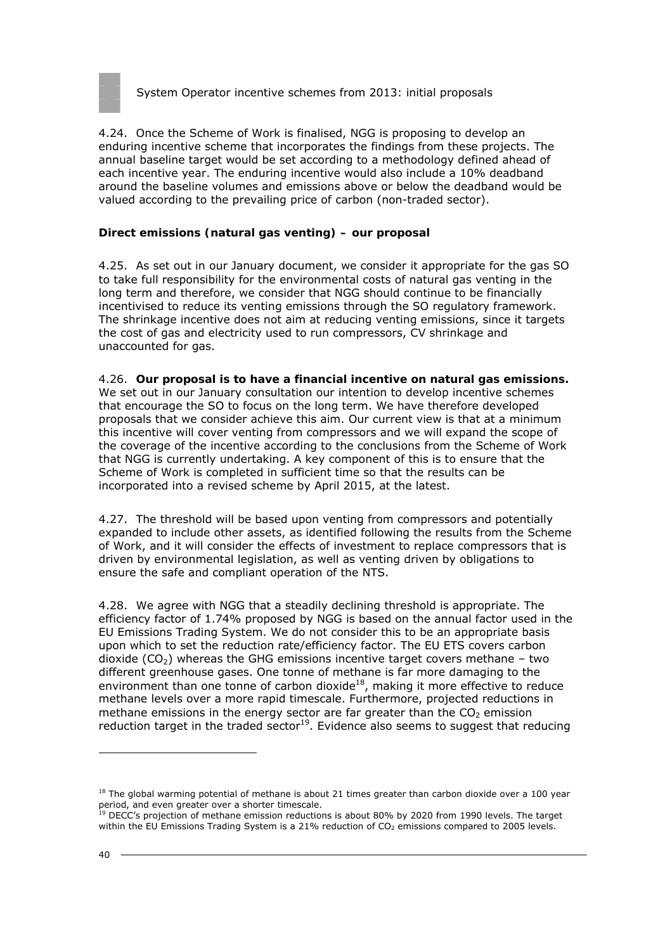

4.24. Once the Scheme of Work is finalised, NGG is proposing to develop an enduring incentive scheme that incorporates the findings from these projects. The annual baseline target would be set according to a methodology defined ahead of each incentive year. The enduring incentive would also include a 10% deadband around the baseline volumes and emissions above or below the deadband would be valued according to the prevailing price of carbon (non-traded sector).

### **Direct emissions (natural gas venting) – our proposal**

4.25. As set out in our January document, we consider it appropriate for the gas SO to take full responsibility for the environmental costs of natural gas venting in the long term and therefore, we consider that NGG should continue to be financially incentivised to reduce its venting emissions through the SO regulatory framework. The shrinkage incentive does not aim at reducing venting emissions, since it targets the cost of gas and electricity used to run compressors, CV shrinkage and unaccounted for gas.

4.26. **Our proposal is to have a financial incentive on natural gas emissions.**  We set out in our January consultation our intention to develop incentive schemes that encourage the SO to focus on the long term. We have therefore developed proposals that we consider achieve this aim. Our current view is that at a minimum this incentive will cover venting from compressors and we will expand the scope of the coverage of the incentive according to the conclusions from the Scheme of Work that NGG is currently undertaking. A key component of this is to ensure that the Scheme of Work is completed in sufficient time so that the results can be incorporated into a revised scheme by April 2015, at the latest.

4.27. The threshold will be based upon venting from compressors and potentially expanded to include other assets, as identified following the results from the Scheme of Work, and it will consider the effects of investment to replace compressors that is driven by environmental legislation, as well as venting driven by obligations to ensure the safe and compliant operation of the NTS.

4.28. We agree with NGG that a steadily declining threshold is appropriate. The efficiency factor of 1.74% proposed by NGG is based on the annual factor used in the EU Emissions Trading System. We do not consider this to be an appropriate basis upon which to set the reduction rate/efficiency factor. The EU ETS covers carbon dioxide ( $CO<sub>2</sub>$ ) whereas the GHG emissions incentive target covers methane – two different greenhouse gases. One tonne of methane is far more damaging to the environment than one tonne of carbon dioxide $18$ , making it more effective to reduce methane levels over a more rapid timescale. Furthermore, projected reductions in methane emissions in the energy sector are far greater than the  $CO<sub>2</sub>$  emission reduction target in the traded sector<sup>19</sup>. Evidence also seems to suggest that reducing

 $18$  The global warming potential of methane is about 21 times greater than carbon dioxide over a 100 year period, and even greater over a shorter timescale.

 $19$  DECC's projection of methane emission reductions is about 80% by 2020 from 1990 levels. The target within the EU Emissions Trading System is a 21% reduction of CO<sub>2</sub> emissions compared to 2005 levels.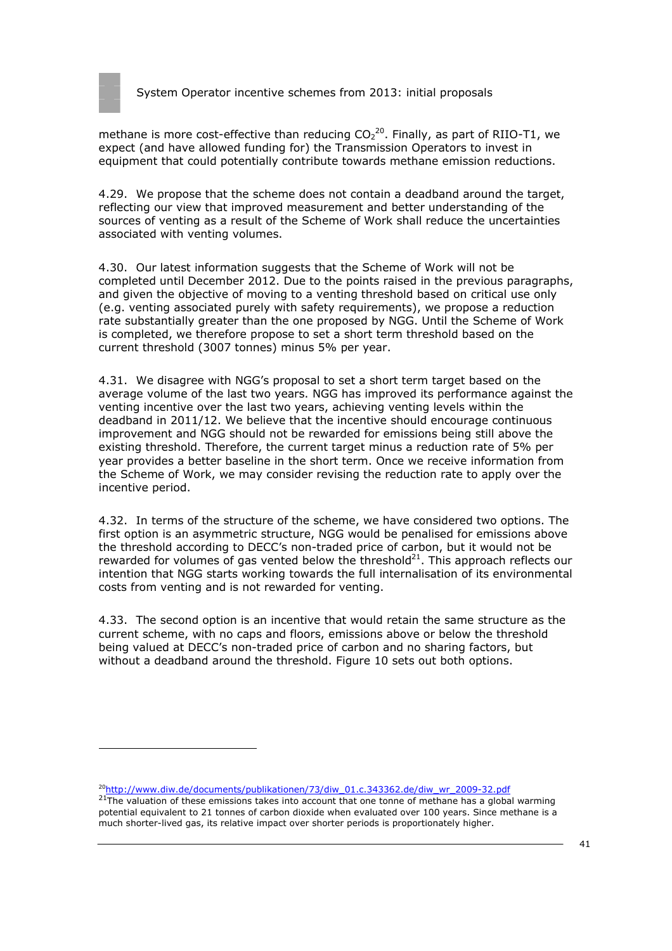

methane is more cost-effective than reducing  $CO_2^{20}$ . Finally, as part of RIIO-T1, we expect (and have allowed funding for) the Transmission Operators to invest in equipment that could potentially contribute towards methane emission reductions.

4.29. We propose that the scheme does not contain a deadband around the target, reflecting our view that improved measurement and better understanding of the sources of venting as a result of the Scheme of Work shall reduce the uncertainties associated with venting volumes.

4.30. Our latest information suggests that the Scheme of Work will not be completed until December 2012. Due to the points raised in the previous paragraphs, and given the objective of moving to a venting threshold based on critical use only (e.g. venting associated purely with safety requirements), we propose a reduction rate substantially greater than the one proposed by NGG. Until the Scheme of Work is completed, we therefore propose to set a short term threshold based on the current threshold (3007 tonnes) minus 5% per year.

4.31. We disagree with NGG's proposal to set a short term target based on the average volume of the last two years. NGG has improved its performance against the venting incentive over the last two years, achieving venting levels within the deadband in 2011/12. We believe that the incentive should encourage continuous improvement and NGG should not be rewarded for emissions being still above the existing threshold. Therefore, the current target minus a reduction rate of 5% per year provides a better baseline in the short term. Once we receive information from the Scheme of Work, we may consider revising the reduction rate to apply over the incentive period.

4.32. In terms of the structure of the scheme, we have considered two options. The first option is an asymmetric structure, NGG would be penalised for emissions above the threshold according to DECC's non-traded price of carbon, but it would not be rewarded for volumes of gas vented below the threshold $^{21}$ . This approach reflects our intention that NGG starts working towards the full internalisation of its environmental costs from venting and is not rewarded for venting.

4.33. The second option is an incentive that would retain the same structure as the current scheme, with no caps and floors, emissions above or below the threshold being valued at DECC's non-traded price of carbon and no sharing factors, but without a deadband around the threshold. Figure 10 sets out both options.

20http://www.diw.de/documents/publikationen/73/diw\_01.c.343362.de/diw\_wr\_2009-32.pdf

<sup>21</sup>The valuation of these emissions takes into account that one tonne of methane has a global warming potential equivalent to 21 tonnes of carbon dioxide when evaluated over 100 years. Since methane is a much shorter-lived gas, its relative impact over shorter periods is proportionately higher.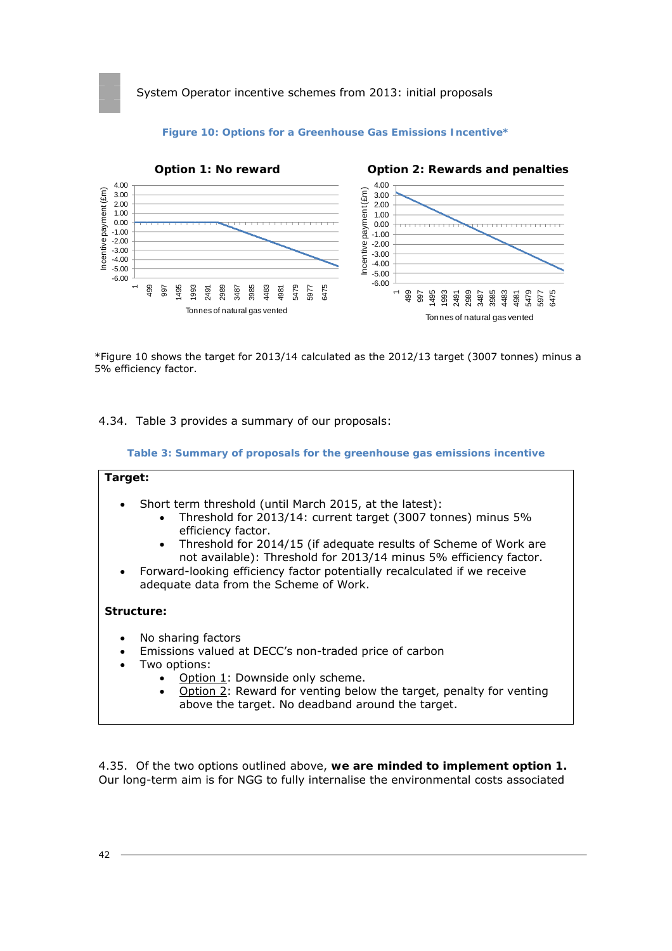

#### **Figure 10: Options for a Greenhouse Gas Emissions Incentive\***

\*Figure 10 shows the target for 2013/14 calculated as the 2012/13 target (3007 tonnes) minus a 5% efficiency factor.

4.34. Table 3 provides a summary of our proposals:

**Table 3: Summary of proposals for the greenhouse gas emissions incentive** 

| Target:                             |                                                                                                                                                                                                                                                                                                                                                                                                                |  |  |  |
|-------------------------------------|----------------------------------------------------------------------------------------------------------------------------------------------------------------------------------------------------------------------------------------------------------------------------------------------------------------------------------------------------------------------------------------------------------------|--|--|--|
| $\bullet$<br>$\bullet$<br>$\bullet$ | Short term threshold (until March 2015, at the latest):<br>Threshold for 2013/14: current target (3007 tonnes) minus 5%<br>efficiency factor.<br>Threshold for 2014/15 (if adequate results of Scheme of Work are<br>not available): Threshold for 2013/14 minus 5% efficiency factor.<br>• Forward-looking efficiency factor potentially recalculated if we receive<br>adequate data from the Scheme of Work. |  |  |  |
| Structure:                          |                                                                                                                                                                                                                                                                                                                                                                                                                |  |  |  |
| $\bullet$<br>$\bullet$<br>$\bullet$ | No sharing factors<br>Emissions valued at DECC's non-traded price of carbon<br>Two options:<br>Option 1: Downside only scheme.<br>Option 2: Reward for venting below the target, penalty for venting<br>above the target. No deadband around the target.                                                                                                                                                       |  |  |  |

4.35. Of the two options outlined above, **we are minded to implement option 1.** Our long-term aim is for NGG to fully internalise the environmental costs associated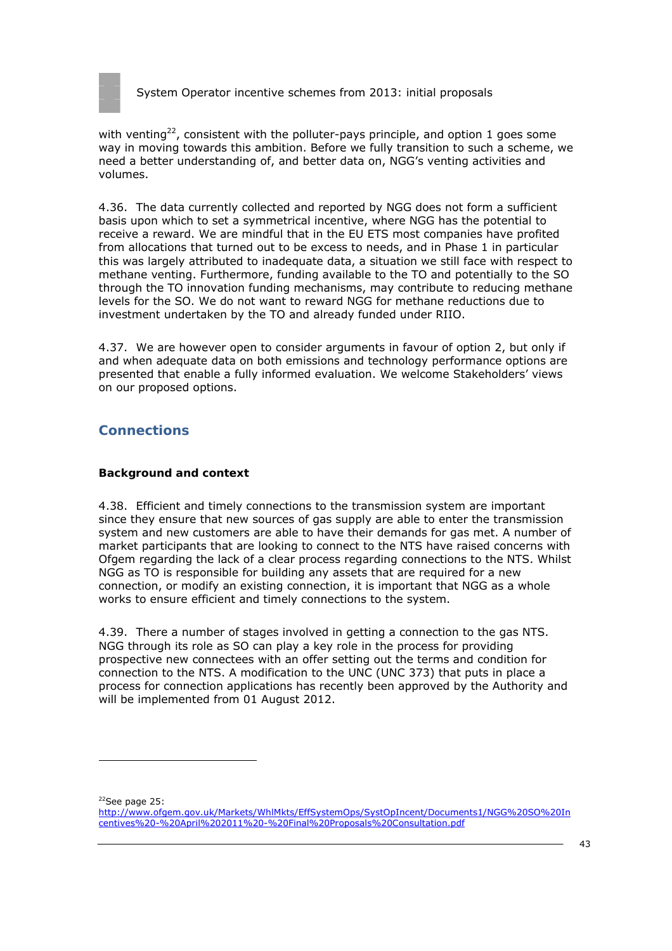

with venting<sup>22</sup>, consistent with the polluter-pays principle, and option 1 goes some way in moving towards this ambition. Before we fully transition to such a scheme, we need a better understanding of, and better data on, NGG's venting activities and volumes.

4.36. The data currently collected and reported by NGG does not form a sufficient basis upon which to set a symmetrical incentive, where NGG has the potential to receive a reward. We are mindful that in the EU ETS most companies have profited from allocations that turned out to be excess to needs, and in Phase 1 in particular this was largely attributed to inadequate data, a situation we still face with respect to methane venting. Furthermore, funding available to the TO and potentially to the SO through the TO innovation funding mechanisms, may contribute to reducing methane levels for the SO. We do not want to reward NGG for methane reductions due to investment undertaken by the TO and already funded under RIIO.

4.37. We are however open to consider arguments in favour of option 2, but only if and when adequate data on both emissions and technology performance options are presented that enable a fully informed evaluation. We welcome Stakeholders' views on our proposed options.

# **Connections**

## **Background and context**

4.38. Efficient and timely connections to the transmission system are important since they ensure that new sources of gas supply are able to enter the transmission system and new customers are able to have their demands for gas met. A number of market participants that are looking to connect to the NTS have raised concerns with Ofgem regarding the lack of a clear process regarding connections to the NTS. Whilst NGG as TO is responsible for building any assets that are required for a new connection, or modify an existing connection, it is important that NGG as a whole works to ensure efficient and timely connections to the system.

4.39. There a number of stages involved in getting a connection to the gas NTS. NGG through its role as SO can play a key role in the process for providing prospective new connectees with an offer setting out the terms and condition for connection to the NTS. A modification to the UNC (UNC 373) that puts in place a process for connection applications has recently been approved by the Authority and will be implemented from 01 August 2012.

 $22$ See page 25:

http://www.ofgem.gov.uk/Markets/WhlMkts/EffSystemOps/SystOpIncent/Documents1/NGG%20SO%20In centives%20-%20April%202011%20-%20Final%20Proposals%20Consultation.pdf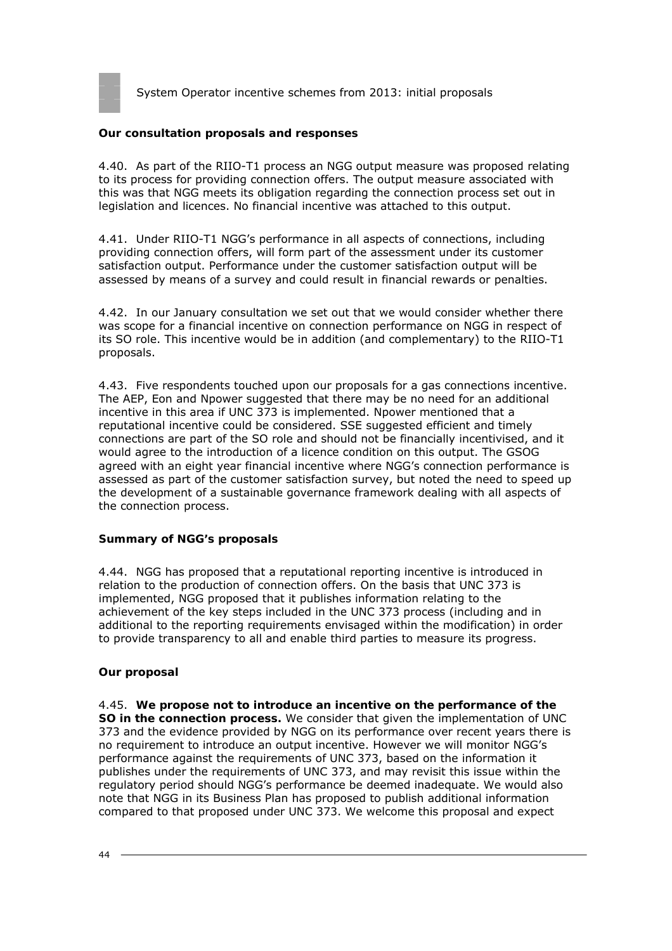

#### **Our consultation proposals and responses**

4.40. As part of the RIIO-T1 process an NGG output measure was proposed relating to its process for providing connection offers. The output measure associated with this was that NGG meets its obligation regarding the connection process set out in legislation and licences. No financial incentive was attached to this output.

4.41. Under RIIO-T1 NGG's performance in all aspects of connections, including providing connection offers, will form part of the assessment under its customer satisfaction output. Performance under the customer satisfaction output will be assessed by means of a survey and could result in financial rewards or penalties.

4.42. In our January consultation we set out that we would consider whether there was scope for a financial incentive on connection performance on NGG in respect of its SO role. This incentive would be in addition (and complementary) to the RIIO-T1 proposals.

4.43. Five respondents touched upon our proposals for a gas connections incentive. The AEP, Eon and Npower suggested that there may be no need for an additional incentive in this area if UNC 373 is implemented. Npower mentioned that a reputational incentive could be considered. SSE suggested efficient and timely connections are part of the SO role and should not be financially incentivised, and it would agree to the introduction of a licence condition on this output. The GSOG agreed with an eight year financial incentive where NGG's connection performance is assessed as part of the customer satisfaction survey, but noted the need to speed up the development of a sustainable governance framework dealing with all aspects of the connection process.

#### **Summary of NGG's proposals**

4.44. NGG has proposed that a reputational reporting incentive is introduced in relation to the production of connection offers. On the basis that UNC 373 is implemented, NGG proposed that it publishes information relating to the achievement of the key steps included in the UNC 373 process (including and in additional to the reporting requirements envisaged within the modification) in order to provide transparency to all and enable third parties to measure its progress.

#### **Our proposal**

4.45. **We propose not to introduce an incentive on the performance of the SO in the connection process.** We consider that given the implementation of UNC 373 and the evidence provided by NGG on its performance over recent years there is no requirement to introduce an output incentive. However we will monitor NGG's performance against the requirements of UNC 373, based on the information it publishes under the requirements of UNC 373, and may revisit this issue within the regulatory period should NGG's performance be deemed inadequate. We would also note that NGG in its Business Plan has proposed to publish additional information compared to that proposed under UNC 373. We welcome this proposal and expect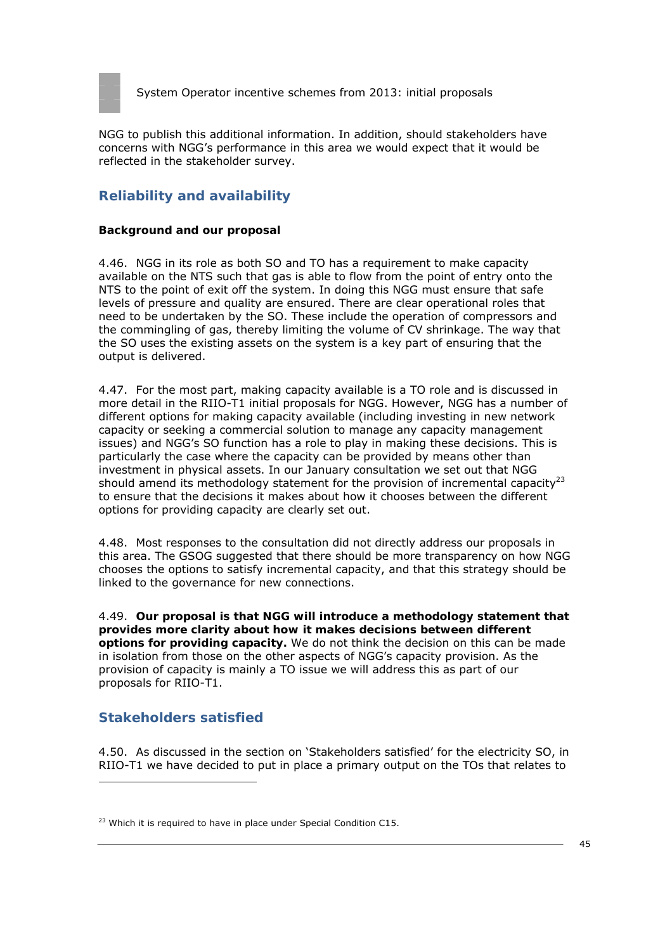

NGG to publish this additional information. In addition, should stakeholders have concerns with NGG's performance in this area we would expect that it would be reflected in the stakeholder survey.

# **Reliability and availability**

#### **Background and our proposal**

4.46. NGG in its role as both SO and TO has a requirement to make capacity available on the NTS such that gas is able to flow from the point of entry onto the NTS to the point of exit off the system. In doing this NGG must ensure that safe levels of pressure and quality are ensured. There are clear operational roles that need to be undertaken by the SO. These include the operation of compressors and the commingling of gas, thereby limiting the volume of CV shrinkage. The way that the SO uses the existing assets on the system is a key part of ensuring that the output is delivered.

4.47. For the most part, making capacity available is a TO role and is discussed in more detail in the RIIO-T1 initial proposals for NGG. However, NGG has a number of different options for making capacity available (including investing in new network capacity or seeking a commercial solution to manage any capacity management issues) and NGG's SO function has a role to play in making these decisions. This is particularly the case where the capacity can be provided by means other than investment in physical assets. In our January consultation we set out that NGG should amend its methodology statement for the provision of incremental capacity<sup>23</sup> to ensure that the decisions it makes about how it chooses between the different options for providing capacity are clearly set out.

4.48. Most responses to the consultation did not directly address our proposals in this area. The GSOG suggested that there should be more transparency on how NGG chooses the options to satisfy incremental capacity, and that this strategy should be linked to the governance for new connections.

4.49. **Our proposal is that NGG will introduce a methodology statement that provides more clarity about how it makes decisions between different options for providing capacity.** We do not think the decision on this can be made in isolation from those on the other aspects of NGG's capacity provision. As the provision of capacity is mainly a TO issue we will address this as part of our proposals for RIIO-T1.

# **Stakeholders satisfied**

4.50. As discussed in the section on 'Stakeholders satisfied' for the electricity SO, in RIIO-T1 we have decided to put in place a primary output on the TOs that relates to

<sup>&</sup>lt;sup>23</sup> Which it is required to have in place under Special Condition C15.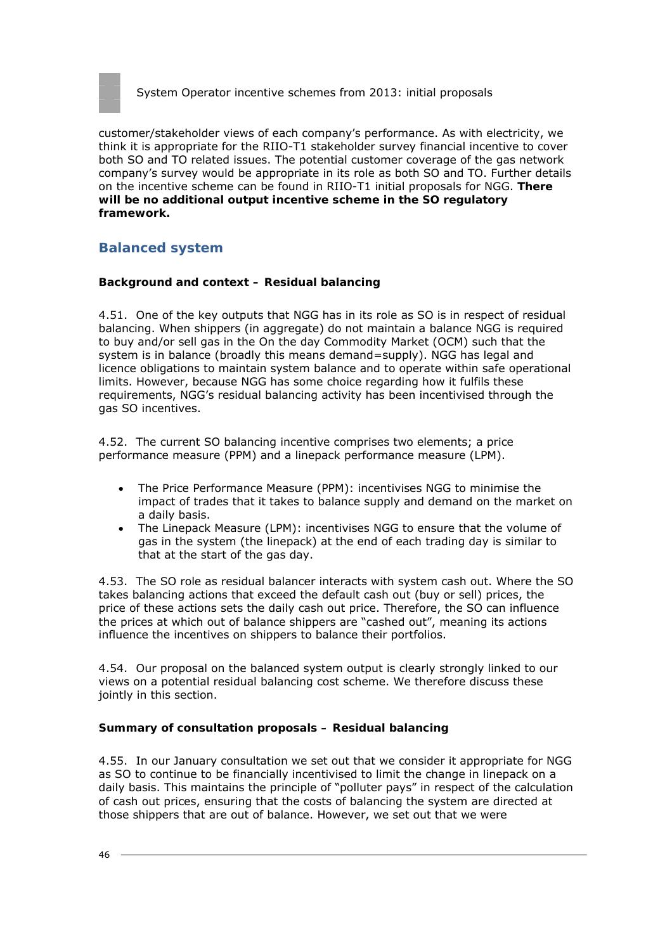

customer/stakeholder views of each company's performance. As with electricity, we think it is appropriate for the RIIO-T1 stakeholder survey financial incentive to cover both SO and TO related issues. The potential customer coverage of the gas network company's survey would be appropriate in its role as both SO and TO. Further details on the incentive scheme can be found in RIIO-T1 initial proposals for NGG. **There will be no additional output incentive scheme in the SO regulatory framework.**

# **Balanced system**

### **Background and context – Residual balancing**

4.51. One of the key outputs that NGG has in its role as SO is in respect of residual balancing. When shippers (in aggregate) do not maintain a balance NGG is required to buy and/or sell gas in the On the day Commodity Market (OCM) such that the system is in balance (broadly this means demand=supply). NGG has legal and licence obligations to maintain system balance and to operate within safe operational limits. However, because NGG has some choice regarding how it fulfils these requirements, NGG's residual balancing activity has been incentivised through the gas SO incentives.

4.52. The current SO balancing incentive comprises two elements; a price performance measure (PPM) and a linepack performance measure (LPM).

- The Price Performance Measure (PPM): incentivises NGG to minimise the impact of trades that it takes to balance supply and demand on the market on a daily basis.
- The Linepack Measure (LPM): incentivises NGG to ensure that the volume of gas in the system (the linepack) at the end of each trading day is similar to that at the start of the gas day.

4.53. The SO role as residual balancer interacts with system cash out. Where the SO takes balancing actions that exceed the default cash out (buy or sell) prices, the price of these actions sets the daily cash out price. Therefore, the SO can influence the prices at which out of balance shippers are "cashed out", meaning its actions influence the incentives on shippers to balance their portfolios.

4.54. Our proposal on the balanced system output is clearly strongly linked to our views on a potential residual balancing cost scheme. We therefore discuss these jointly in this section.

#### **Summary of consultation proposals – Residual balancing**

4.55. In our January consultation we set out that we consider it appropriate for NGG as SO to continue to be financially incentivised to limit the change in linepack on a daily basis. This maintains the principle of "polluter pays" in respect of the calculation of cash out prices, ensuring that the costs of balancing the system are directed at those shippers that are out of balance. However, we set out that we were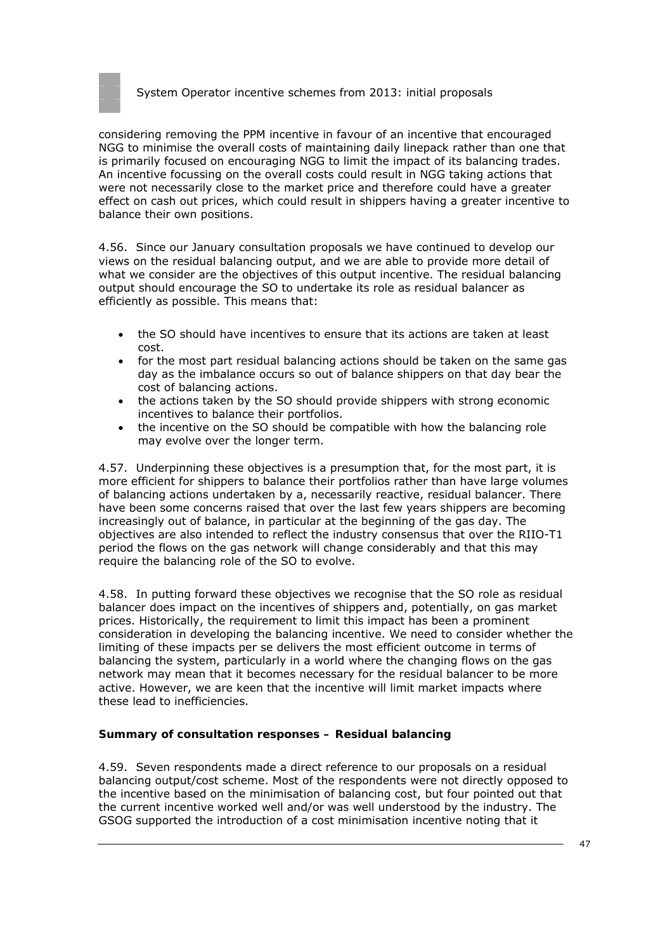

considering removing the PPM incentive in favour of an incentive that encouraged NGG to minimise the overall costs of maintaining daily linepack rather than one that is primarily focused on encouraging NGG to limit the impact of its balancing trades. An incentive focussing on the overall costs could result in NGG taking actions that were not necessarily close to the market price and therefore could have a greater effect on cash out prices, which could result in shippers having a greater incentive to balance their own positions.

4.56. Since our January consultation proposals we have continued to develop our views on the residual balancing output, and we are able to provide more detail of what we consider are the objectives of this output incentive. The residual balancing output should encourage the SO to undertake its role as residual balancer as efficiently as possible. This means that:

- the SO should have incentives to ensure that its actions are taken at least cost.
- for the most part residual balancing actions should be taken on the same gas day as the imbalance occurs so out of balance shippers on that day bear the cost of balancing actions.
- the actions taken by the SO should provide shippers with strong economic incentives to balance their portfolios.
- the incentive on the SO should be compatible with how the balancing role may evolve over the longer term.

4.57. Underpinning these objectives is a presumption that, for the most part, it is more efficient for shippers to balance their portfolios rather than have large volumes of balancing actions undertaken by a, necessarily reactive, residual balancer. There have been some concerns raised that over the last few years shippers are becoming increasingly out of balance, in particular at the beginning of the gas day. The objectives are also intended to reflect the industry consensus that over the RIIO-T1 period the flows on the gas network will change considerably and that this may require the balancing role of the SO to evolve.

4.58. In putting forward these objectives we recognise that the SO role as residual balancer does impact on the incentives of shippers and, potentially, on gas market prices. Historically, the requirement to limit this impact has been a prominent consideration in developing the balancing incentive. We need to consider whether the limiting of these impacts per se delivers the most efficient outcome in terms of balancing the system, particularly in a world where the changing flows on the gas network may mean that it becomes necessary for the residual balancer to be more active. However, we are keen that the incentive will limit market impacts where these lead to inefficiencies.

#### **Summary of consultation responses – Residual balancing**

4.59. Seven respondents made a direct reference to our proposals on a residual balancing output/cost scheme. Most of the respondents were not directly opposed to the incentive based on the minimisation of balancing cost, but four pointed out that the current incentive worked well and/or was well understood by the industry. The GSOG supported the introduction of a cost minimisation incentive noting that it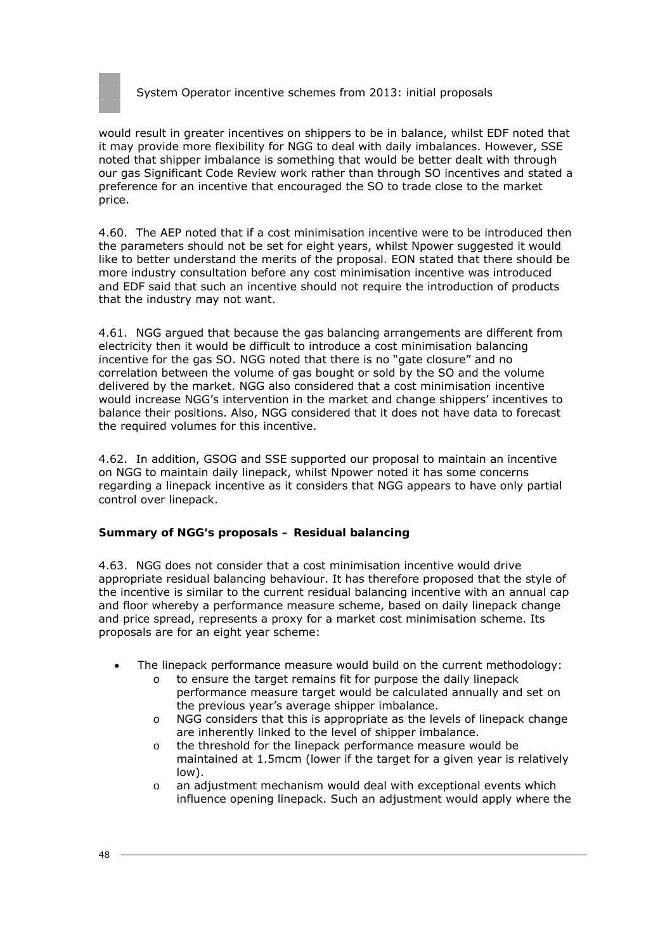

would result in greater incentives on shippers to be in balance, whilst EDF noted that it may provide more flexibility for NGG to deal with daily imbalances. However, SSE noted that shipper imbalance is something that would be better dealt with through our gas Significant Code Review work rather than through SO incentives and stated a preference for an incentive that encouraged the SO to trade close to the market price.

4.60. The AEP noted that if a cost minimisation incentive were to be introduced then the parameters should not be set for eight years, whilst Npower suggested it would like to better understand the merits of the proposal. EON stated that there should be more industry consultation before any cost minimisation incentive was introduced and EDF said that such an incentive should not require the introduction of products that the industry may not want.

4.61. NGG argued that because the gas balancing arrangements are different from electricity then it would be difficult to introduce a cost minimisation balancing incentive for the gas SO. NGG noted that there is no "gate closure" and no correlation between the volume of gas bought or sold by the SO and the volume delivered by the market. NGG also considered that a cost minimisation incentive would increase NGG's intervention in the market and change shippers' incentives to balance their positions. Also, NGG considered that it does not have data to forecast the required volumes for this incentive.

4.62. In addition, GSOG and SSE supported our proposal to maintain an incentive on NGG to maintain daily linepack, whilst Npower noted it has some concerns regarding a linepack incentive as it considers that NGG appears to have only partial control over linepack.

#### **Summary of NGG's proposals – Residual balancing**

4.63. NGG does not consider that a cost minimisation incentive would drive appropriate residual balancing behaviour. It has therefore proposed that the style of the incentive is similar to the current residual balancing incentive with an annual cap and floor whereby a performance measure scheme, based on daily linepack change and price spread, represents a proxy for a market cost minimisation scheme. Its proposals are for an eight year scheme:

- The linepack performance measure would build on the current methodology:
	- o to ensure the target remains fit for purpose the daily linepack performance measure target would be calculated annually and set on the previous year's average shipper imbalance.
	- o NGG considers that this is appropriate as the levels of linepack change are inherently linked to the level of shipper imbalance.
	- o the threshold for the linepack performance measure would be maintained at 1.5mcm (lower if the target for a given year is relatively low).
	- $\circ$  an adjustment mechanism would deal with exceptional events which influence opening linepack. Such an adjustment would apply where the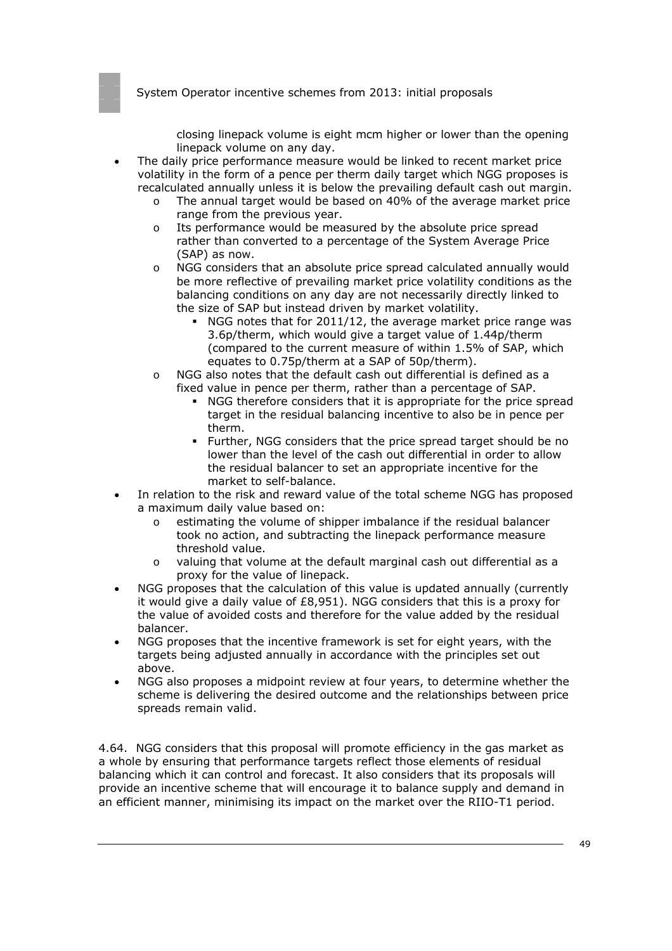closing linepack volume is eight mcm higher or lower than the opening linepack volume on any day.

- The daily price performance measure would be linked to recent market price volatility in the form of a pence per therm daily target which NGG proposes is recalculated annually unless it is below the prevailing default cash out margin.
	- o The annual target would be based on 40% of the average market price range from the previous year.
	- o Its performance would be measured by the absolute price spread rather than converted to a percentage of the System Average Price (SAP) as now.
	- o NGG considers that an absolute price spread calculated annually would be more reflective of prevailing market price volatility conditions as the balancing conditions on any day are not necessarily directly linked to the size of SAP but instead driven by market volatility.
		- NGG notes that for 2011/12, the average market price range was 3.6p/therm, which would give a target value of 1.44p/therm (compared to the current measure of within 1.5% of SAP, which equates to 0.75p/therm at a SAP of 50p/therm).
	- o NGG also notes that the default cash out differential is defined as a fixed value in pence per therm, rather than a percentage of SAP.
		- NGG therefore considers that it is appropriate for the price spread target in the residual balancing incentive to also be in pence per therm.
		- Further, NGG considers that the price spread target should be no lower than the level of the cash out differential in order to allow the residual balancer to set an appropriate incentive for the market to self-balance.
- In relation to the risk and reward value of the total scheme NGG has proposed a maximum daily value based on:
	- o estimating the volume of shipper imbalance if the residual balancer took no action, and subtracting the linepack performance measure threshold value.
	- o valuing that volume at the default marginal cash out differential as a proxy for the value of linepack.
- NGG proposes that the calculation of this value is updated annually (currently it would give a daily value of £8,951). NGG considers that this is a proxy for the value of avoided costs and therefore for the value added by the residual balancer.
- NGG proposes that the incentive framework is set for eight years, with the targets being adjusted annually in accordance with the principles set out above.
- NGG also proposes a midpoint review at four years, to determine whether the scheme is delivering the desired outcome and the relationships between price spreads remain valid.

4.64. NGG considers that this proposal will promote efficiency in the gas market as a whole by ensuring that performance targets reflect those elements of residual balancing which it can control and forecast. It also considers that its proposals will provide an incentive scheme that will encourage it to balance supply and demand in an efficient manner, minimising its impact on the market over the RIIO-T1 period.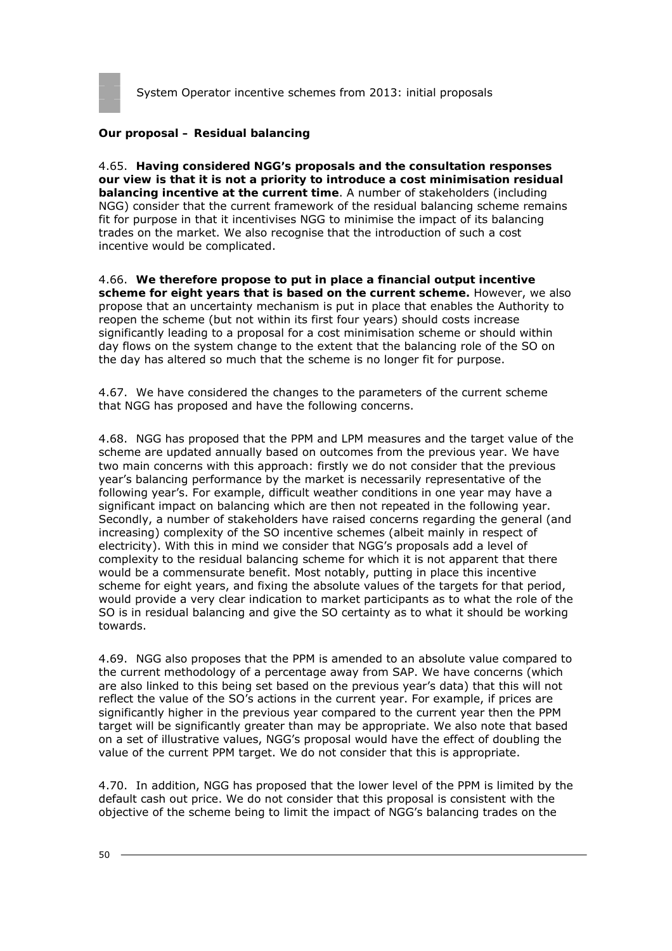

#### **Our proposal – Residual balancing**

4.65. **Having considered NGG's proposals and the consultation responses our view is that it is not a priority to introduce a cost minimisation residual balancing incentive at the current time**. A number of stakeholders (including NGG) consider that the current framework of the residual balancing scheme remains fit for purpose in that it incentivises NGG to minimise the impact of its balancing trades on the market. We also recognise that the introduction of such a cost incentive would be complicated.

4.66. **We therefore propose to put in place a financial output incentive scheme for eight years that is based on the current scheme.** However, we also propose that an uncertainty mechanism is put in place that enables the Authority to reopen the scheme (but not within its first four years) should costs increase significantly leading to a proposal for a cost minimisation scheme or should within day flows on the system change to the extent that the balancing role of the SO on the day has altered so much that the scheme is no longer fit for purpose.

4.67. We have considered the changes to the parameters of the current scheme that NGG has proposed and have the following concerns.

4.68. NGG has proposed that the PPM and LPM measures and the target value of the scheme are updated annually based on outcomes from the previous year. We have two main concerns with this approach: firstly we do not consider that the previous year's balancing performance by the market is necessarily representative of the following year's. For example, difficult weather conditions in one year may have a significant impact on balancing which are then not repeated in the following year. Secondly, a number of stakeholders have raised concerns regarding the general (and increasing) complexity of the SO incentive schemes (albeit mainly in respect of electricity). With this in mind we consider that NGG's proposals add a level of complexity to the residual balancing scheme for which it is not apparent that there would be a commensurate benefit. Most notably, putting in place this incentive scheme for eight years, and fixing the absolute values of the targets for that period, would provide a very clear indication to market participants as to what the role of the SO is in residual balancing and give the SO certainty as to what it should be working towards.

4.69. NGG also proposes that the PPM is amended to an absolute value compared to the current methodology of a percentage away from SAP. We have concerns (which are also linked to this being set based on the previous year's data) that this will not reflect the value of the SO's actions in the current year. For example, if prices are significantly higher in the previous year compared to the current year then the PPM target will be significantly greater than may be appropriate. We also note that based on a set of illustrative values, NGG's proposal would have the effect of doubling the value of the current PPM target. We do not consider that this is appropriate.

4.70. In addition, NGG has proposed that the lower level of the PPM is limited by the default cash out price. We do not consider that this proposal is consistent with the objective of the scheme being to limit the impact of NGG's balancing trades on the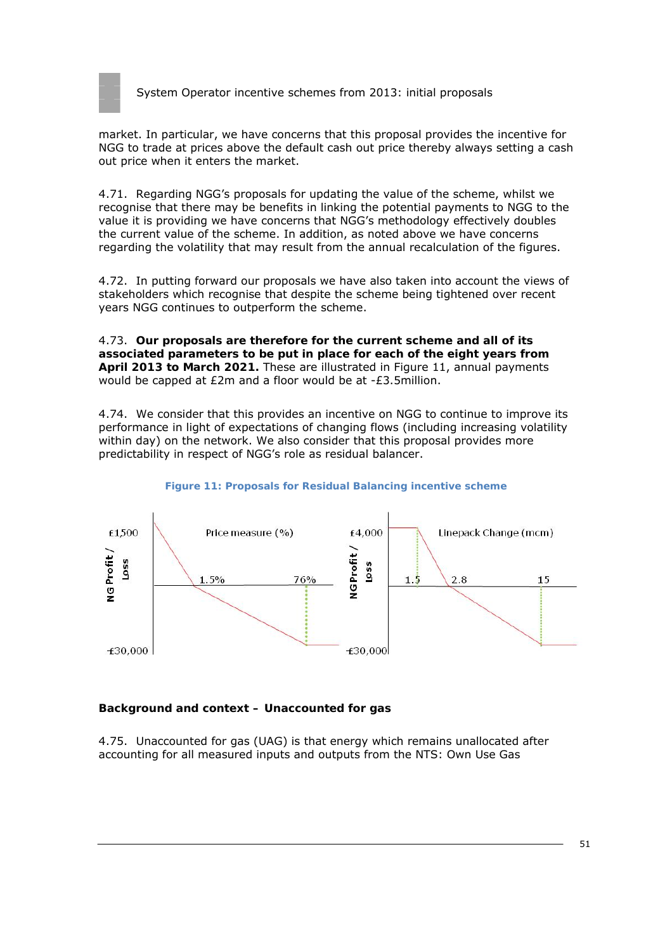

market. In particular, we have concerns that this proposal provides the incentive for NGG to trade at prices above the default cash out price thereby always setting a cash out price when it enters the market.

4.71. Regarding NGG's proposals for updating the value of the scheme, whilst we recognise that there may be benefits in linking the potential payments to NGG to the value it is providing we have concerns that NGG's methodology effectively doubles the current value of the scheme. In addition, as noted above we have concerns regarding the volatility that may result from the annual recalculation of the figures.

4.72. In putting forward our proposals we have also taken into account the views of stakeholders which recognise that despite the scheme being tightened over recent years NGG continues to outperform the scheme.

4.73. **Our proposals are therefore for the current scheme and all of its associated parameters to be put in place for each of the eight years from April 2013 to March 2021.** These are illustrated in Figure 11, annual payments would be capped at £2m and a floor would be at -£3.5million.

4.74. We consider that this provides an incentive on NGG to continue to improve its performance in light of expectations of changing flows (including increasing volatility within day) on the network. We also consider that this proposal provides more predictability in respect of NGG's role as residual balancer.



#### **Figure 11: Proposals for Residual Balancing incentive scheme**

#### **Background and context – Unaccounted for gas**

4.75. Unaccounted for gas (UAG) is that energy which remains unallocated after accounting for all measured inputs and outputs from the NTS: Own Use Gas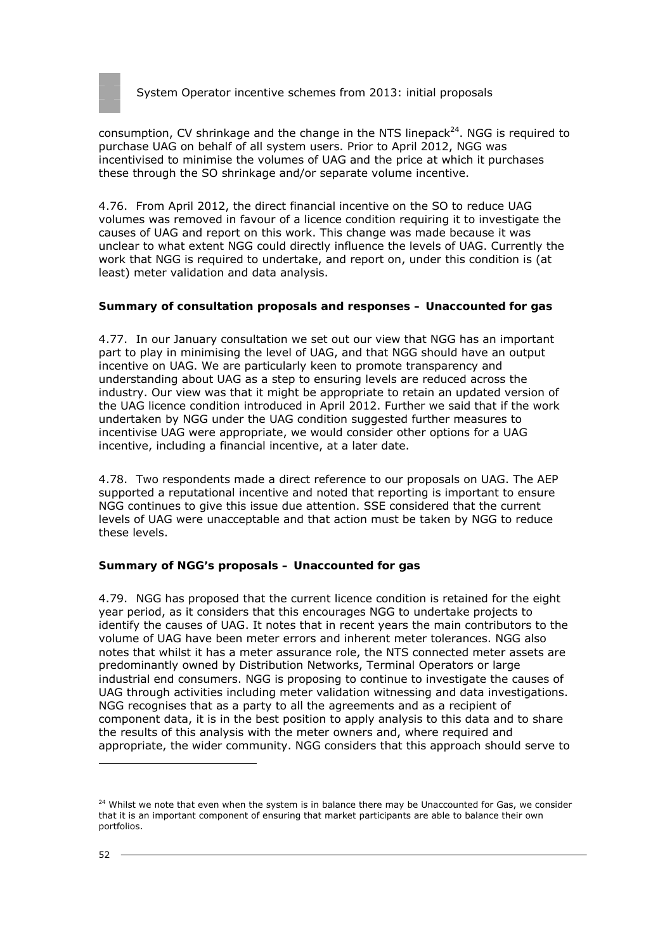

consumption, CV shrinkage and the change in the NTS linepack<sup>24</sup>. NGG is required to purchase UAG on behalf of all system users. Prior to April 2012, NGG was incentivised to minimise the volumes of UAG and the price at which it purchases these through the SO shrinkage and/or separate volume incentive.

4.76. From April 2012, the direct financial incentive on the SO to reduce UAG volumes was removed in favour of a licence condition requiring it to investigate the causes of UAG and report on this work. This change was made because it was unclear to what extent NGG could directly influence the levels of UAG. Currently the work that NGG is required to undertake, and report on, under this condition is (at least) meter validation and data analysis.

#### **Summary of consultation proposals and responses – Unaccounted for gas**

4.77. In our January consultation we set out our view that NGG has an important part to play in minimising the level of UAG, and that NGG should have an output incentive on UAG. We are particularly keen to promote transparency and understanding about UAG as a step to ensuring levels are reduced across the industry. Our view was that it might be appropriate to retain an updated version of the UAG licence condition introduced in April 2012. Further we said that if the work undertaken by NGG under the UAG condition suggested further measures to incentivise UAG were appropriate, we would consider other options for a UAG incentive, including a financial incentive, at a later date.

4.78. Two respondents made a direct reference to our proposals on UAG. The AEP supported a reputational incentive and noted that reporting is important to ensure NGG continues to give this issue due attention. SSE considered that the current levels of UAG were unacceptable and that action must be taken by NGG to reduce these levels.

#### **Summary of NGG's proposals – Unaccounted for gas**

4.79. NGG has proposed that the current licence condition is retained for the eight year period, as it considers that this encourages NGG to undertake projects to identify the causes of UAG. It notes that in recent years the main contributors to the volume of UAG have been meter errors and inherent meter tolerances. NGG also notes that whilst it has a meter assurance role, the NTS connected meter assets are predominantly owned by Distribution Networks, Terminal Operators or large industrial end consumers. NGG is proposing to continue to investigate the causes of UAG through activities including meter validation witnessing and data investigations. NGG recognises that as a party to all the agreements and as a recipient of component data, it is in the best position to apply analysis to this data and to share the results of this analysis with the meter owners and, where required and appropriate, the wider community. NGG considers that this approach should serve to

 $24$  Whilst we note that even when the system is in balance there may be Unaccounted for Gas, we consider that it is an important component of ensuring that market participants are able to balance their own portfolios.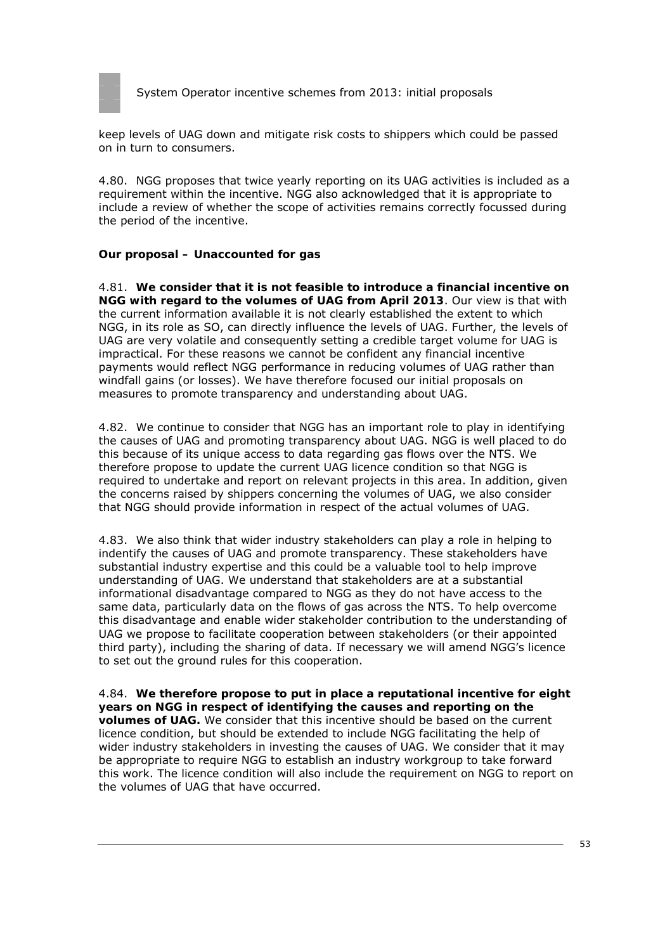

keep levels of UAG down and mitigate risk costs to shippers which could be passed on in turn to consumers.

4.80. NGG proposes that twice yearly reporting on its UAG activities is included as a requirement within the incentive. NGG also acknowledged that it is appropriate to include a review of whether the scope of activities remains correctly focussed during the period of the incentive.

### **Our proposal – Unaccounted for gas**

4.81. **We consider that it is not feasible to introduce a financial incentive on NGG with regard to the volumes of UAG from April 2013**. Our view is that with the current information available it is not clearly established the extent to which NGG, in its role as SO, can directly influence the levels of UAG. Further, the levels of UAG are very volatile and consequently setting a credible target volume for UAG is impractical. For these reasons we cannot be confident any financial incentive payments would reflect NGG performance in reducing volumes of UAG rather than windfall gains (or losses). We have therefore focused our initial proposals on measures to promote transparency and understanding about UAG.

4.82. We continue to consider that NGG has an important role to play in identifying the causes of UAG and promoting transparency about UAG. NGG is well placed to do this because of its unique access to data regarding gas flows over the NTS. We therefore propose to update the current UAG licence condition so that NGG is required to undertake and report on relevant projects in this area. In addition, given the concerns raised by shippers concerning the volumes of UAG, we also consider that NGG should provide information in respect of the actual volumes of UAG.

4.83. We also think that wider industry stakeholders can play a role in helping to indentify the causes of UAG and promote transparency. These stakeholders have substantial industry expertise and this could be a valuable tool to help improve understanding of UAG. We understand that stakeholders are at a substantial informational disadvantage compared to NGG as they do not have access to the same data, particularly data on the flows of gas across the NTS. To help overcome this disadvantage and enable wider stakeholder contribution to the understanding of UAG we propose to facilitate cooperation between stakeholders (or their appointed third party), including the sharing of data. If necessary we will amend NGG's licence to set out the ground rules for this cooperation.

4.84. **We therefore propose to put in place a reputational incentive for eight years on NGG in respect of identifying the causes and reporting on the volumes of UAG.** We consider that this incentive should be based on the current licence condition, but should be extended to include NGG facilitating the help of wider industry stakeholders in investing the causes of UAG. We consider that it may be appropriate to require NGG to establish an industry workgroup to take forward this work. The licence condition will also include the requirement on NGG to report on the volumes of UAG that have occurred.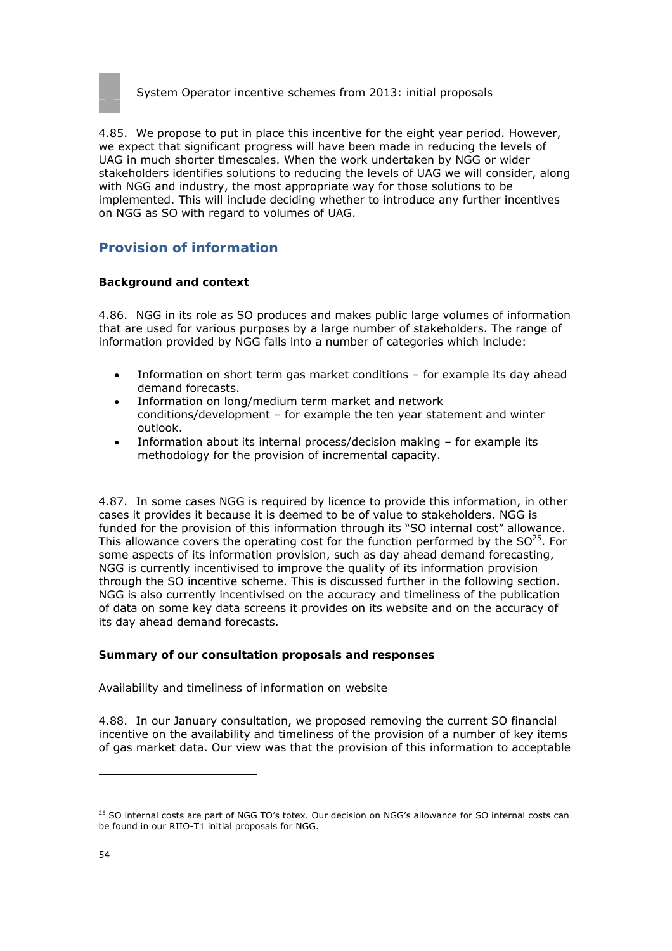

4.85. We propose to put in place this incentive for the eight year period. However, we expect that significant progress will have been made in reducing the levels of UAG in much shorter timescales. When the work undertaken by NGG or wider stakeholders identifies solutions to reducing the levels of UAG we will consider, along with NGG and industry, the most appropriate way for those solutions to be implemented. This will include deciding whether to introduce any further incentives on NGG as SO with regard to volumes of UAG.

# **Provision of information**

#### **Background and context**

4.86. NGG in its role as SO produces and makes public large volumes of information that are used for various purposes by a large number of stakeholders. The range of information provided by NGG falls into a number of categories which include:

- Information on short term gas market conditions for example its day ahead demand forecasts.
- Information on long/medium term market and network conditions/development – for example the ten year statement and winter outlook.
- Information about its internal process/decision making for example its methodology for the provision of incremental capacity.

4.87. In some cases NGG is required by licence to provide this information, in other cases it provides it because it is deemed to be of value to stakeholders. NGG is funded for the provision of this information through its "SO internal cost" allowance. This allowance covers the operating cost for the function performed by the  $SO^{25}$ . For some aspects of its information provision, such as day ahead demand forecasting, NGG is currently incentivised to improve the quality of its information provision through the SO incentive scheme. This is discussed further in the following section. NGG is also currently incentivised on the accuracy and timeliness of the publication of data on some key data screens it provides on its website and on the accuracy of its day ahead demand forecasts.

#### **Summary of our consultation proposals and responses**

#### *Availability and timeliness of information on website*

4.88. In our January consultation, we proposed removing the current SO financial incentive on the availability and timeliness of the provision of a number of key items of gas market data. Our view was that the provision of this information to acceptable

<sup>&</sup>lt;sup>25</sup> SO internal costs are part of NGG TO's totex. Our decision on NGG's allowance for SO internal costs can be found in our RIIO-T1 initial proposals for NGG.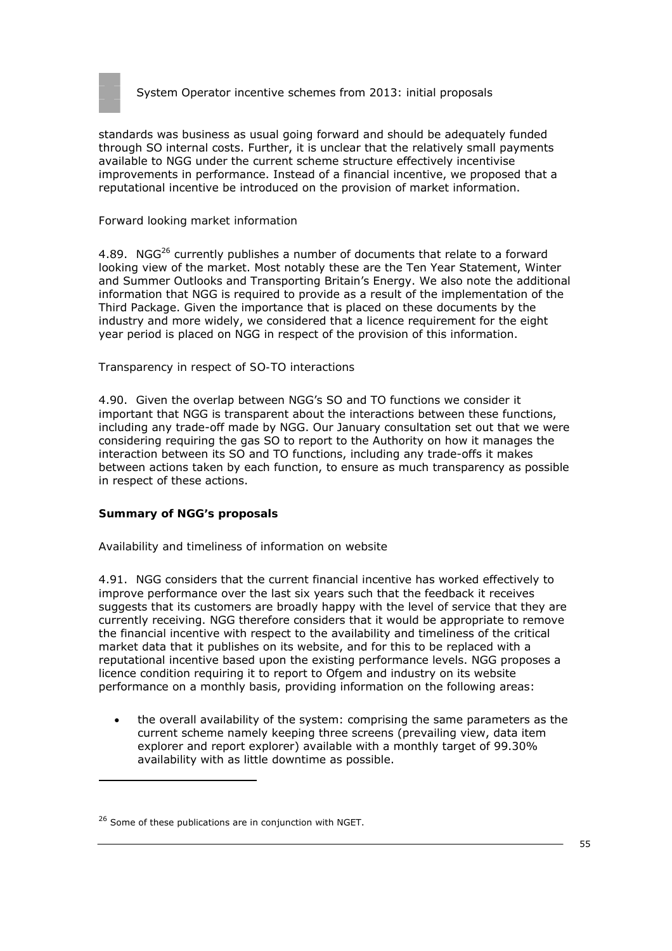

standards was business as usual going forward and should be adequately funded through SO internal costs. Further, it is unclear that the relatively small payments available to NGG under the current scheme structure effectively incentivise improvements in performance. Instead of a financial incentive, we proposed that a reputational incentive be introduced on the provision of market information.

#### *Forward looking market information*

4.89. NG $G^{26}$  currently publishes a number of documents that relate to a forward looking view of the market. Most notably these are the Ten Year Statement, Winter and Summer Outlooks and Transporting Britain's Energy. We also note the additional information that NGG is required to provide as a result of the implementation of the Third Package. Given the importance that is placed on these documents by the industry and more widely, we considered that a licence requirement for the eight year period is placed on NGG in respect of the provision of this information.

#### *Transparency in respect of SO-TO interactions*

4.90. Given the overlap between NGG's SO and TO functions we consider it important that NGG is transparent about the interactions between these functions, including any trade-off made by NGG. Our January consultation set out that we were considering requiring the gas SO to report to the Authority on how it manages the interaction between its SO and TO functions, including any trade-offs it makes between actions taken by each function, to ensure as much transparency as possible in respect of these actions.

#### **Summary of NGG's proposals**

#### *Availability and timeliness of information on website*

4.91. NGG considers that the current financial incentive has worked effectively to improve performance over the last six years such that the feedback it receives suggests that its customers are broadly happy with the level of service that they are currently receiving. NGG therefore considers that it would be appropriate to remove the financial incentive with respect to the availability and timeliness of the critical market data that it publishes on its website, and for this to be replaced with a reputational incentive based upon the existing performance levels. NGG proposes a licence condition requiring it to report to Ofgem and industry on its website performance on a monthly basis, providing information on the following areas:

• the overall availability of the system: comprising the same parameters as the current scheme namely keeping three screens (prevailing view, data item explorer and report explorer) available with a monthly target of 99.30% availability with as little downtime as possible.

<sup>&</sup>lt;sup>26</sup> Some of these publications are in conjunction with NGET.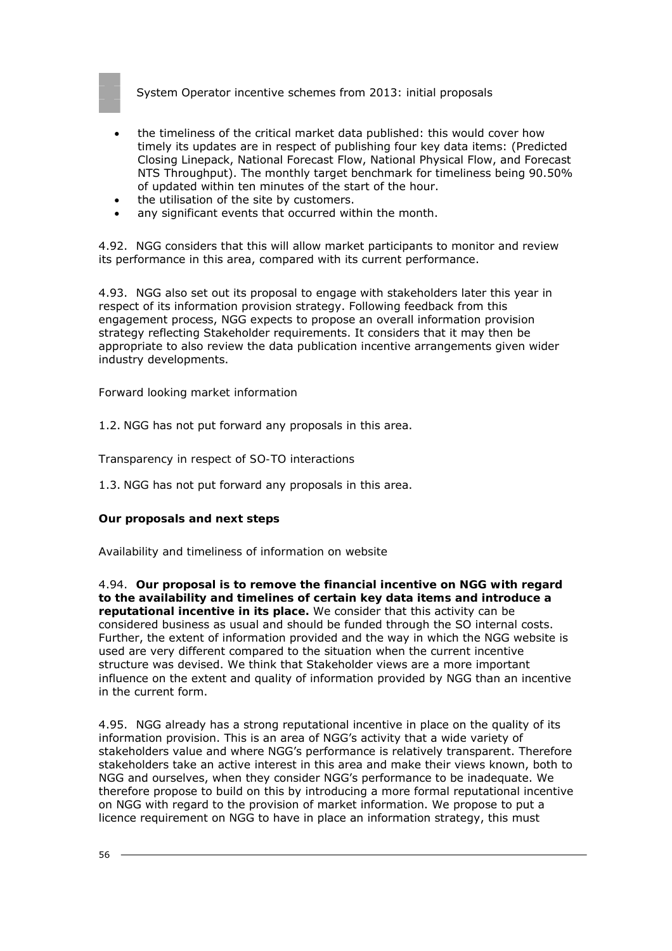

- the timeliness of the critical market data published: this would cover how timely its updates are in respect of publishing four key data items: (Predicted Closing Linepack, National Forecast Flow, National Physical Flow, and Forecast NTS Throughput). The monthly target benchmark for timeliness being 90.50% of updated within ten minutes of the start of the hour.
- the utilisation of the site by customers.
- any significant events that occurred within the month.

4.92. NGG considers that this will allow market participants to monitor and review its performance in this area, compared with its current performance.

4.93. NGG also set out its proposal to engage with stakeholders later this year in respect of its information provision strategy. Following feedback from this engagement process, NGG expects to propose an overall information provision strategy reflecting Stakeholder requirements. It considers that it may then be appropriate to also review the data publication incentive arrangements given wider industry developments.

*Forward looking market information* 

1.2. NGG has not put forward any proposals in this area.

*Transparency in respect of SO-TO interactions* 

1.3. NGG has not put forward any proposals in this area.

#### **Our proposals and next steps**

*Availability and timeliness of information on website* 

4.94. **Our proposal is to remove the financial incentive on NGG with regard to the availability and timelines of certain key data items and introduce a reputational incentive in its place.** We consider that this activity can be considered business as usual and should be funded through the SO internal costs. Further, the extent of information provided and the way in which the NGG website is used are very different compared to the situation when the current incentive structure was devised. We think that Stakeholder views are a more important influence on the extent and quality of information provided by NGG than an incentive in the current form.

4.95. NGG already has a strong reputational incentive in place on the quality of its information provision. This is an area of NGG's activity that a wide variety of stakeholders value and where NGG's performance is relatively transparent. Therefore stakeholders take an active interest in this area and make their views known, both to NGG and ourselves, when they consider NGG's performance to be inadequate. We therefore propose to build on this by introducing a more formal reputational incentive on NGG with regard to the provision of market information. We propose to put a licence requirement on NGG to have in place an information strategy, this must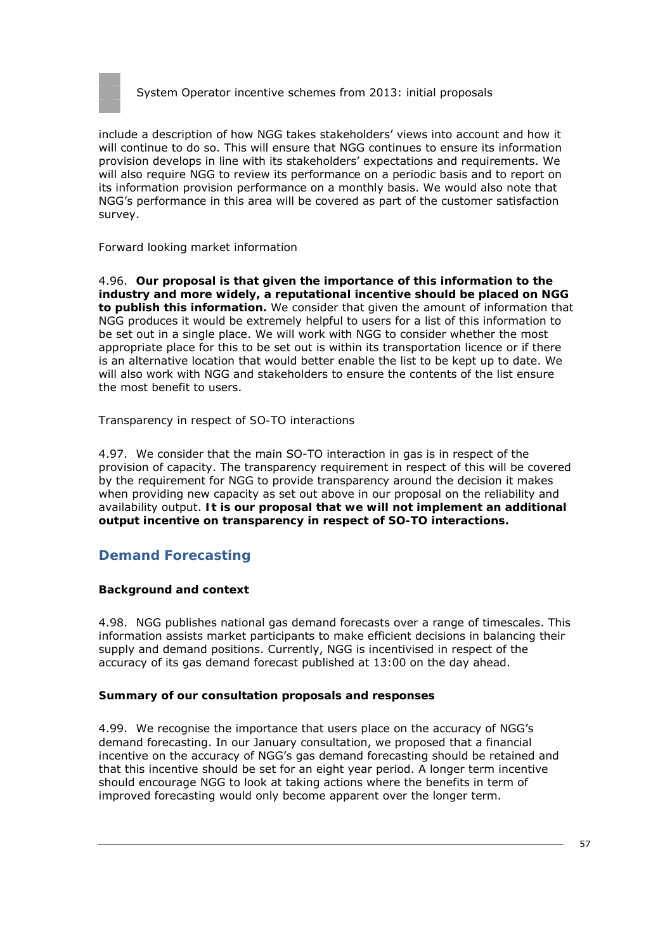

include a description of how NGG takes stakeholders' views into account and how it will continue to do so. This will ensure that NGG continues to ensure its information provision develops in line with its stakeholders' expectations and requirements. We will also require NGG to review its performance on a periodic basis and to report on its information provision performance on a monthly basis. We would also note that NGG's performance in this area will be covered as part of the customer satisfaction survey.

#### *Forward looking market information*

4.96. **Our proposal is that given the importance of this information to the industry and more widely, a reputational incentive should be placed on NGG to publish this information.** We consider that given the amount of information that NGG produces it would be extremely helpful to users for a list of this information to be set out in a single place. We will work with NGG to consider whether the most appropriate place for this to be set out is within its transportation licence or if there is an alternative location that would better enable the list to be kept up to date. We will also work with NGG and stakeholders to ensure the contents of the list ensure the most benefit to users.

#### *Transparency in respect of SO-TO interactions*

4.97. We consider that the main SO-TO interaction in gas is in respect of the provision of capacity. The transparency requirement in respect of this will be covered by the requirement for NGG to provide transparency around the decision it makes when providing new capacity as set out above in our proposal on the reliability and availability output. **It is our proposal that we will not implement an additional output incentive on transparency in respect of SO-TO interactions.**

# **Demand Forecasting**

## **Background and context**

4.98. NGG publishes national gas demand forecasts over a range of timescales. This information assists market participants to make efficient decisions in balancing their supply and demand positions. Currently, NGG is incentivised in respect of the accuracy of its gas demand forecast published at 13:00 on the day ahead.

#### **Summary of our consultation proposals and responses**

4.99. We recognise the importance that users place on the accuracy of NGG's demand forecasting. In our January consultation, we proposed that a financial incentive on the accuracy of NGG's gas demand forecasting should be retained and that this incentive should be set for an eight year period. A longer term incentive should encourage NGG to look at taking actions where the benefits in term of improved forecasting would only become apparent over the longer term.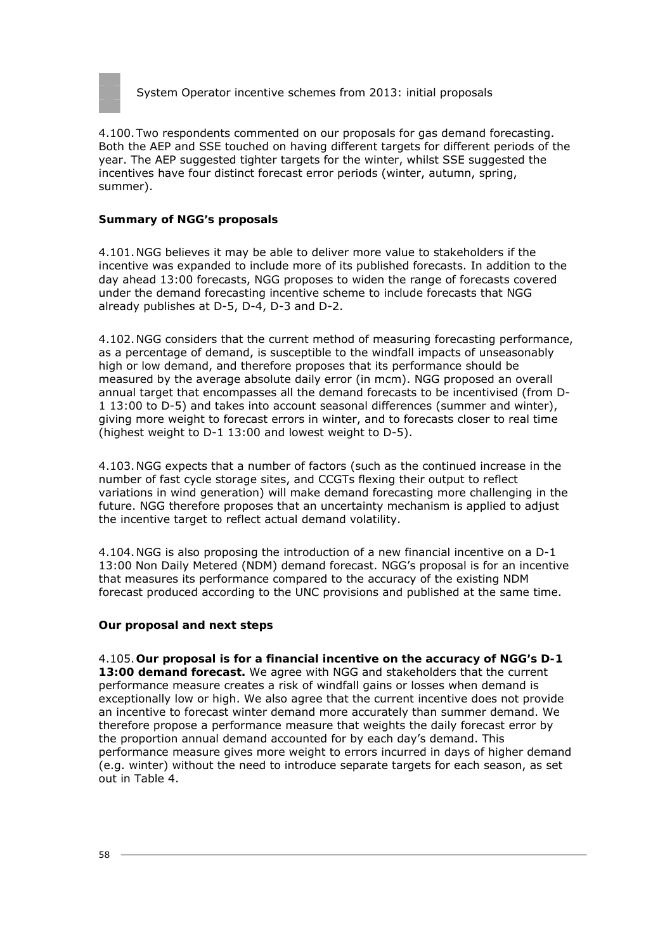

4.100.Two respondents commented on our proposals for gas demand forecasting. Both the AEP and SSE touched on having different targets for different periods of the year. The AEP suggested tighter targets for the winter, whilst SSE suggested the incentives have four distinct forecast error periods (winter, autumn, spring, summer).

#### **Summary of NGG's proposals**

4.101.NGG believes it may be able to deliver more value to stakeholders if the incentive was expanded to include more of its published forecasts. In addition to the day ahead 13:00 forecasts, NGG proposes to widen the range of forecasts covered under the demand forecasting incentive scheme to include forecasts that NGG already publishes at D-5, D-4, D-3 and D-2.

4.102.NGG considers that the current method of measuring forecasting performance, as a percentage of demand, is susceptible to the windfall impacts of unseasonably high or low demand, and therefore proposes that its performance should be measured by the average absolute daily error (in mcm). NGG proposed an overall annual target that encompasses all the demand forecasts to be incentivised (from D-1 13:00 to D-5) and takes into account seasonal differences (summer and winter), giving more weight to forecast errors in winter, and to forecasts closer to real time (highest weight to D-1 13:00 and lowest weight to D-5).

4.103.NGG expects that a number of factors (such as the continued increase in the number of fast cycle storage sites, and CCGTs flexing their output to reflect variations in wind generation) will make demand forecasting more challenging in the future. NGG therefore proposes that an uncertainty mechanism is applied to adjust the incentive target to reflect actual demand volatility.

4.104.NGG is also proposing the introduction of a new financial incentive on a D-1 13:00 Non Daily Metered (NDM) demand forecast. NGG's proposal is for an incentive that measures its performance compared to the accuracy of the existing NDM forecast produced according to the UNC provisions and published at the same time.

#### **Our proposal and next steps**

4.105.**Our proposal is for a financial incentive on the accuracy of NGG's D-1 13:00 demand forecast.** We agree with NGG and stakeholders that the current performance measure creates a risk of windfall gains or losses when demand is exceptionally low or high. We also agree that the current incentive does not provide an incentive to forecast winter demand more accurately than summer demand. We therefore propose a performance measure that weights the daily forecast error by the proportion annual demand accounted for by each day's demand. This performance measure gives more weight to errors incurred in days of higher demand (e.g. winter) without the need to introduce separate targets for each season, as set out in Table 4.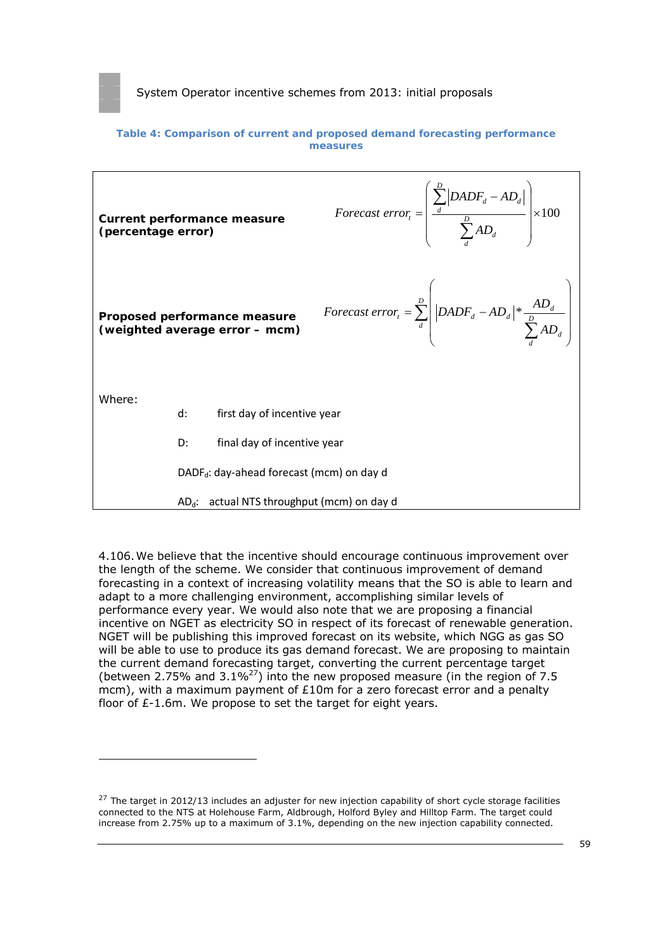

#### **Table 4: Comparison of current and proposed demand forecasting performance measures**



4.106.We believe that the incentive should encourage continuous improvement over the length of the scheme. We consider that continuous improvement of demand forecasting in a context of increasing volatility means that the SO is able to learn and adapt to a more challenging environment, accomplishing similar levels of performance every year. We would also note that we are proposing a financial incentive on NGET as electricity SO in respect of its forecast of renewable generation. NGET will be publishing this improved forecast on its website, which NGG as gas SO will be able to use to produce its gas demand forecast. We are proposing to maintain the current demand forecasting target, converting the current percentage target (between 2.75% and 3.1% $^{27}$ ) into the new proposed measure (in the region of 7.5 mcm), with a maximum payment of  $£10m$  for a zero forecast error and a penalty floor of £-1.6m. We propose to set the target for eight years.

 $27$  The target in 2012/13 includes an adjuster for new injection capability of short cycle storage facilities connected to the NTS at Holehouse Farm, Aldbrough, Holford Byley and Hilltop Farm. The target could increase from 2.75% up to a maximum of 3.1%, depending on the new injection capability connected.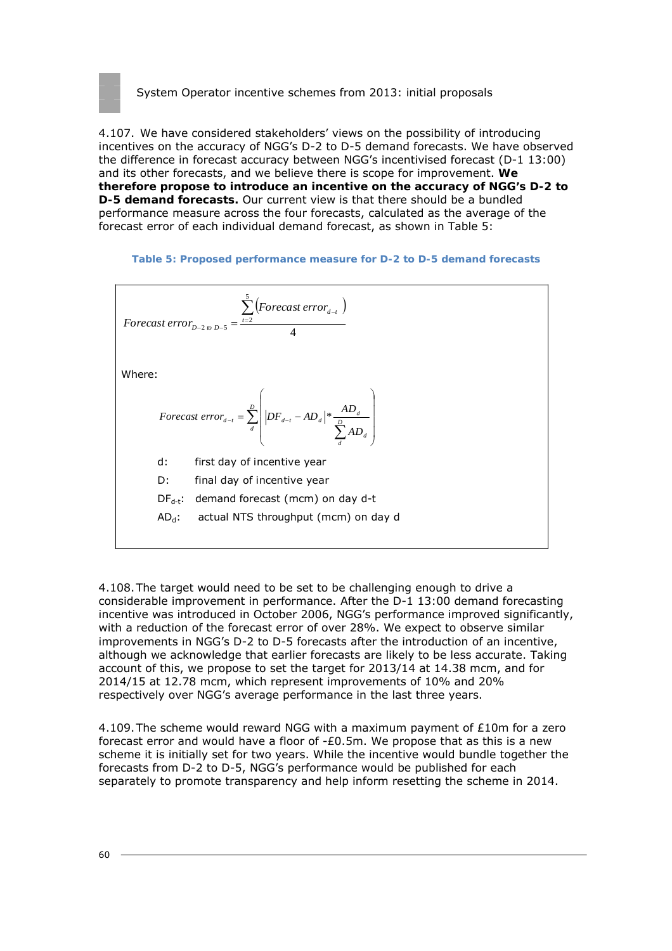

4.107. We have considered stakeholders' views on the possibility of introducing incentives on the accuracy of NGG's D-2 to D-5 demand forecasts. We have observed the difference in forecast accuracy between NGG's incentivised forecast (D-1 13:00) and its other forecasts, and we believe there is scope for improvement. **We therefore propose to introduce an incentive on the accuracy of NGG's D-2 to D-5 demand forecasts.** Our current view is that there should be a bundled performance measure across the four forecasts, calculated as the average of the forecast error of each individual demand forecast, as shown in Table 5:

#### **Table 5: Proposed performance measure for D-2 to D-5 demand forecasts**



4.108.The target would need to be set to be challenging enough to drive a considerable improvement in performance. After the D-1 13:00 demand forecasting incentive was introduced in October 2006, NGG's performance improved significantly, with a reduction of the forecast error of over 28%. We expect to observe similar improvements in NGG's D-2 to D-5 forecasts after the introduction of an incentive, although we acknowledge that earlier forecasts are likely to be less accurate. Taking account of this, we propose to set the target for 2013/14 at 14.38 mcm, and for 2014/15 at 12.78 mcm, which represent improvements of 10% and 20% respectively over NGG's average performance in the last three years.

4.109. The scheme would reward NGG with a maximum payment of  $£10m$  for a zero forecast error and would have a floor of  $-E0.5$ m. We propose that as this is a new scheme it is initially set for two years. While the incentive would bundle together the forecasts from D-2 to D-5, NGG's performance would be published for each separately to promote transparency and help inform resetting the scheme in 2014.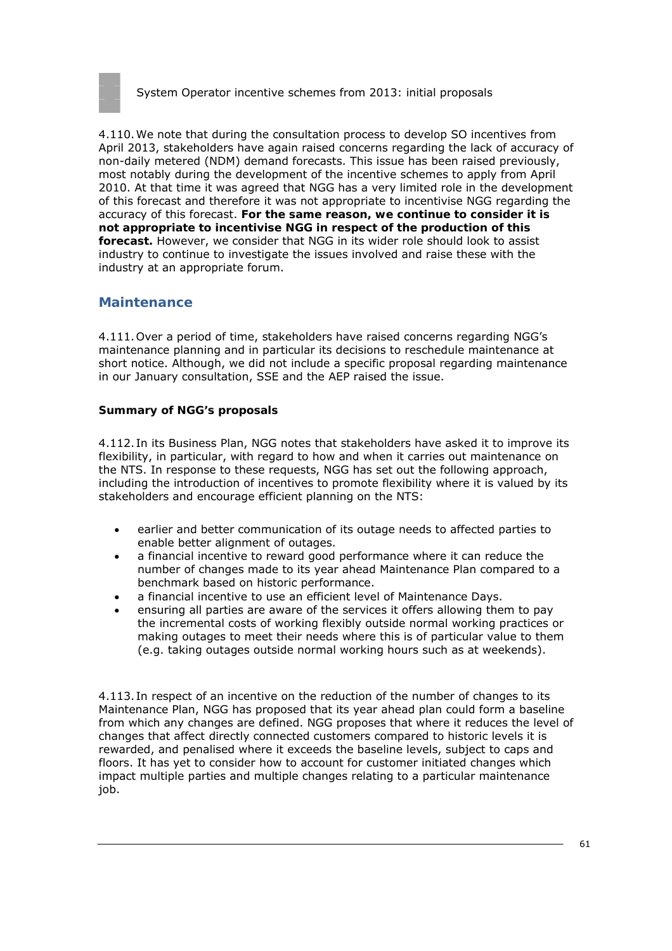

4.110.We note that during the consultation process to develop SO incentives from April 2013, stakeholders have again raised concerns regarding the lack of accuracy of non-daily metered (NDM) demand forecasts. This issue has been raised previously, most notably during the development of the incentive schemes to apply from April 2010. At that time it was agreed that NGG has a very limited role in the development of this forecast and therefore it was not appropriate to incentivise NGG regarding the accuracy of this forecast. **For the same reason, we continue to consider it is not appropriate to incentivise NGG in respect of the production of this forecast.** However, we consider that NGG in its wider role should look to assist industry to continue to investigate the issues involved and raise these with the industry at an appropriate forum.

### **Maintenance**

4.111.Over a period of time, stakeholders have raised concerns regarding NGG's maintenance planning and in particular its decisions to reschedule maintenance at short notice. Although, we did not include a specific proposal regarding maintenance in our January consultation, SSE and the AEP raised the issue.

#### **Summary of NGG's proposals**

4.112. In its Business Plan, NGG notes that stakeholders have asked it to improve its flexibility, in particular, with regard to how and when it carries out maintenance on the NTS. In response to these requests, NGG has set out the following approach, including the introduction of incentives to promote flexibility where it is valued by its stakeholders and encourage efficient planning on the NTS:

- earlier and better communication of its outage needs to affected parties to enable better alignment of outages.
- a financial incentive to reward good performance where it can reduce the number of changes made to its year ahead Maintenance Plan compared to a benchmark based on historic performance.
- a financial incentive to use an efficient level of Maintenance Days.
- ensuring all parties are aware of the services it offers allowing them to pay the incremental costs of working flexibly outside normal working practices or making outages to meet their needs where this is of particular value to them (e.g. taking outages outside normal working hours such as at weekends).

4.113. In respect of an incentive on the reduction of the number of changes to its Maintenance Plan, NGG has proposed that its year ahead plan could form a baseline from which any changes are defined. NGG proposes that where it reduces the level of changes that affect directly connected customers compared to historic levels it is rewarded, and penalised where it exceeds the baseline levels, subject to caps and floors. It has yet to consider how to account for customer initiated changes which impact multiple parties and multiple changes relating to a particular maintenance job.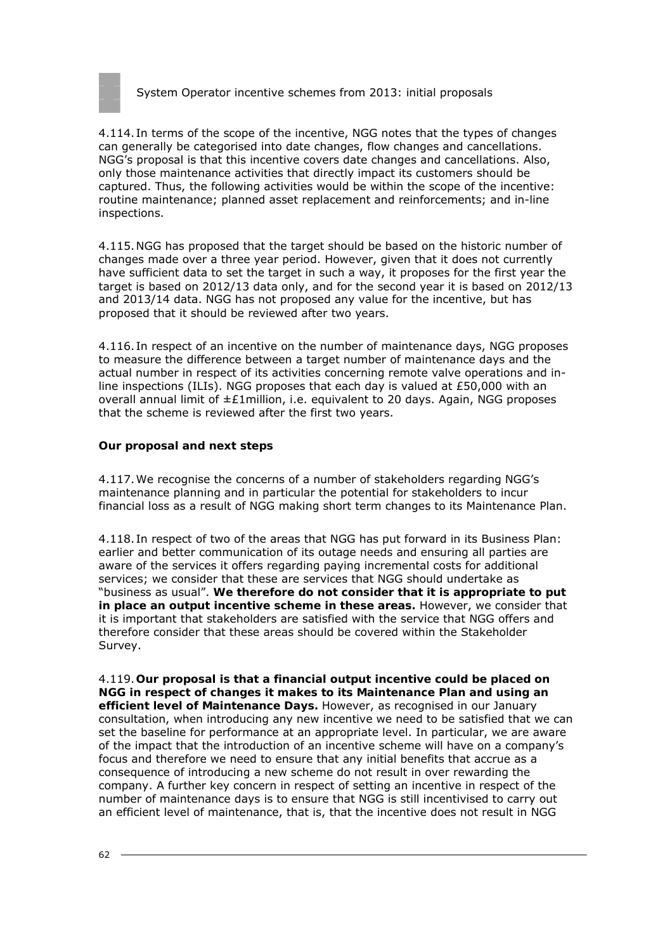

4.114. In terms of the scope of the incentive, NGG notes that the types of changes can generally be categorised into date changes, flow changes and cancellations. NGG's proposal is that this incentive covers date changes and cancellations. Also, only those maintenance activities that directly impact its customers should be captured. Thus, the following activities would be within the scope of the incentive: routine maintenance; planned asset replacement and reinforcements; and in-line inspections.

4.115.NGG has proposed that the target should be based on the historic number of changes made over a three year period. However, given that it does not currently have sufficient data to set the target in such a way, it proposes for the first year the target is based on 2012/13 data only, and for the second year it is based on 2012/13 and 2013/14 data. NGG has not proposed any value for the incentive, but has proposed that it should be reviewed after two years.

4.116. In respect of an incentive on the number of maintenance days, NGG proposes to measure the difference between a target number of maintenance days and the actual number in respect of its activities concerning remote valve operations and inline inspections (ILIs). NGG proposes that each day is valued at £50,000 with an overall annual limit of  $\pm \mathcal{E}1$ million, i.e. equivalent to 20 days. Again, NGG proposes that the scheme is reviewed after the first two years.

### **Our proposal and next steps**

4.117.We recognise the concerns of a number of stakeholders regarding NGG's maintenance planning and in particular the potential for stakeholders to incur financial loss as a result of NGG making short term changes to its Maintenance Plan.

4.118. In respect of two of the areas that NGG has put forward in its Business Plan: earlier and better communication of its outage needs and ensuring all parties are aware of the services it offers regarding paying incremental costs for additional services; we consider that these are services that NGG should undertake as "business as usual". **We therefore do not consider that it is appropriate to put in place an output incentive scheme in these areas.** However, we consider that it is important that stakeholders are satisfied with the service that NGG offers and therefore consider that these areas should be covered within the Stakeholder Survey.

4.119.**Our proposal is that a financial output incentive could be placed on NGG in respect of changes it makes to its Maintenance Plan and using an efficient level of Maintenance Days.** However, as recognised in our January consultation, when introducing any new incentive we need to be satisfied that we can set the baseline for performance at an appropriate level. In particular, we are aware of the impact that the introduction of an incentive scheme will have on a company's focus and therefore we need to ensure that any initial benefits that accrue as a consequence of introducing a new scheme do not result in over rewarding the company. A further key concern in respect of setting an incentive in respect of the number of maintenance days is to ensure that NGG is still incentivised to carry out an efficient level of maintenance, that is, that the incentive does not result in NGG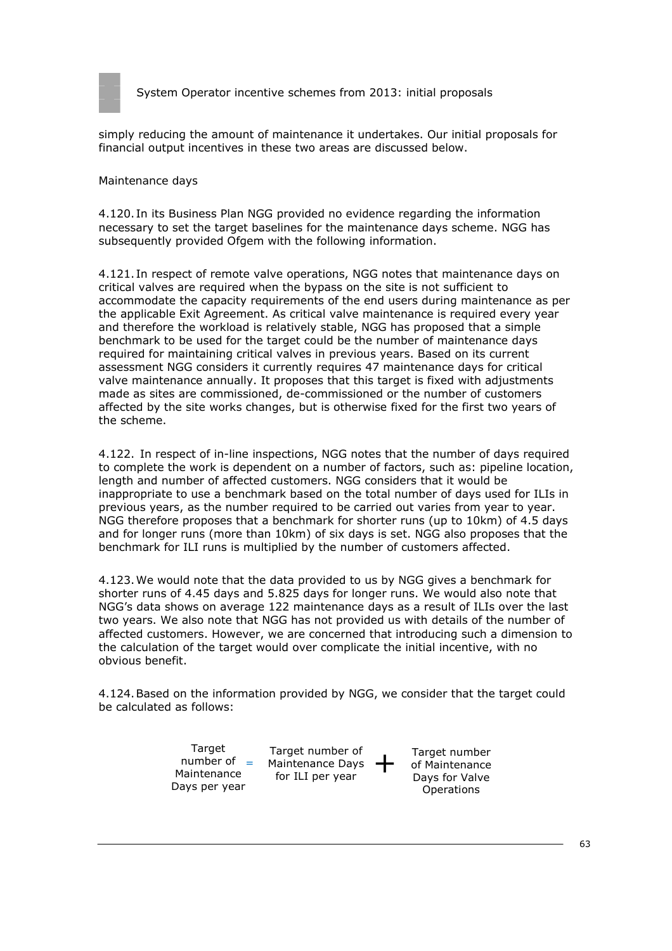

simply reducing the amount of maintenance it undertakes. Our initial proposals for financial output incentives in these two areas are discussed below.

#### *Maintenance days*

4.120. In its Business Plan NGG provided no evidence regarding the information necessary to set the target baselines for the maintenance days scheme. NGG has subsequently provided Ofgem with the following information.

4.121. In respect of remote valve operations, NGG notes that maintenance days on critical valves are required when the bypass on the site is not sufficient to accommodate the capacity requirements of the end users during maintenance as per the applicable Exit Agreement. As critical valve maintenance is required every year and therefore the workload is relatively stable, NGG has proposed that a simple benchmark to be used for the target could be the number of maintenance days required for maintaining critical valves in previous years. Based on its current assessment NGG considers it currently requires 47 maintenance days for critical valve maintenance annually. It proposes that this target is fixed with adjustments made as sites are commissioned, de-commissioned or the number of customers affected by the site works changes, but is otherwise fixed for the first two years of the scheme.

4.122. In respect of in-line inspections, NGG notes that the number of days required to complete the work is dependent on a number of factors, such as: pipeline location, length and number of affected customers. NGG considers that it would be inappropriate to use a benchmark based on the total number of days used for ILIs in previous years, as the number required to be carried out varies from year to year. NGG therefore proposes that a benchmark for shorter runs (up to 10km) of 4.5 days and for longer runs (more than 10km) of six days is set. NGG also proposes that the benchmark for ILI runs is multiplied by the number of customers affected.

4.123.We would note that the data provided to us by NGG gives a benchmark for shorter runs of 4.45 days and 5.825 days for longer runs. We would also note that NGG's data shows on average 122 maintenance days as a result of ILIs over the last two years. We also note that NGG has not provided us with details of the number of affected customers. However, we are concerned that introducing such a dimension to the calculation of the target would over complicate the initial incentive, with no obvious benefit.

4.124.Based on the information provided by NGG, we consider that the target could be calculated as follows:

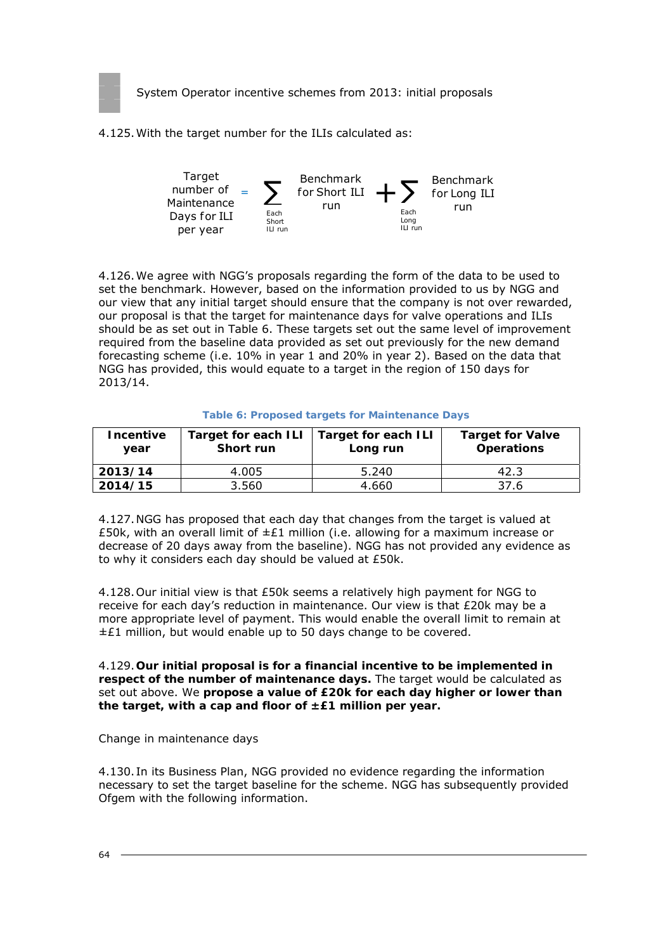

4.125.With the target number for the ILIs calculated as:



4.126.We agree with NGG's proposals regarding the form of the data to be used to set the benchmark. However, based on the information provided to us by NGG and our view that any initial target should ensure that the company is not over rewarded, our proposal is that the target for maintenance days for valve operations and ILIs should be as set out in Table 6. These targets set out the same level of improvement required from the baseline data provided as set out previously for the new demand forecasting scheme (i.e. 10% in year 1 and 20% in year 2). Based on the data that NGG has provided, this would equate to a target in the region of 150 days for 2013/14.

| <b>Incentive</b><br>year | Target for each ILI   Target for each ILI<br>Short run | Long run | <b>Target for Valve</b><br><b>Operations</b> |
|--------------------------|--------------------------------------------------------|----------|----------------------------------------------|
| 2013/14                  | 4.005                                                  | 5.240    | 42.3                                         |
| 2014/15                  | 3.560                                                  | 4.660    | 37.6                                         |

#### **Table 6: Proposed targets for Maintenance Days**

4.127.NGG has proposed that each day that changes from the target is valued at £50k, with an overall limit of  $\pm \mathcal{E}1$  million (i.e. allowing for a maximum increase or decrease of 20 days away from the baseline). NGG has not provided any evidence as to why it considers each day should be valued at £50k.

4.128.Our initial view is that £50k seems a relatively high payment for NGG to receive for each day's reduction in maintenance. Our view is that £20k may be a more appropriate level of payment. This would enable the overall limit to remain at  $±£1$  million, but would enable up to 50 days change to be covered.

4.129.**Our initial proposal is for a financial incentive to be implemented in respect of the number of maintenance days.** The target would be calculated as set out above. We **propose a value of £20k for each day higher or lower than the target, with a cap and floor of ±£1 million per year.**

#### *Change in maintenance days*

4.130. In its Business Plan, NGG provided no evidence regarding the information necessary to set the target baseline for the scheme. NGG has subsequently provided Ofgem with the following information.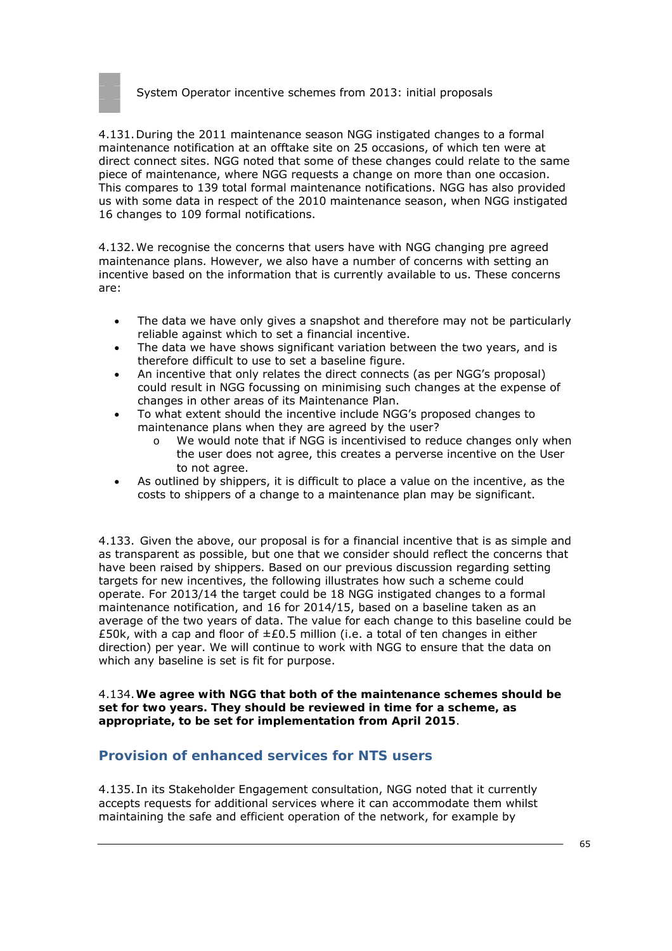

4.131.During the 2011 maintenance season NGG instigated changes to a formal maintenance notification at an offtake site on 25 occasions, of which ten were at direct connect sites. NGG noted that some of these changes could relate to the same piece of maintenance, where NGG requests a change on more than one occasion. This compares to 139 total formal maintenance notifications. NGG has also provided us with some data in respect of the 2010 maintenance season, when NGG instigated 16 changes to 109 formal notifications.

4.132.We recognise the concerns that users have with NGG changing pre agreed maintenance plans. However, we also have a number of concerns with setting an incentive based on the information that is currently available to us. These concerns are:

- The data we have only gives a snapshot and therefore may not be particularly reliable against which to set a financial incentive.
- The data we have shows significant variation between the two years, and is therefore difficult to use to set a baseline figure.
- An incentive that only relates the direct connects (as per NGG's proposal) could result in NGG focussing on minimising such changes at the expense of changes in other areas of its Maintenance Plan.
- To what extent should the incentive include NGG's proposed changes to maintenance plans when they are agreed by the user?
	- o We would note that if NGG is incentivised to reduce changes only when the user does not agree, this creates a perverse incentive on the User to not agree.
- As outlined by shippers, it is difficult to place a value on the incentive, as the costs to shippers of a change to a maintenance plan may be significant.

4.133. Given the above, our proposal is for a financial incentive that is as simple and as transparent as possible, but one that we consider should reflect the concerns that have been raised by shippers. Based on our previous discussion regarding setting targets for new incentives, the following illustrates how such a scheme could operate. For 2013/14 the target could be 18 NGG instigated changes to a formal maintenance notification, and 16 for 2014/15, based on a baseline taken as an average of the two years of data. The value for each change to this baseline could be £50k, with a cap and floor of  $\pm$ £0.5 million (i.e. a total of ten changes in either direction) per year. We will continue to work with NGG to ensure that the data on which any baseline is set is fit for purpose.

4.134.**We agree with NGG that both of the maintenance schemes should be set for two years. They should be reviewed in time for a scheme, as appropriate, to be set for implementation from April 2015**.

## **Provision of enhanced services for NTS users**

4.135. In its Stakeholder Engagement consultation, NGG noted that it currently accepts requests for additional services where it can accommodate them whilst maintaining the safe and efficient operation of the network, for example by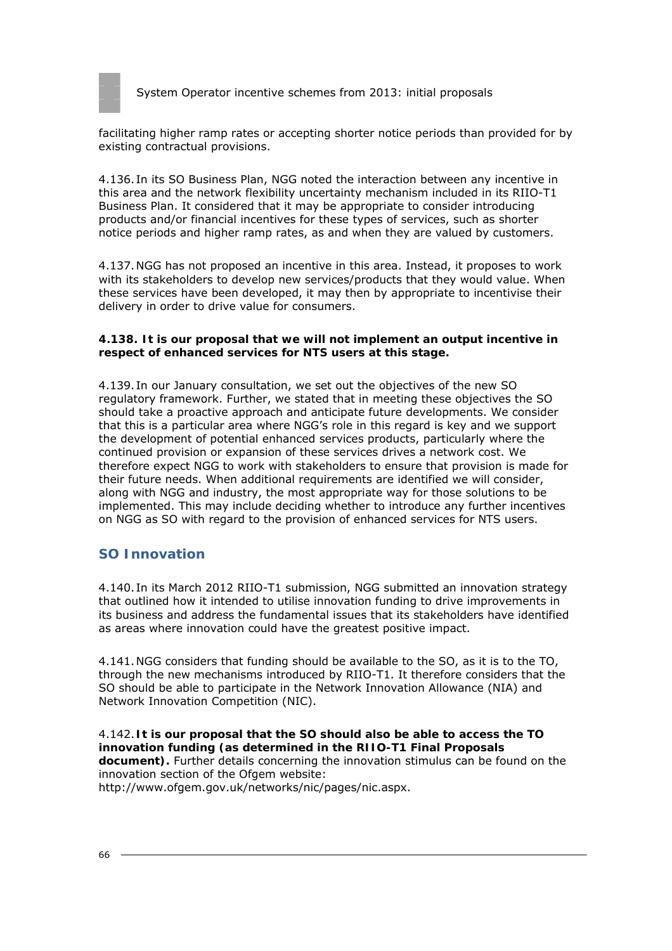

facilitating higher ramp rates or accepting shorter notice periods than provided for by existing contractual provisions.

4.136. In its SO Business Plan, NGG noted the interaction between any incentive in this area and the network flexibility uncertainty mechanism included in its RIIO-T1 Business Plan. It considered that it may be appropriate to consider introducing products and/or financial incentives for these types of services, such as shorter notice periods and higher ramp rates, as and when they are valued by customers.

4.137.NGG has not proposed an incentive in this area. Instead, it proposes to work with its stakeholders to develop new services/products that they would value. When these services have been developed, it may then by appropriate to incentivise their delivery in order to drive value for consumers.

#### **4.138. It is our proposal that we will not implement an output incentive in respect of enhanced services for NTS users at this stage.**

4.139. In our January consultation, we set out the objectives of the new SO regulatory framework. Further, we stated that in meeting these objectives the SO should take a proactive approach and anticipate future developments. We consider that this is a particular area where NGG's role in this regard is key and we support the development of potential enhanced services products, particularly where the continued provision or expansion of these services drives a network cost. We therefore expect NGG to work with stakeholders to ensure that provision is made for their future needs. When additional requirements are identified we will consider, along with NGG and industry, the most appropriate way for those solutions to be implemented. This may include deciding whether to introduce any further incentives on NGG as SO with regard to the provision of enhanced services for NTS users.

# **SO Innovation**

4.140. In its March 2012 RIIO-T1 submission, NGG submitted an innovation strategy that outlined how it intended to utilise innovation funding to drive improvements in its business and address the fundamental issues that its stakeholders have identified as areas where innovation could have the greatest positive impact.

4.141.NGG considers that funding should be available to the SO, as it is to the TO, through the new mechanisms introduced by RIIO-T1. It therefore considers that the SO should be able to participate in the Network Innovation Allowance (NIA) and Network Innovation Competition (NIC).

4.142.**It is our proposal that the SO should also be able to access the TO innovation funding (as determined in the RIIO-T1 Final Proposals document).** Further details concerning the innovation stimulus can be found on the innovation section of the Ofgem website: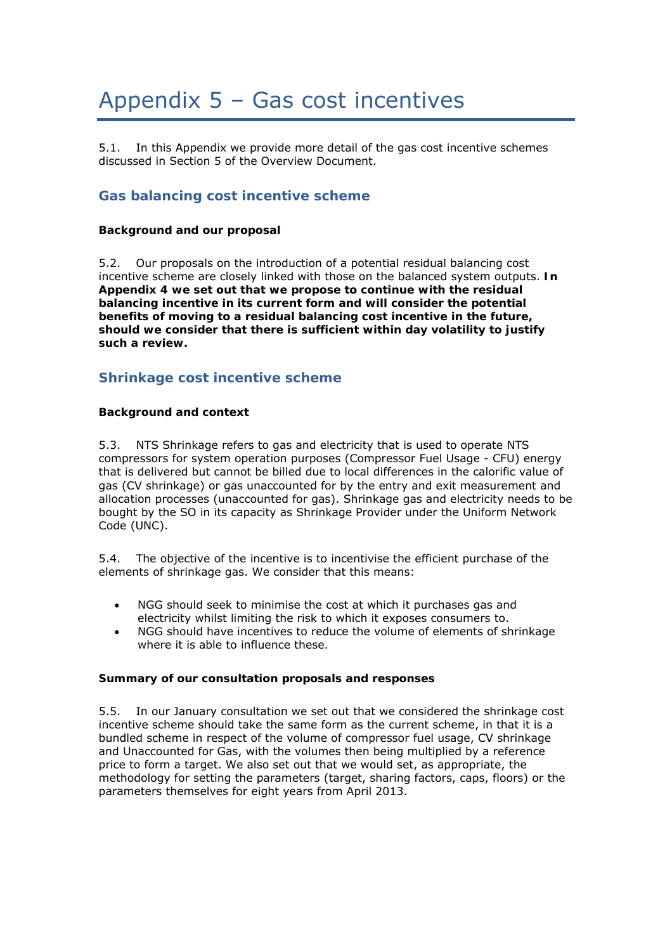# Appendix 5 – Gas cost incentives

5.1. In this Appendix we provide more detail of the gas cost incentive schemes discussed in Section 5 of the Overview Document.

## **Gas balancing cost incentive scheme**

#### **Background and our proposal**

5.2. Our proposals on the introduction of a potential residual balancing cost incentive scheme are closely linked with those on the balanced system outputs. **In Appendix 4 we set out that we propose to continue with the residual balancing incentive in its current form and will consider the potential benefits of moving to a residual balancing cost incentive in the future, should we consider that there is sufficient within day volatility to justify such a review.**

## **Shrinkage cost incentive scheme**

#### **Background and context**

5.3. NTS Shrinkage refers to gas and electricity that is used to operate NTS compressors for system operation purposes (Compressor Fuel Usage - CFU) energy that is delivered but cannot be billed due to local differences in the calorific value of gas (CV shrinkage) or gas unaccounted for by the entry and exit measurement and allocation processes (unaccounted for gas). Shrinkage gas and electricity needs to be bought by the SO in its capacity as Shrinkage Provider under the Uniform Network Code (UNC).

5.4. The objective of the incentive is to incentivise the efficient purchase of the elements of shrinkage gas. We consider that this means:

- NGG should seek to minimise the cost at which it purchases gas and electricity whilst limiting the risk to which it exposes consumers to.
- NGG should have incentives to reduce the volume of elements of shrinkage where it is able to influence these.

#### **Summary of our consultation proposals and responses**

5.5. In our January consultation we set out that we considered the shrinkage cost incentive scheme should take the same form as the current scheme, in that it is a bundled scheme in respect of the volume of compressor fuel usage, CV shrinkage and Unaccounted for Gas, with the volumes then being multiplied by a reference price to form a target. We also set out that we would set, as appropriate, the methodology for setting the parameters (target, sharing factors, caps, floors) or the parameters themselves for eight years from April 2013.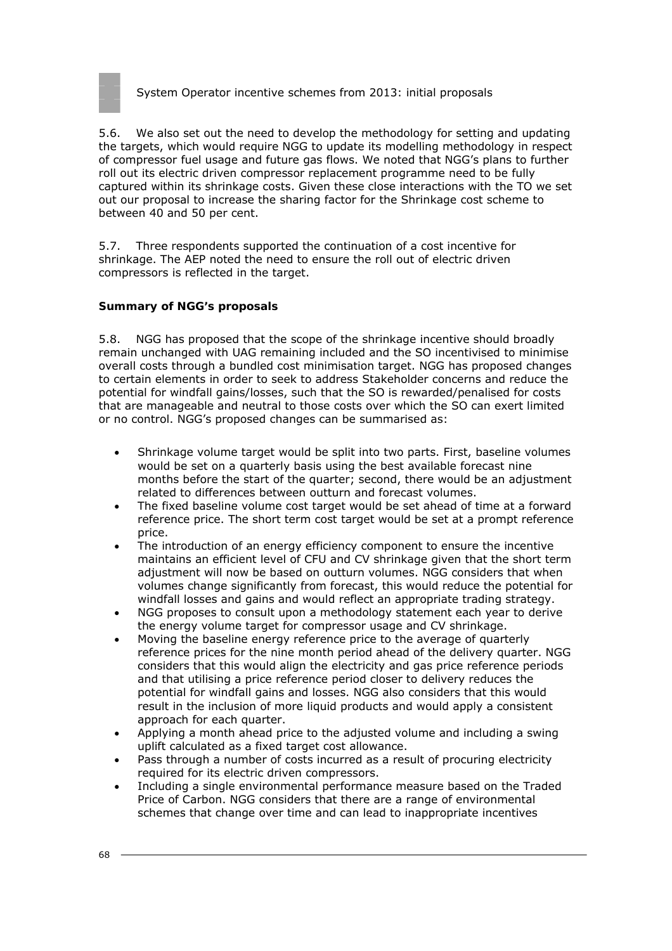

5.6. We also set out the need to develop the methodology for setting and updating the targets, which would require NGG to update its modelling methodology in respect of compressor fuel usage and future gas flows. We noted that NGG's plans to further roll out its electric driven compressor replacement programme need to be fully captured within its shrinkage costs. Given these close interactions with the TO we set out our proposal to increase the sharing factor for the Shrinkage cost scheme to between 40 and 50 per cent.

5.7. Three respondents supported the continuation of a cost incentive for shrinkage. The AEP noted the need to ensure the roll out of electric driven compressors is reflected in the target.

#### **Summary of NGG's proposals**

5.8. NGG has proposed that the scope of the shrinkage incentive should broadly remain unchanged with UAG remaining included and the SO incentivised to minimise overall costs through a bundled cost minimisation target. NGG has proposed changes to certain elements in order to seek to address Stakeholder concerns and reduce the potential for windfall gains/losses, such that the SO is rewarded/penalised for costs that are manageable and neutral to those costs over which the SO can exert limited or no control. NGG's proposed changes can be summarised as:

- Shrinkage volume target would be split into two parts. First, baseline volumes would be set on a quarterly basis using the best available forecast nine months before the start of the quarter; second, there would be an adjustment related to differences between outturn and forecast volumes.
- The fixed baseline volume cost target would be set ahead of time at a forward reference price. The short term cost target would be set at a prompt reference price.
- The introduction of an energy efficiency component to ensure the incentive maintains an efficient level of CFU and CV shrinkage given that the short term adjustment will now be based on outturn volumes. NGG considers that when volumes change significantly from forecast, this would reduce the potential for windfall losses and gains and would reflect an appropriate trading strategy.
- NGG proposes to consult upon a methodology statement each year to derive the energy volume target for compressor usage and CV shrinkage.
- Moving the baseline energy reference price to the average of quarterly reference prices for the nine month period ahead of the delivery quarter. NGG considers that this would align the electricity and gas price reference periods and that utilising a price reference period closer to delivery reduces the potential for windfall gains and losses. NGG also considers that this would result in the inclusion of more liquid products and would apply a consistent approach for each quarter.
- Applying a month ahead price to the adjusted volume and including a swing uplift calculated as a fixed target cost allowance.
- Pass through a number of costs incurred as a result of procuring electricity required for its electric driven compressors.
- Including a single environmental performance measure based on the Traded Price of Carbon. NGG considers that there are a range of environmental schemes that change over time and can lead to inappropriate incentives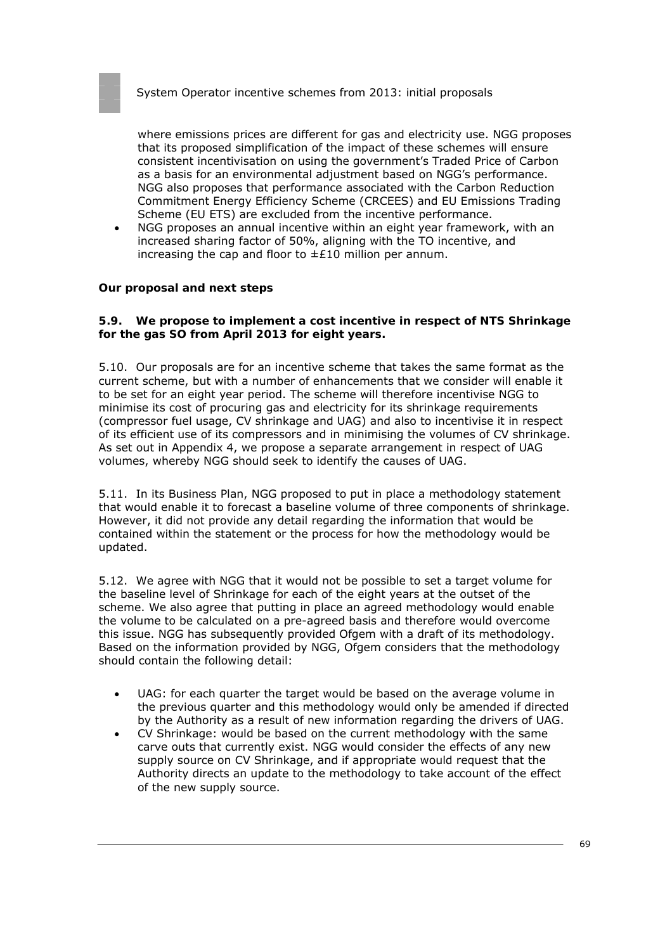where emissions prices are different for gas and electricity use. NGG proposes that its proposed simplification of the impact of these schemes will ensure consistent incentivisation on using the government's Traded Price of Carbon as a basis for an environmental adjustment based on NGG's performance. NGG also proposes that performance associated with the Carbon Reduction Commitment Energy Efficiency Scheme (CRCEES) and EU Emissions Trading Scheme (EU ETS) are excluded from the incentive performance.

• NGG proposes an annual incentive within an eight year framework, with an increased sharing factor of 50%, aligning with the TO incentive, and increasing the cap and floor to  $\pm 210$  million per annum.

#### **Our proposal and next steps**

#### **5.9. We propose to implement a cost incentive in respect of NTS Shrinkage for the gas SO from April 2013 for eight years.**

5.10. Our proposals are for an incentive scheme that takes the same format as the current scheme, but with a number of enhancements that we consider will enable it to be set for an eight year period. The scheme will therefore incentivise NGG to minimise its cost of procuring gas and electricity for its shrinkage requirements (compressor fuel usage, CV shrinkage and UAG) and also to incentivise it in respect of its efficient use of its compressors and in minimising the volumes of CV shrinkage. As set out in Appendix 4, we propose a separate arrangement in respect of UAG volumes, whereby NGG should seek to identify the causes of UAG.

5.11. In its Business Plan, NGG proposed to put in place a methodology statement that would enable it to forecast a baseline volume of three components of shrinkage. However, it did not provide any detail regarding the information that would be contained within the statement or the process for how the methodology would be updated.

5.12. We agree with NGG that it would not be possible to set a target volume for the baseline level of Shrinkage for each of the eight years at the outset of the scheme. We also agree that putting in place an agreed methodology would enable the volume to be calculated on a pre-agreed basis and therefore would overcome this issue. NGG has subsequently provided Ofgem with a draft of its methodology. Based on the information provided by NGG, Ofgem considers that the methodology should contain the following detail:

- UAG: for each quarter the target would be based on the average volume in the previous quarter and this methodology would only be amended if directed by the Authority as a result of new information regarding the drivers of UAG.
- CV Shrinkage: would be based on the current methodology with the same carve outs that currently exist. NGG would consider the effects of any new supply source on CV Shrinkage, and if appropriate would request that the Authority directs an update to the methodology to take account of the effect of the new supply source.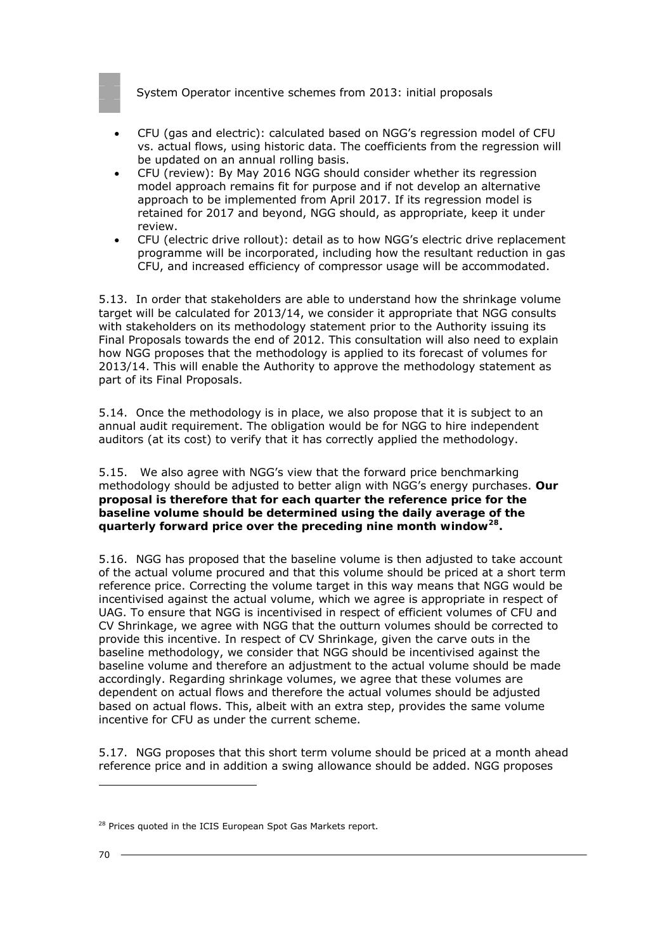

- CFU (gas and electric): calculated based on NGG's regression model of CFU vs. actual flows, using historic data. The coefficients from the regression will be updated on an annual rolling basis.
- CFU (review): By May 2016 NGG should consider whether its regression model approach remains fit for purpose and if not develop an alternative approach to be implemented from April 2017. If its regression model is retained for 2017 and beyond, NGG should, as appropriate, keep it under review.
- CFU (electric drive rollout): detail as to how NGG's electric drive replacement programme will be incorporated, including how the resultant reduction in gas CFU, and increased efficiency of compressor usage will be accommodated.

5.13. In order that stakeholders are able to understand how the shrinkage volume target will be calculated for 2013/14, we consider it appropriate that NGG consults with stakeholders on its methodology statement prior to the Authority issuing its Final Proposals towards the end of 2012. This consultation will also need to explain how NGG proposes that the methodology is applied to its forecast of volumes for 2013/14. This will enable the Authority to approve the methodology statement as part of its Final Proposals.

5.14. Once the methodology is in place, we also propose that it is subject to an annual audit requirement. The obligation would be for NGG to hire independent auditors (at its cost) to verify that it has correctly applied the methodology.

5.15. We also agree with NGG's view that the forward price benchmarking methodology should be adjusted to better align with NGG's energy purchases. **Our proposal is therefore that for each quarter the reference price for the baseline volume should be determined using the daily average of the quarterly forward price over the preceding nine month window28.**

5.16. NGG has proposed that the baseline volume is then adjusted to take account of the actual volume procured and that this volume should be priced at a short term reference price. Correcting the volume target in this way means that NGG would be incentivised against the actual volume, which we agree is appropriate in respect of UAG. To ensure that NGG is incentivised in respect of efficient volumes of CFU and CV Shrinkage, we agree with NGG that the outturn volumes should be corrected to provide this incentive. In respect of CV Shrinkage, given the carve outs in the baseline methodology, we consider that NGG should be incentivised against the baseline volume and therefore an adjustment to the actual volume should be made accordingly. Regarding shrinkage volumes, we agree that these volumes are dependent on actual flows and therefore the actual volumes should be adjusted based on actual flows. This, albeit with an extra step, provides the same volume incentive for CFU as under the current scheme.

5.17. NGG proposes that this short term volume should be priced at a month ahead reference price and in addition a swing allowance should be added. NGG proposes

<sup>&</sup>lt;sup>28</sup> Prices quoted in the ICIS European Spot Gas Markets report.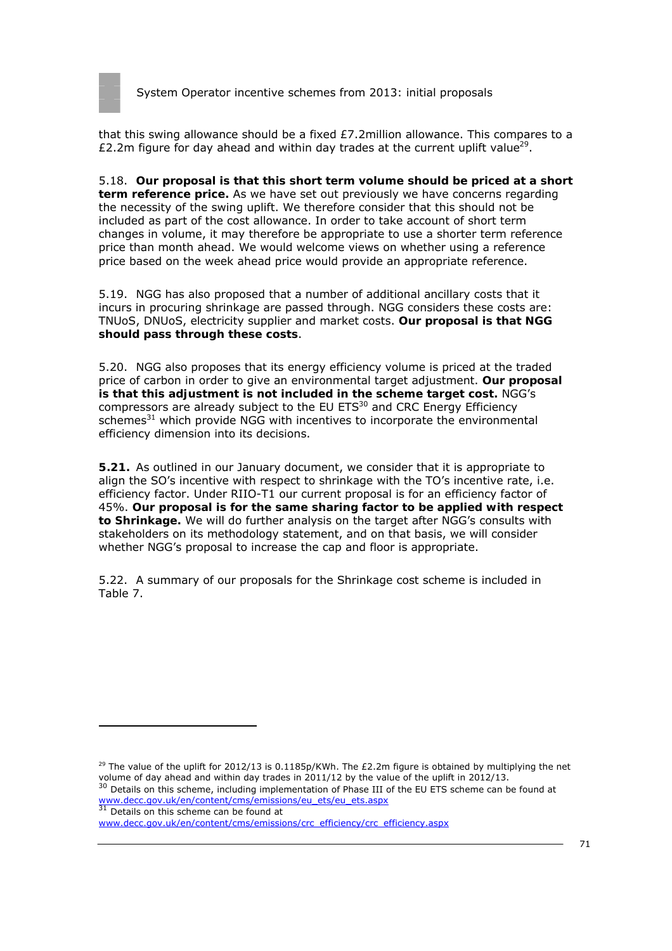

that this swing allowance should be a fixed £7.2million allowance. This compares to a £2.2m figure for day ahead and within day trades at the current uplift value<sup>29</sup>.

5.18. **Our proposal is that this short term volume should be priced at a short term reference price.** As we have set out previously we have concerns regarding the necessity of the swing uplift. We therefore consider that this should not be included as part of the cost allowance. In order to take account of short term changes in volume, it may therefore be appropriate to use a shorter term reference price than month ahead. We would welcome views on whether using a reference price based on the week ahead price would provide an appropriate reference.

5.19. NGG has also proposed that a number of additional ancillary costs that it incurs in procuring shrinkage are passed through. NGG considers these costs are: TNUoS, DNUoS, electricity supplier and market costs. **Our proposal is that NGG should pass through these costs**.

5.20. NGG also proposes that its energy efficiency volume is priced at the traded price of carbon in order to give an environmental target adjustment. **Our proposal is that this adjustment is not included in the scheme target cost.** NGG's compressors are already subject to the EU ETS<sup>30</sup> and CRC Energy Efficiency schemes<sup>31</sup> which provide NGG with incentives to incorporate the environmental efficiency dimension into its decisions.

**5.21.** As outlined in our January document, we consider that it is appropriate to align the SO's incentive with respect to shrinkage with the TO's incentive rate, i.e. efficiency factor. Under RIIO-T1 our current proposal is for an efficiency factor of 45%. **Our proposal is for the same sharing factor to be applied with respect to Shrinkage.** We will do further analysis on the target after NGG's consults with stakeholders on its methodology statement, and on that basis, we will consider whether NGG's proposal to increase the cap and floor is appropriate.

5.22. A summary of our proposals for the Shrinkage cost scheme is included in Table 7.

<sup>&</sup>lt;sup>29</sup> The value of the uplift for 2012/13 is 0.1185p/KWh. The £2.2m figure is obtained by multiplying the net volume of day ahead and within day trades in 2011/12 by the value of the uplift in 2012/13. 30 Details on this scheme, including implementation of Phase III of the EU ETS scheme can be found at

www.decc.gov.uk/en/content/cms/emissions/eu\_ets/eu\_ets.aspx www.decc.gov.uk/en/concent/comes states of 31 Details on this scheme can be found at

www.decc.gov.uk/en/content/cms/emissions/crc\_efficiency/crc\_efficiency.aspx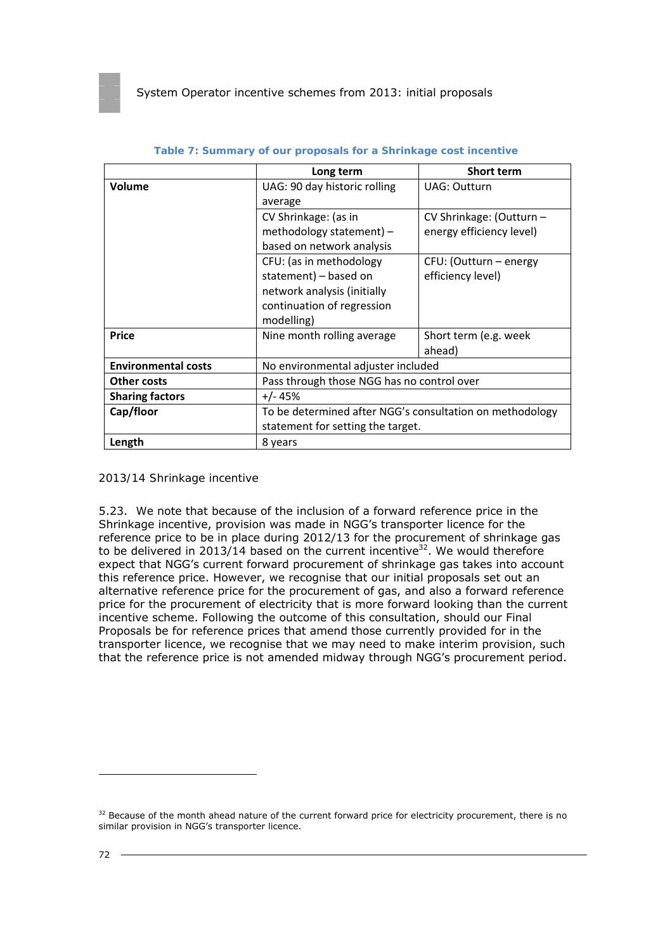|                            | Long term                                                | <b>Short term</b>        |  |
|----------------------------|----------------------------------------------------------|--------------------------|--|
| Volume                     | UAG: 90 day historic rolling                             | <b>UAG: Outturn</b>      |  |
|                            | average                                                  |                          |  |
|                            | CV Shrinkage: (as in                                     | CV Shrinkage: (Outturn - |  |
|                            | methodology statement) -                                 | energy efficiency level) |  |
|                            | based on network analysis                                |                          |  |
|                            | CFU: (as in methodology                                  | CFU: (Outturn – energy   |  |
|                            | statement) - based on                                    | efficiency level)        |  |
|                            | network analysis (initially                              |                          |  |
|                            | continuation of regression                               |                          |  |
|                            | modelling)                                               |                          |  |
| <b>Price</b>               | Nine month rolling average                               | Short term (e.g. week    |  |
|                            |                                                          | ahead)                   |  |
| <b>Environmental costs</b> | No environmental adjuster included                       |                          |  |
| <b>Other costs</b>         | Pass through those NGG has no control over               |                          |  |
| <b>Sharing factors</b>     | +/- 45%                                                  |                          |  |
| Cap/floor                  | To be determined after NGG's consultation on methodology |                          |  |
|                            | statement for setting the target.                        |                          |  |
| Length                     | 8 years                                                  |                          |  |

#### **Table 7: Summary of our proposals for a Shrinkage cost incentive**

*2013/14 Shrinkage incentive* 

5.23. We note that because of the inclusion of a forward reference price in the Shrinkage incentive, provision was made in NGG's transporter licence for the reference price to be in place during 2012/13 for the procurement of shrinkage gas to be delivered in 2013/14 based on the current incentive<sup>32</sup>. We would therefore expect that NGG's current forward procurement of shrinkage gas takes into account this reference price. However, we recognise that our initial proposals set out an alternative reference price for the procurement of gas, and also a forward reference price for the procurement of electricity that is more forward looking than the current incentive scheme. Following the outcome of this consultation, should our Final Proposals be for reference prices that amend those currently provided for in the transporter licence, we recognise that we may need to make interim provision, such that the reference price is not amended midway through NGG's procurement period.

<sup>&</sup>lt;sup>32</sup> Because of the month ahead nature of the current forward price for electricity procurement, there is no similar provision in NGG's transporter licence.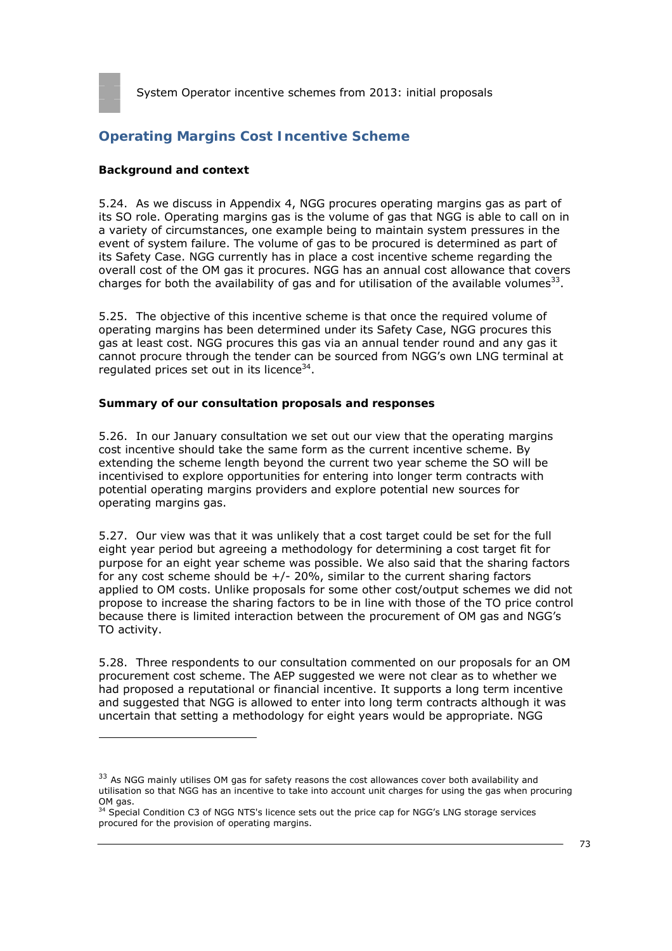

# **Operating Margins Cost Incentive Scheme**

## **Background and context**

5.24. As we discuss in Appendix 4, NGG procures operating margins gas as part of its SO role. Operating margins gas is the volume of gas that NGG is able to call on in a variety of circumstances, one example being to maintain system pressures in the event of system failure. The volume of gas to be procured is determined as part of its Safety Case. NGG currently has in place a cost incentive scheme regarding the overall cost of the OM gas it procures. NGG has an annual cost allowance that covers charges for both the availability of gas and for utilisation of the available volumes $^{33}$ .

5.25. The objective of this incentive scheme is that once the required volume of operating margins has been determined under its Safety Case, NGG procures this gas at least cost. NGG procures this gas via an annual tender round and any gas it cannot procure through the tender can be sourced from NGG's own LNG terminal at regulated prices set out in its licence $34$ .

## **Summary of our consultation proposals and responses**

5.26. In our January consultation we set out our view that the operating margins cost incentive should take the same form as the current incentive scheme. By extending the scheme length beyond the current two year scheme the SO will be incentivised to explore opportunities for entering into longer term contracts with potential operating margins providers and explore potential new sources for operating margins gas.

5.27. Our view was that it was unlikely that a cost target could be set for the full eight year period but agreeing a methodology for determining a cost target fit for purpose for an eight year scheme was possible. We also said that the sharing factors for any cost scheme should be  $+/- 20\%$ , similar to the current sharing factors applied to OM costs. Unlike proposals for some other cost/output schemes we did not propose to increase the sharing factors to be in line with those of the TO price control because there is limited interaction between the procurement of OM gas and NGG's TO activity.

5.28. Three respondents to our consultation commented on our proposals for an OM procurement cost scheme. The AEP suggested we were not clear as to whether we had proposed a reputational or financial incentive. It supports a long term incentive and suggested that NGG is allowed to enter into long term contracts although it was uncertain that setting a methodology for eight years would be appropriate. NGG

<sup>&</sup>lt;sup>33</sup> As NGG mainly utilises OM gas for safety reasons the cost allowances cover both availability and utilisation so that NGG has an incentive to take into account unit charges for using the gas when procuring OM gas.<br><sup>34</sup> Special Condition C3 of NGG NTS's licence sets out the price cap for NGG's LNG storage services

procured for the provision of operating margins.